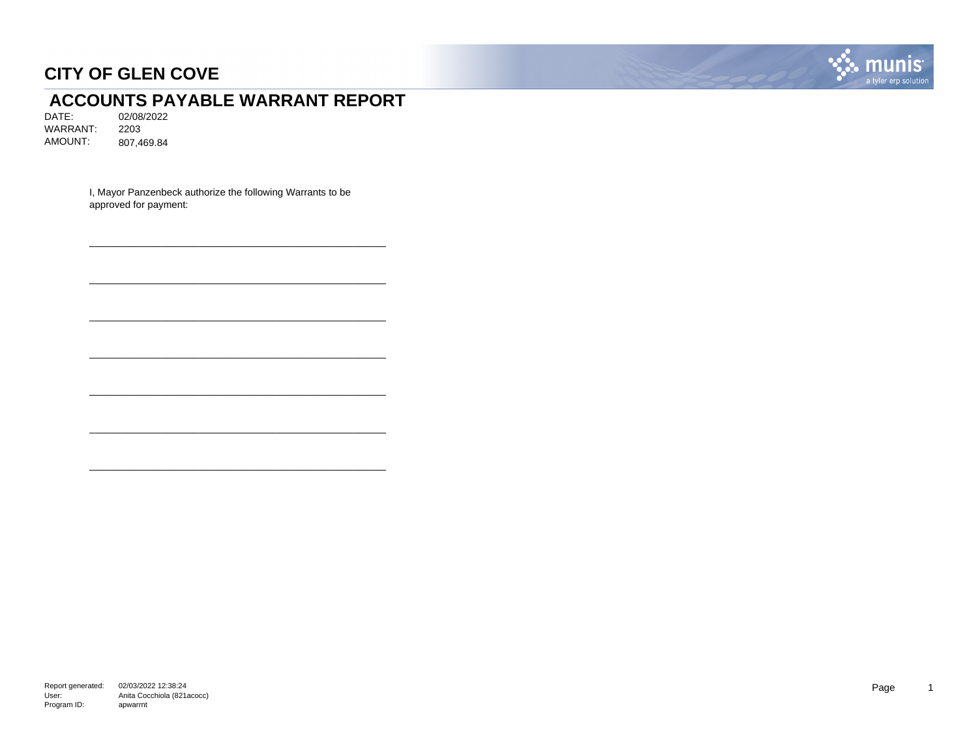

# **ACCOUNTS PAYABLE WARRANT REPORT**<br>DATE: 02/08/2022

02/08/2022 WARRANT: 2203 AMOUNT: 807,469.84

> I, Mayor Panzenbeck authorize the following Warrants to be approved for payment:

\_\_\_\_\_\_\_\_\_\_\_\_\_\_\_\_\_\_\_\_\_\_\_\_\_\_\_\_\_\_\_\_\_\_\_\_\_\_\_\_\_\_\_\_\_\_\_\_\_\_\_\_\_\_

\_\_\_\_\_\_\_\_\_\_\_\_\_\_\_\_\_\_\_\_\_\_\_\_\_\_\_\_\_\_\_\_\_\_\_\_\_\_\_\_\_\_\_\_\_\_\_\_\_\_\_\_\_\_

\_\_\_\_\_\_\_\_\_\_\_\_\_\_\_\_\_\_\_\_\_\_\_\_\_\_\_\_\_\_\_\_\_\_\_\_\_\_\_\_\_\_\_\_\_\_\_\_\_\_\_\_\_\_

\_\_\_\_\_\_\_\_\_\_\_\_\_\_\_\_\_\_\_\_\_\_\_\_\_\_\_\_\_\_\_\_\_\_\_\_\_\_\_\_\_\_\_\_\_\_\_\_\_\_\_\_\_\_

\_\_\_\_\_\_\_\_\_\_\_\_\_\_\_\_\_\_\_\_\_\_\_\_\_\_\_\_\_\_\_\_\_\_\_\_\_\_\_\_\_\_\_\_\_\_\_\_\_\_\_\_\_\_

\_\_\_\_\_\_\_\_\_\_\_\_\_\_\_\_\_\_\_\_\_\_\_\_\_\_\_\_\_\_\_\_\_\_\_\_\_\_\_\_\_\_\_\_\_\_\_\_\_\_\_\_\_\_

\_\_\_\_\_\_\_\_\_\_\_\_\_\_\_\_\_\_\_\_\_\_\_\_\_\_\_\_\_\_\_\_\_\_\_\_\_\_\_\_\_\_\_\_\_\_\_\_\_\_\_\_\_\_

Report generated: 02/03/2022 12:38:24 User: Program ID: Anita Cocchiola (821acocc) apwarrnt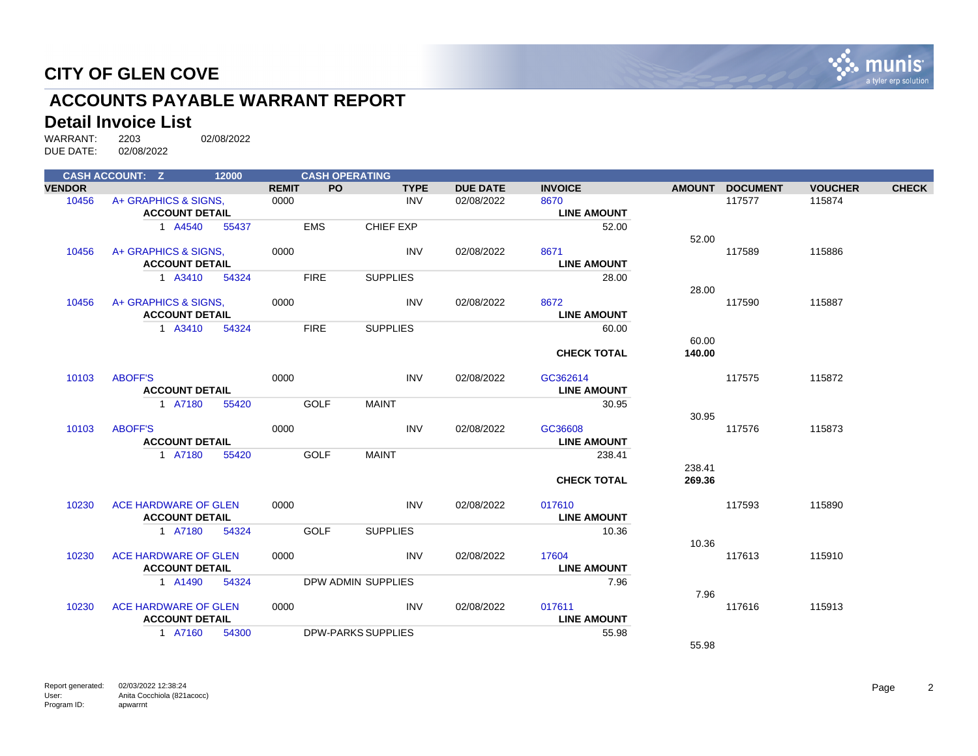

# **ACCOUNTS PAYABLE WARRANT REPORT**

# **Detail Invoice List**<br>WARRANT: 2203

|               | <b>CASH ACCOUNT: Z</b> | 12000 |              | <b>CASH OPERATING</b> |                           |                 |                    |        |                 |                |              |
|---------------|------------------------|-------|--------------|-----------------------|---------------------------|-----------------|--------------------|--------|-----------------|----------------|--------------|
| <b>VENDOR</b> |                        |       | <b>REMIT</b> | <b>PO</b>             | <b>TYPE</b>               | <b>DUE DATE</b> | <b>INVOICE</b>     |        | AMOUNT DOCUMENT | <b>VOUCHER</b> | <b>CHECK</b> |
| 10456         | A+ GRAPHICS & SIGNS.   |       | 0000         |                       | <b>INV</b>                | 02/08/2022      | 8670               |        | 117577          | 115874         |              |
|               | <b>ACCOUNT DETAIL</b>  |       |              |                       |                           |                 | <b>LINE AMOUNT</b> |        |                 |                |              |
|               | 1 A4540                | 55437 |              | <b>EMS</b>            | <b>CHIEF EXP</b>          |                 | 52.00              |        |                 |                |              |
|               |                        |       |              |                       |                           |                 |                    | 52.00  |                 |                |              |
| 10456         | A+ GRAPHICS & SIGNS.   |       | 0000         |                       | <b>INV</b>                | 02/08/2022      | 8671               |        | 117589          | 115886         |              |
|               | <b>ACCOUNT DETAIL</b>  |       |              |                       |                           |                 | <b>LINE AMOUNT</b> |        |                 |                |              |
|               | 1 A3410                | 54324 |              | <b>FIRE</b>           | <b>SUPPLIES</b>           |                 | 28.00              |        |                 |                |              |
|               |                        |       |              |                       |                           |                 |                    | 28.00  |                 |                |              |
| 10456         | A+ GRAPHICS & SIGNS,   |       | 0000         |                       | <b>INV</b>                | 02/08/2022      | 8672               |        | 117590          | 115887         |              |
|               | <b>ACCOUNT DETAIL</b>  |       |              |                       |                           |                 | <b>LINE AMOUNT</b> |        |                 |                |              |
|               | 1 A3410                | 54324 |              | <b>FIRE</b>           | <b>SUPPLIES</b>           |                 | 60.00              |        |                 |                |              |
|               |                        |       |              |                       |                           |                 |                    | 60.00  |                 |                |              |
|               |                        |       |              |                       |                           |                 | <b>CHECK TOTAL</b> | 140.00 |                 |                |              |
| 10103         | <b>ABOFF'S</b>         |       | 0000         |                       | <b>INV</b>                | 02/08/2022      | GC362614           |        | 117575          | 115872         |              |
|               | <b>ACCOUNT DETAIL</b>  |       |              |                       |                           |                 | <b>LINE AMOUNT</b> |        |                 |                |              |
|               | 1 A7180                | 55420 |              | <b>GOLF</b>           | <b>MAINT</b>              |                 | 30.95              |        |                 |                |              |
|               | <b>ABOFF'S</b>         |       | 0000         |                       | <b>INV</b>                | 02/08/2022      | GC36608            | 30.95  | 117576          | 115873         |              |
| 10103         | <b>ACCOUNT DETAIL</b>  |       |              |                       |                           |                 | <b>LINE AMOUNT</b> |        |                 |                |              |
|               | 1 A7180                | 55420 |              | <b>GOLF</b>           | <b>MAINT</b>              |                 | 238.41             |        |                 |                |              |
|               |                        |       |              |                       |                           |                 |                    | 238.41 |                 |                |              |
|               |                        |       |              |                       |                           |                 | <b>CHECK TOTAL</b> | 269.36 |                 |                |              |
|               |                        |       |              |                       |                           |                 |                    |        |                 |                |              |
| 10230         | ACE HARDWARE OF GLEN   |       | 0000         |                       | <b>INV</b>                | 02/08/2022      | 017610             |        | 117593          | 115890         |              |
|               | <b>ACCOUNT DETAIL</b>  |       |              |                       |                           |                 | <b>LINE AMOUNT</b> |        |                 |                |              |
|               | 1 A7180                | 54324 |              | <b>GOLF</b>           | <b>SUPPLIES</b>           |                 | 10.36              |        |                 |                |              |
|               |                        |       |              |                       |                           |                 |                    | 10.36  |                 |                |              |
| 10230         | ACE HARDWARE OF GLEN   |       | 0000         |                       | <b>INV</b>                | 02/08/2022      | 17604              |        | 117613          | 115910         |              |
|               | <b>ACCOUNT DETAIL</b>  |       |              |                       |                           |                 | <b>LINE AMOUNT</b> |        |                 |                |              |
|               | 1 A1490                | 54324 |              |                       | DPW ADMIN SUPPLIES        |                 | 7.96               |        |                 |                |              |
|               |                        |       |              |                       |                           |                 |                    | 7.96   |                 |                |              |
| 10230         | ACE HARDWARE OF GLEN   |       | 0000         |                       | <b>INV</b>                | 02/08/2022      | 017611             |        | 117616          | 115913         |              |
|               | <b>ACCOUNT DETAIL</b>  |       |              |                       |                           |                 | <b>LINE AMOUNT</b> |        |                 |                |              |
|               | 1 A7160                | 54300 |              |                       | <b>DPW-PARKS SUPPLIES</b> |                 | 55.98              |        |                 |                |              |
|               |                        |       |              |                       |                           |                 |                    | 55.98  |                 |                |              |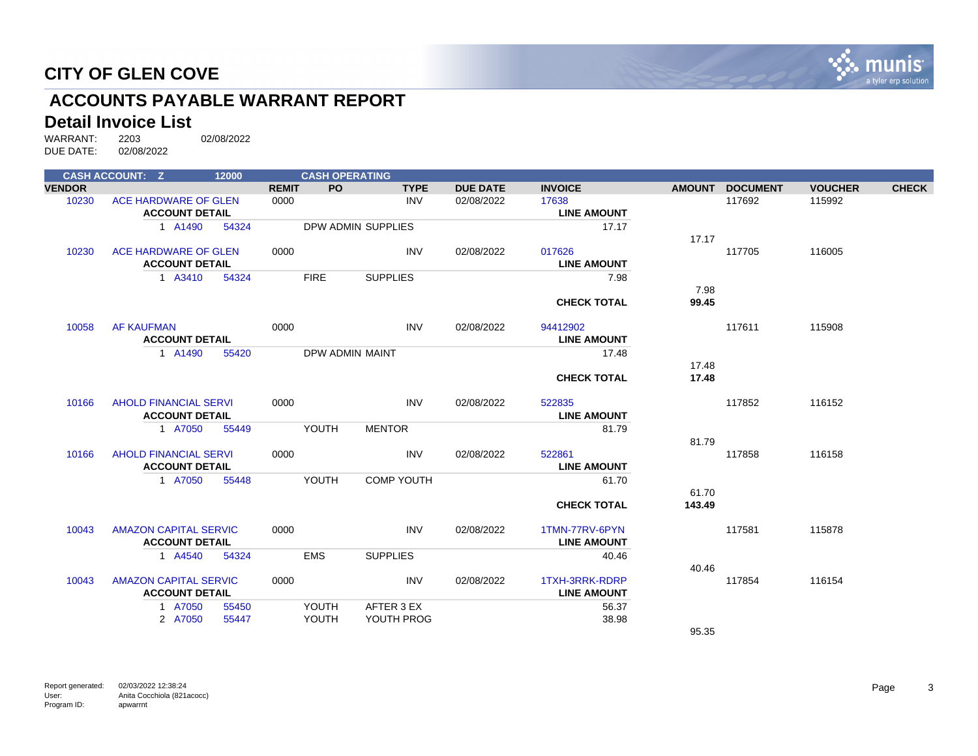

# **ACCOUNTS PAYABLE WARRANT REPORT**

# **Detail Invoice List**<br>WARRANT: 2203

|               | <b>CASH ACCOUNT: Z</b>       | 12000          |              | <b>CASH OPERATING</b> |                          |                 |                    |               |                 |                |              |
|---------------|------------------------------|----------------|--------------|-----------------------|--------------------------|-----------------|--------------------|---------------|-----------------|----------------|--------------|
| <b>VENDOR</b> |                              |                | <b>REMIT</b> | PO.                   | <b>TYPE</b>              | <b>DUE DATE</b> | <b>INVOICE</b>     | <b>AMOUNT</b> | <b>DOCUMENT</b> | <b>VOUCHER</b> | <b>CHECK</b> |
| 10230         | ACE HARDWARE OF GLEN         |                | 0000         |                       | <b>INV</b>               | 02/08/2022      | 17638              |               | 117692          | 115992         |              |
|               | <b>ACCOUNT DETAIL</b>        |                |              |                       |                          |                 | <b>LINE AMOUNT</b> |               |                 |                |              |
|               | 1 A1490                      | 54324          |              |                       | DPW ADMIN SUPPLIES       |                 | 17.17              |               |                 |                |              |
| 10230         | ACE HARDWARE OF GLEN         |                | 0000         |                       | <b>INV</b>               | 02/08/2022      | 017626             | 17.17         | 117705          | 116005         |              |
|               | <b>ACCOUNT DETAIL</b>        |                |              |                       |                          |                 | <b>LINE AMOUNT</b> |               |                 |                |              |
|               | 1 A3410                      | 54324          |              | <b>FIRE</b>           | <b>SUPPLIES</b>          |                 | 7.98               |               |                 |                |              |
|               |                              |                |              |                       |                          |                 |                    | 7.98          |                 |                |              |
|               |                              |                |              |                       |                          |                 | <b>CHECK TOTAL</b> | 99.45         |                 |                |              |
| 10058         | <b>AF KAUFMAN</b>            |                | 0000         |                       | <b>INV</b>               | 02/08/2022      | 94412902           |               | 117611          | 115908         |              |
|               | <b>ACCOUNT DETAIL</b>        |                |              |                       |                          |                 | <b>LINE AMOUNT</b> |               |                 |                |              |
|               | 1 A1490                      | 55420          |              |                       | DPW ADMIN MAINT          |                 | 17.48              |               |                 |                |              |
|               |                              |                |              |                       |                          |                 |                    | 17.48         |                 |                |              |
|               |                              |                |              |                       |                          |                 | <b>CHECK TOTAL</b> | 17.48         |                 |                |              |
| 10166         | <b>AHOLD FINANCIAL SERVI</b> |                | 0000         |                       | <b>INV</b>               | 02/08/2022      | 522835             |               | 117852          | 116152         |              |
|               | <b>ACCOUNT DETAIL</b>        |                |              |                       |                          |                 | <b>LINE AMOUNT</b> |               |                 |                |              |
|               | 1 A7050                      | 55449          |              | YOUTH                 | <b>MENTOR</b>            |                 | 81.79              |               |                 |                |              |
|               |                              |                |              |                       |                          |                 |                    | 81.79         |                 |                |              |
| 10166         | <b>AHOLD FINANCIAL SERVI</b> |                | 0000         |                       | <b>INV</b>               | 02/08/2022      | 522861             |               | 117858          | 116158         |              |
|               | <b>ACCOUNT DETAIL</b>        |                |              |                       |                          |                 | <b>LINE AMOUNT</b> |               |                 |                |              |
|               | 1 A7050                      | 55448          |              | YOUTH                 | <b>COMP YOUTH</b>        |                 | 61.70              |               |                 |                |              |
|               |                              |                |              |                       |                          |                 |                    | 61.70         |                 |                |              |
|               |                              |                |              |                       |                          |                 | <b>CHECK TOTAL</b> | 143.49        |                 |                |              |
| 10043         | <b>AMAZON CAPITAL SERVIC</b> |                | 0000         |                       | <b>INV</b>               | 02/08/2022      | 1TMN-77RV-6PYN     |               | 117581          | 115878         |              |
|               | <b>ACCOUNT DETAIL</b>        |                |              |                       |                          |                 | <b>LINE AMOUNT</b> |               |                 |                |              |
|               | 1 A4540                      | 54324          |              | <b>EMS</b>            | <b>SUPPLIES</b>          |                 | 40.46              |               |                 |                |              |
|               |                              |                |              |                       |                          |                 |                    | 40.46         |                 |                |              |
| 10043         | <b>AMAZON CAPITAL SERVIC</b> |                | 0000         |                       | INV                      | 02/08/2022      | 1TXH-3RRK-RDRP     |               | 117854          | 116154         |              |
|               | <b>ACCOUNT DETAIL</b>        |                |              |                       |                          |                 | <b>LINE AMOUNT</b> |               |                 |                |              |
|               | 1 A7050<br>2 A7050           | 55450<br>55447 |              | YOUTH<br>YOUTH        | AFTER 3 EX<br>YOUTH PROG |                 | 56.37<br>38.98     |               |                 |                |              |
|               |                              |                |              |                       |                          |                 |                    | 95.35         |                 |                |              |
|               |                              |                |              |                       |                          |                 |                    |               |                 |                |              |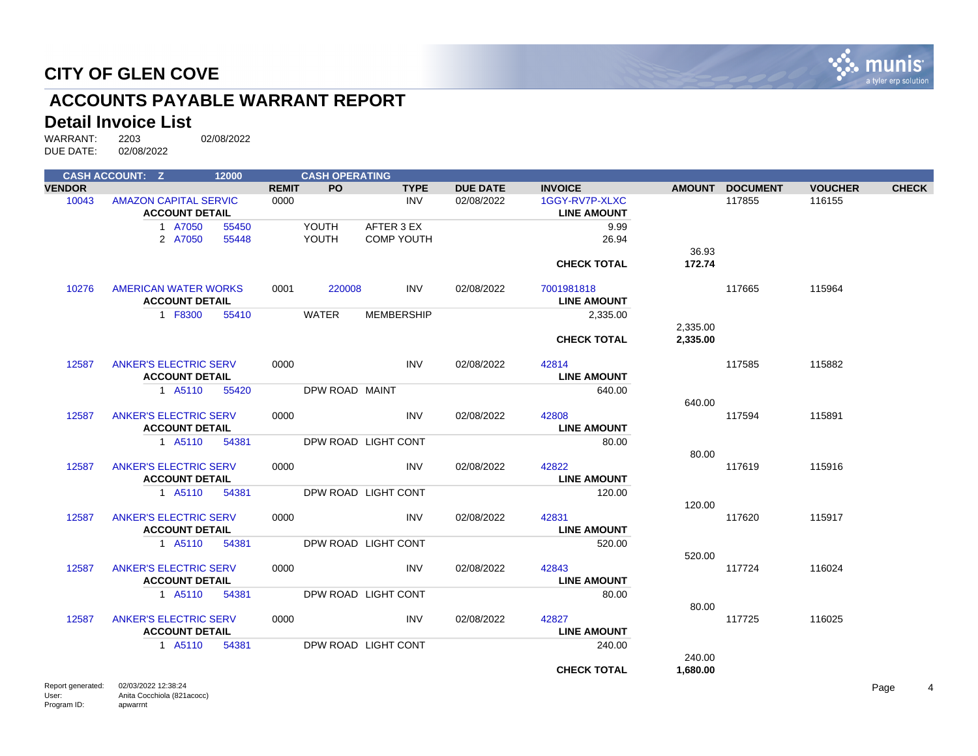

# **ACCOUNTS PAYABLE WARRANT REPORT**

#### **Detail Invoice List**

WARRANT: 2203 02/08/2022<br>DUE DATE: 02/08/2022 DUE DATE:

|                   | <b>CASH ACCOUNT: Z</b>                                | 12000 |              | <b>CASH OPERATING</b> |                     |                 |                                      |                    |                 |                |              |
|-------------------|-------------------------------------------------------|-------|--------------|-----------------------|---------------------|-----------------|--------------------------------------|--------------------|-----------------|----------------|--------------|
| <b>VENDOR</b>     |                                                       |       | <b>REMIT</b> | <b>PO</b>             | <b>TYPE</b>         | <b>DUE DATE</b> | <b>INVOICE</b>                       |                    | AMOUNT DOCUMENT | <b>VOUCHER</b> | <b>CHECK</b> |
| 10043             | <b>AMAZON CAPITAL SERVIC</b><br><b>ACCOUNT DETAIL</b> |       | 0000         |                       | <b>INV</b>          | 02/08/2022      | 1GGY-RV7P-XLXC<br><b>LINE AMOUNT</b> |                    | 117855          | 116155         |              |
|                   | 1 A7050                                               | 55450 |              | YOUTH                 | AFTER 3 EX          |                 | 9.99                                 |                    |                 |                |              |
|                   | 2 A7050                                               | 55448 |              | YOUTH                 | <b>COMP YOUTH</b>   |                 | 26.94                                |                    |                 |                |              |
|                   |                                                       |       |              |                       |                     |                 |                                      | 36.93              |                 |                |              |
|                   |                                                       |       |              |                       |                     |                 | <b>CHECK TOTAL</b>                   | 172.74             |                 |                |              |
| 10276             | <b>AMERICAN WATER WORKS</b>                           |       | 0001         | 220008                | <b>INV</b>          | 02/08/2022      | 7001981818                           |                    | 117665          | 115964         |              |
|                   | <b>ACCOUNT DETAIL</b>                                 |       |              |                       |                     |                 | <b>LINE AMOUNT</b>                   |                    |                 |                |              |
|                   | 1 F8300                                               | 55410 |              | <b>WATER</b>          | <b>MEMBERSHIP</b>   |                 | 2,335.00                             |                    |                 |                |              |
|                   |                                                       |       |              |                       |                     |                 |                                      | 2,335.00           |                 |                |              |
|                   |                                                       |       |              |                       |                     |                 | <b>CHECK TOTAL</b>                   | 2,335.00           |                 |                |              |
| 12587             | <b>ANKER'S ELECTRIC SERV</b>                          |       | 0000         |                       | <b>INV</b>          | 02/08/2022      | 42814                                |                    | 117585          | 115882         |              |
|                   | <b>ACCOUNT DETAIL</b>                                 |       |              |                       |                     |                 | <b>LINE AMOUNT</b>                   |                    |                 |                |              |
|                   | 1 A5110                                               | 55420 |              | DPW ROAD MAINT        |                     |                 | 640.00                               |                    |                 |                |              |
|                   |                                                       |       |              |                       |                     |                 |                                      | 640.00             |                 |                |              |
| 12587             | <b>ANKER'S ELECTRIC SERV</b>                          |       | 0000         |                       | <b>INV</b>          | 02/08/2022      | 42808                                |                    | 117594          | 115891         |              |
|                   | <b>ACCOUNT DETAIL</b>                                 |       |              |                       |                     |                 | <b>LINE AMOUNT</b>                   |                    |                 |                |              |
|                   | 1 A5110                                               | 54381 |              |                       | DPW ROAD LIGHT CONT |                 | 80.00                                |                    |                 |                |              |
|                   |                                                       |       |              |                       |                     |                 |                                      | 80.00              |                 |                |              |
| 12587             | <b>ANKER'S ELECTRIC SERV</b>                          |       | 0000         |                       | <b>INV</b>          | 02/08/2022      | 42822                                |                    | 117619          | 115916         |              |
|                   | <b>ACCOUNT DETAIL</b>                                 |       |              |                       |                     |                 | <b>LINE AMOUNT</b>                   |                    |                 |                |              |
|                   | 1 A5110                                               | 54381 |              |                       | DPW ROAD LIGHT CONT |                 | 120.00                               |                    |                 |                |              |
|                   |                                                       |       |              |                       |                     |                 |                                      | 120.00             |                 |                |              |
| 12587             | <b>ANKER'S ELECTRIC SERV</b>                          |       | 0000         |                       | <b>INV</b>          | 02/08/2022      | 42831                                |                    | 117620          | 115917         |              |
|                   | <b>ACCOUNT DETAIL</b>                                 |       |              |                       |                     |                 | <b>LINE AMOUNT</b>                   |                    |                 |                |              |
|                   | 1 A5110                                               | 54381 |              |                       | DPW ROAD LIGHT CONT |                 | 520.00                               |                    |                 |                |              |
|                   |                                                       |       |              |                       |                     |                 |                                      | 520.00             |                 |                |              |
| 12587             | <b>ANKER'S ELECTRIC SERV</b>                          |       | 0000         |                       | <b>INV</b>          | 02/08/2022      | 42843                                |                    | 117724          | 116024         |              |
|                   | <b>ACCOUNT DETAIL</b>                                 |       |              |                       |                     |                 | <b>LINE AMOUNT</b>                   |                    |                 |                |              |
|                   | 1 A5110                                               | 54381 |              |                       | DPW ROAD LIGHT CONT |                 | 80.00                                |                    |                 |                |              |
|                   |                                                       |       |              |                       |                     |                 |                                      | 80.00              |                 | 116025         |              |
| 12587             | <b>ANKER'S ELECTRIC SERV</b><br><b>ACCOUNT DETAIL</b> |       | 0000         |                       | <b>INV</b>          | 02/08/2022      | 42827<br><b>LINE AMOUNT</b>          |                    | 117725          |                |              |
|                   |                                                       |       |              |                       |                     |                 |                                      |                    |                 |                |              |
|                   | 1 A5110                                               | 54381 |              |                       | DPW ROAD LIGHT CONT |                 | 240.00                               |                    |                 |                |              |
|                   |                                                       |       |              |                       |                     |                 | <b>CHECK TOTAL</b>                   | 240.00<br>1,680.00 |                 |                |              |
|                   |                                                       |       |              |                       |                     |                 |                                      |                    |                 |                |              |
| Report generated: | 02/03/2022 12:38:24                                   |       |              |                       |                     |                 |                                      |                    |                 |                | Page         |

User: Program ID: Anita Cocchiola (821acocc) apwarrnt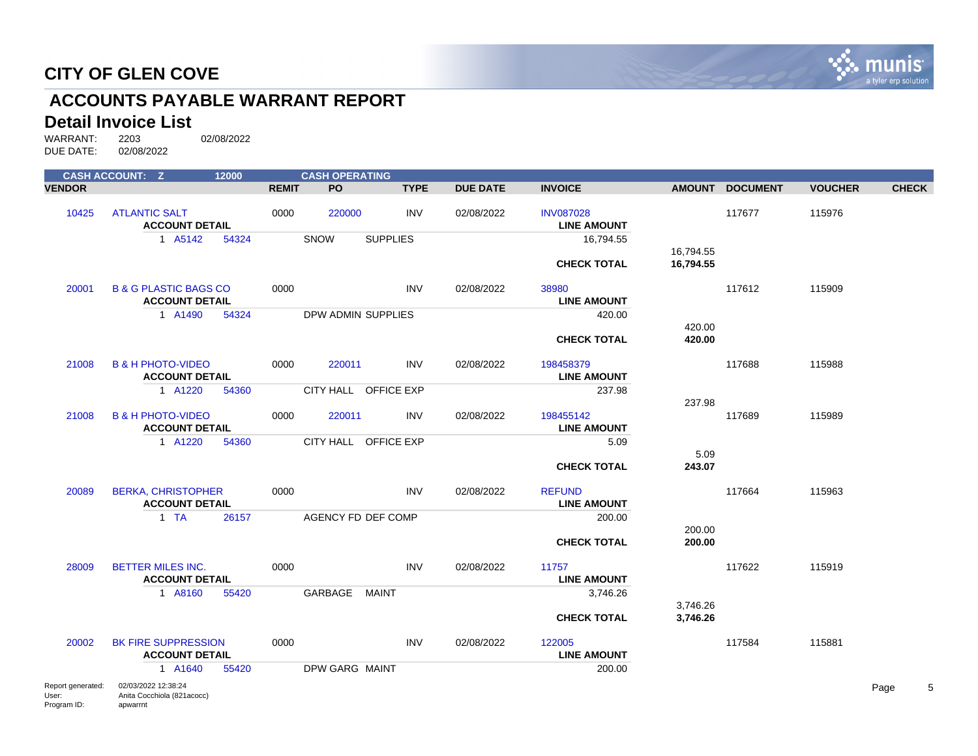

# **ACCOUNTS PAYABLE WARRANT REPORT**

#### **Detail Invoice List**

Program ID:

apwarrnt

|                            | <b>CASH ACCOUNT: Z</b>                                    | 12000 |              | <b>CASH OPERATING</b> |                      |                 |                                        |                        |                 |                |              |
|----------------------------|-----------------------------------------------------------|-------|--------------|-----------------------|----------------------|-----------------|----------------------------------------|------------------------|-----------------|----------------|--------------|
| <b>VENDOR</b>              |                                                           |       | <b>REMIT</b> | PO                    | <b>TYPE</b>          | <b>DUE DATE</b> | <b>INVOICE</b>                         | <b>AMOUNT</b>          | <b>DOCUMENT</b> | <b>VOUCHER</b> | <b>CHECK</b> |
| 10425                      | <b>ATLANTIC SALT</b><br><b>ACCOUNT DETAIL</b>             |       | 0000         | 220000                | <b>INV</b>           | 02/08/2022      | <b>INV087028</b><br><b>LINE AMOUNT</b> |                        | 117677          | 115976         |              |
|                            | 1 A5142                                                   | 54324 |              | SNOW                  | <b>SUPPLIES</b>      |                 | 16,794.55                              |                        |                 |                |              |
|                            |                                                           |       |              |                       |                      |                 | <b>CHECK TOTAL</b>                     | 16,794.55<br>16,794.55 |                 |                |              |
|                            |                                                           |       |              |                       |                      |                 |                                        |                        |                 |                |              |
| 20001                      | <b>B &amp; G PLASTIC BAGS CO</b><br><b>ACCOUNT DETAIL</b> |       | 0000         |                       | <b>INV</b>           | 02/08/2022      | 38980<br><b>LINE AMOUNT</b>            |                        | 117612          | 115909         |              |
|                            | 1 A1490                                                   | 54324 |              | DPW ADMIN SUPPLIES    |                      |                 | 420.00                                 |                        |                 |                |              |
|                            |                                                           |       |              |                       |                      |                 | <b>CHECK TOTAL</b>                     | 420.00<br>420.00       |                 |                |              |
| 21008                      | <b>B &amp; H PHOTO-VIDEO</b><br><b>ACCOUNT DETAIL</b>     |       | 0000         | 220011                | <b>INV</b>           | 02/08/2022      | 198458379<br><b>LINE AMOUNT</b>        |                        | 117688          | 115988         |              |
|                            | 1 A1220                                                   | 54360 |              |                       | CITY HALL OFFICE EXP |                 | 237.98                                 |                        |                 |                |              |
| 21008                      | <b>B &amp; H PHOTO-VIDEO</b><br><b>ACCOUNT DETAIL</b>     |       | 0000         | 220011                | <b>INV</b>           | 02/08/2022      | 198455142<br><b>LINE AMOUNT</b>        | 237.98                 | 117689          | 115989         |              |
|                            | 1 A1220                                                   | 54360 |              |                       | CITY HALL OFFICE EXP |                 | 5.09                                   |                        |                 |                |              |
|                            |                                                           |       |              |                       |                      |                 | <b>CHECK TOTAL</b>                     | 5.09<br>243.07         |                 |                |              |
| 20089                      | <b>BERKA, CHRISTOPHER</b><br><b>ACCOUNT DETAIL</b>        |       | 0000         |                       | <b>INV</b>           | 02/08/2022      | <b>REFUND</b><br><b>LINE AMOUNT</b>    |                        | 117664          | 115963         |              |
|                            | 1 TA                                                      | 26157 |              | AGENCY FD DEF COMP    |                      |                 | 200.00                                 |                        |                 |                |              |
|                            |                                                           |       |              |                       |                      |                 | <b>CHECK TOTAL</b>                     | 200.00<br>200.00       |                 |                |              |
| 28009                      | <b>BETTER MILES INC.</b><br><b>ACCOUNT DETAIL</b>         |       | 0000         |                       | <b>INV</b>           | 02/08/2022      | 11757<br><b>LINE AMOUNT</b>            |                        | 117622          | 115919         |              |
|                            | 1 A8160                                                   | 55420 |              | GARBAGE               | <b>MAINT</b>         |                 | 3,746.26                               |                        |                 |                |              |
|                            |                                                           |       |              |                       |                      |                 | <b>CHECK TOTAL</b>                     | 3,746.26<br>3,746.26   |                 |                |              |
| 20002                      | <b>BK FIRE SUPPRESSION</b><br><b>ACCOUNT DETAIL</b>       |       | 0000         |                       | <b>INV</b>           | 02/08/2022      | 122005<br><b>LINE AMOUNT</b>           |                        | 117584          | 115881         |              |
|                            | 1 A1640                                                   | 55420 |              | <b>DPW GARG MAINT</b> |                      |                 | 200.00                                 |                        |                 |                |              |
| Report generated:<br>User: | 02/03/2022 12:38:24<br>Anita Cocchiola (821acocc)         |       |              |                       |                      |                 |                                        |                        |                 |                | 5<br>Page    |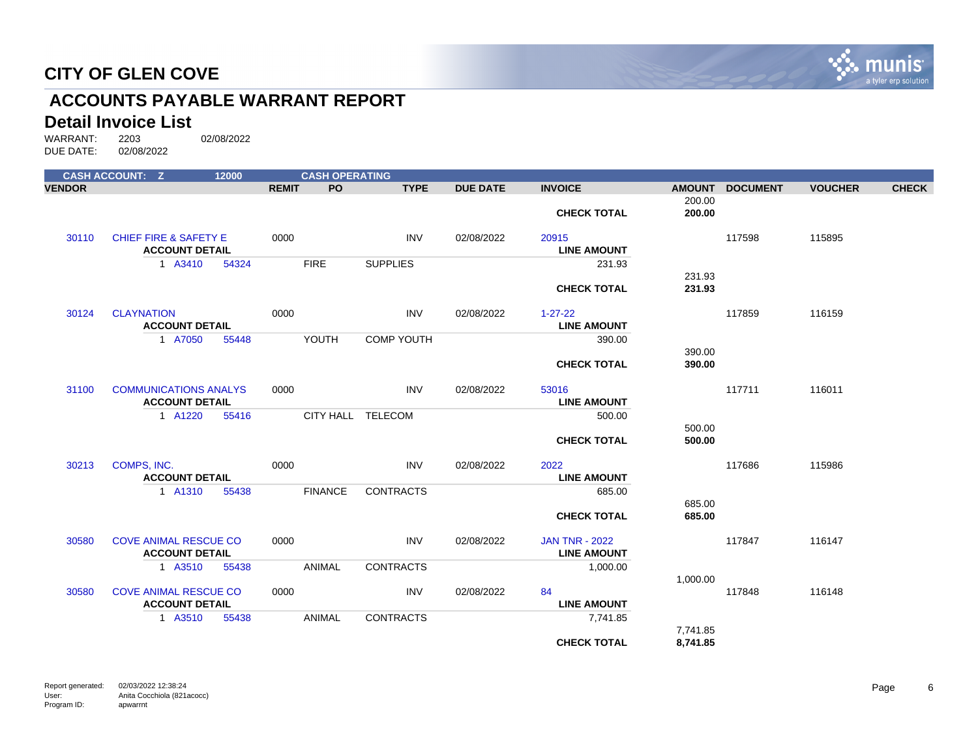

# **ACCOUNTS PAYABLE WARRANT REPORT**

# **Detail Invoice List**<br>WARRANT: 2203

|               | <b>CASH ACCOUNT: Z</b>                                    | 12000 |              | <b>CASH OPERATING</b> |                   |                 |                                             |                  |                 |                |              |
|---------------|-----------------------------------------------------------|-------|--------------|-----------------------|-------------------|-----------------|---------------------------------------------|------------------|-----------------|----------------|--------------|
| <b>VENDOR</b> |                                                           |       | <b>REMIT</b> | PO.                   | <b>TYPE</b>       | <b>DUE DATE</b> | <b>INVOICE</b>                              | <b>AMOUNT</b>    | <b>DOCUMENT</b> | <b>VOUCHER</b> | <b>CHECK</b> |
|               |                                                           |       |              |                       |                   |                 | <b>CHECK TOTAL</b>                          | 200.00<br>200.00 |                 |                |              |
| 30110         | <b>CHIEF FIRE &amp; SAFETY E</b><br><b>ACCOUNT DETAIL</b> |       | 0000         |                       | <b>INV</b>        | 02/08/2022      | 20915<br><b>LINE AMOUNT</b>                 |                  | 117598          | 115895         |              |
|               | 1 A3410                                                   | 54324 |              | <b>FIRE</b>           | <b>SUPPLIES</b>   |                 | 231.93                                      |                  |                 |                |              |
|               |                                                           |       |              |                       |                   |                 | <b>CHECK TOTAL</b>                          | 231.93<br>231.93 |                 |                |              |
| 30124         | <b>CLAYNATION</b><br><b>ACCOUNT DETAIL</b>                |       | 0000         |                       | <b>INV</b>        | 02/08/2022      | $1 - 27 - 22$<br><b>LINE AMOUNT</b>         |                  | 117859          | 116159         |              |
|               | 1 A7050                                                   | 55448 |              | YOUTH                 | <b>COMP YOUTH</b> |                 | 390.00                                      |                  |                 |                |              |
|               |                                                           |       |              |                       |                   |                 | <b>CHECK TOTAL</b>                          | 390.00<br>390.00 |                 |                |              |
| 31100         | <b>COMMUNICATIONS ANALYS</b><br><b>ACCOUNT DETAIL</b>     |       | 0000         |                       | <b>INV</b>        | 02/08/2022      | 53016<br><b>LINE AMOUNT</b>                 |                  | 117711          | 116011         |              |
|               | 1 A1220                                                   | 55416 |              | CITY HALL TELECOM     |                   |                 | 500.00                                      | 500.00           |                 |                |              |
|               |                                                           |       |              |                       |                   |                 | <b>CHECK TOTAL</b>                          | 500.00           |                 |                |              |
| 30213         | COMPS, INC.<br><b>ACCOUNT DETAIL</b>                      |       | 0000         |                       | <b>INV</b>        | 02/08/2022      | 2022<br><b>LINE AMOUNT</b>                  |                  | 117686          | 115986         |              |
|               | 1 A1310                                                   | 55438 |              | <b>FINANCE</b>        | <b>CONTRACTS</b>  |                 | 685.00                                      |                  |                 |                |              |
|               |                                                           |       |              |                       |                   |                 | <b>CHECK TOTAL</b>                          | 685.00<br>685.00 |                 |                |              |
| 30580         | <b>COVE ANIMAL RESCUE CO</b><br><b>ACCOUNT DETAIL</b>     |       | 0000         |                       | <b>INV</b>        | 02/08/2022      | <b>JAN TNR - 2022</b><br><b>LINE AMOUNT</b> |                  | 117847          | 116147         |              |
|               | 1 A3510                                                   | 55438 |              | <b>ANIMAL</b>         | <b>CONTRACTS</b>  |                 | 1,000.00                                    |                  |                 |                |              |
| 30580         | <b>COVE ANIMAL RESCUE CO</b><br><b>ACCOUNT DETAIL</b>     |       | 0000         |                       | INV               | 02/08/2022      | 84<br><b>LINE AMOUNT</b>                    | 1,000.00         | 117848          | 116148         |              |
|               | 1 A3510                                                   | 55438 |              | ANIMAL                | <b>CONTRACTS</b>  |                 | 7,741.85                                    | 7.741.85         |                 |                |              |
|               |                                                           |       |              |                       |                   |                 | <b>CHECK TOTAL</b>                          | 8,741.85         |                 |                |              |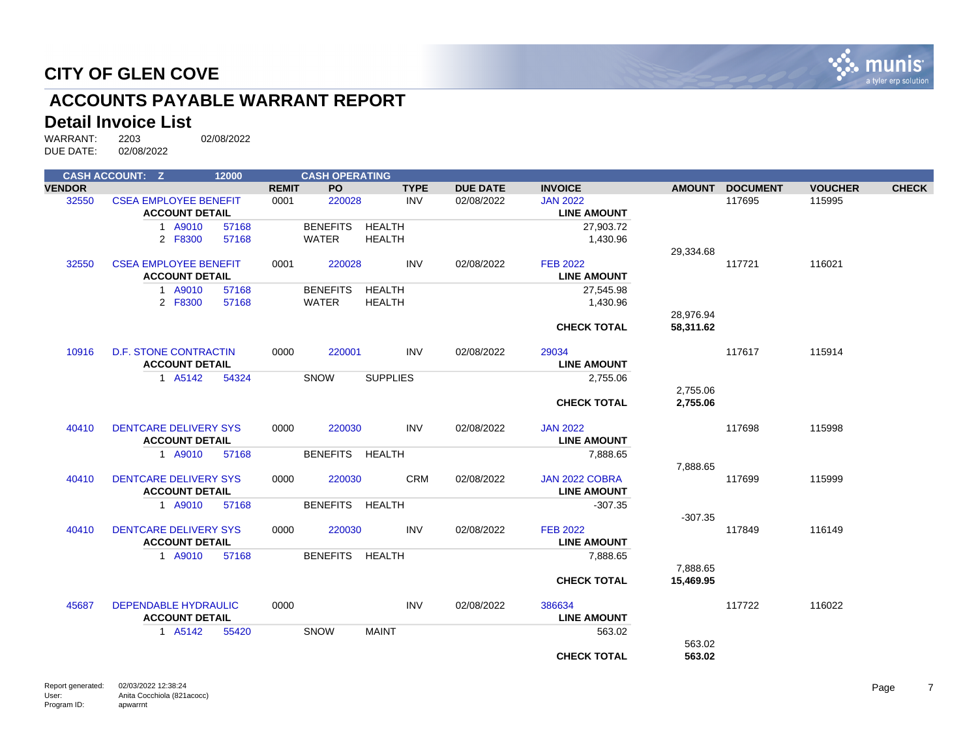

# **ACCOUNTS PAYABLE WARRANT REPORT**

# **Detail Invoice List**<br>WARRANT: 2203

WARRANT: 2203 02/08/2022 DUE DATE: 02/08/2022

|               | <b>CASH ACCOUNT: Z</b>       | 12000 |              | <b>CASH OPERATING</b> |                 |                 |                    |               |                 |                |              |
|---------------|------------------------------|-------|--------------|-----------------------|-----------------|-----------------|--------------------|---------------|-----------------|----------------|--------------|
| <b>VENDOR</b> |                              |       | <b>REMIT</b> | <b>PO</b>             | <b>TYPE</b>     | <b>DUE DATE</b> | <b>INVOICE</b>     | <b>AMOUNT</b> | <b>DOCUMENT</b> | <b>VOUCHER</b> | <b>CHECK</b> |
| 32550         | <b>CSEA EMPLOYEE BENEFIT</b> |       | 0001         | 220028                | <b>INV</b>      | 02/08/2022      | <b>JAN 2022</b>    |               | 117695          | 115995         |              |
|               | <b>ACCOUNT DETAIL</b>        |       |              |                       |                 |                 | <b>LINE AMOUNT</b> |               |                 |                |              |
|               | 1 A9010                      | 57168 |              | <b>BENEFITS</b>       | <b>HEALTH</b>   |                 | 27,903.72          |               |                 |                |              |
|               | 2 F8300                      | 57168 |              | <b>WATER</b>          | <b>HEALTH</b>   |                 | 1,430.96           |               |                 |                |              |
|               |                              |       |              |                       |                 |                 |                    | 29,334.68     |                 |                |              |
| 32550         | <b>CSEA EMPLOYEE BENEFIT</b> |       | 0001         | 220028                | <b>INV</b>      | 02/08/2022      | <b>FEB 2022</b>    |               | 117721          | 116021         |              |
|               | <b>ACCOUNT DETAIL</b>        |       |              |                       |                 |                 | <b>LINE AMOUNT</b> |               |                 |                |              |
|               | 1 A9010                      | 57168 |              | <b>BENEFITS</b>       | <b>HEALTH</b>   |                 | 27,545.98          |               |                 |                |              |
|               | 2 F8300                      | 57168 |              | <b>WATER</b>          | <b>HEALTH</b>   |                 | 1,430.96           |               |                 |                |              |
|               |                              |       |              |                       |                 |                 |                    | 28,976.94     |                 |                |              |
|               |                              |       |              |                       |                 |                 | <b>CHECK TOTAL</b> | 58,311.62     |                 |                |              |
| 10916         | <b>D.F. STONE CONTRACTIN</b> |       | 0000         | 220001                | <b>INV</b>      | 02/08/2022      | 29034              |               | 117617          | 115914         |              |
|               | <b>ACCOUNT DETAIL</b>        |       |              |                       |                 |                 | <b>LINE AMOUNT</b> |               |                 |                |              |
|               | 1 A5142                      | 54324 |              | <b>SNOW</b>           | <b>SUPPLIES</b> |                 | 2,755.06           |               |                 |                |              |
|               |                              |       |              |                       |                 |                 |                    | 2,755.06      |                 |                |              |
|               |                              |       |              |                       |                 |                 | <b>CHECK TOTAL</b> | 2,755.06      |                 |                |              |
| 40410         | <b>DENTCARE DELIVERY SYS</b> |       | 0000         | 220030                | <b>INV</b>      | 02/08/2022      | <b>JAN 2022</b>    |               | 117698          | 115998         |              |
|               | <b>ACCOUNT DETAIL</b>        |       |              |                       |                 |                 | <b>LINE AMOUNT</b> |               |                 |                |              |
|               | 1 A9010                      | 57168 |              | <b>BENEFITS</b>       | <b>HEALTH</b>   |                 | 7,888.65           |               |                 |                |              |
|               |                              |       |              |                       |                 |                 |                    | 7,888.65      |                 |                |              |
| 40410         | <b>DENTCARE DELIVERY SYS</b> |       | 0000         | 220030                | <b>CRM</b>      | 02/08/2022      | JAN 2022 COBRA     |               | 117699          | 115999         |              |
|               | <b>ACCOUNT DETAIL</b>        |       |              |                       |                 |                 | <b>LINE AMOUNT</b> |               |                 |                |              |
|               | 1 A9010                      | 57168 |              | BENEFITS HEALTH       |                 |                 | $-307.35$          |               |                 |                |              |
|               |                              |       |              |                       |                 |                 |                    | $-307.35$     |                 |                |              |
| 40410         | <b>DENTCARE DELIVERY SYS</b> |       | 0000         | 220030                | <b>INV</b>      | 02/08/2022      | <b>FEB 2022</b>    |               | 117849          | 116149         |              |
|               | <b>ACCOUNT DETAIL</b>        |       |              |                       |                 |                 | <b>LINE AMOUNT</b> |               |                 |                |              |
|               | 1 A9010                      | 57168 |              | <b>BENEFITS</b>       | HEALTH          |                 | 7,888.65           |               |                 |                |              |
|               |                              |       |              |                       |                 |                 |                    | 7,888.65      |                 |                |              |
|               |                              |       |              |                       |                 |                 | <b>CHECK TOTAL</b> | 15,469.95     |                 |                |              |
| 45687         | <b>DEPENDABLE HYDRAULIC</b>  |       | 0000         |                       | <b>INV</b>      | 02/08/2022      | 386634             |               | 117722          | 116022         |              |
|               | <b>ACCOUNT DETAIL</b>        |       |              |                       |                 |                 | <b>LINE AMOUNT</b> |               |                 |                |              |
|               | 1 A5142                      | 55420 |              | <b>SNOW</b>           | <b>MAINT</b>    |                 | 563.02             |               |                 |                |              |
|               |                              |       |              |                       |                 |                 |                    | 563.02        |                 |                |              |
|               |                              |       |              |                       |                 |                 | <b>CHECK TOTAL</b> | 563.02        |                 |                |              |
|               |                              |       |              |                       |                 |                 |                    |               |                 |                |              |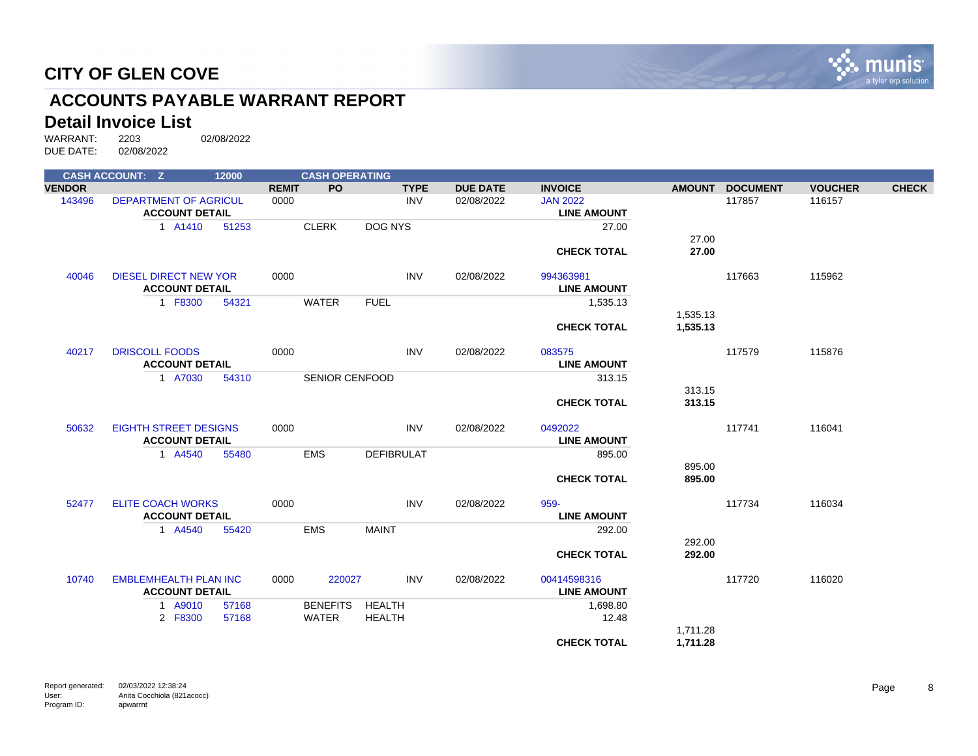

# **ACCOUNTS PAYABLE WARRANT REPORT**

# **Detail Invoice List**<br>WARRANT: 2203

|               | <b>CASH ACCOUNT: Z</b>                                | 12000 |              | <b>CASH OPERATING</b> |                   |             |                 |                                   |               |                 |                |              |
|---------------|-------------------------------------------------------|-------|--------------|-----------------------|-------------------|-------------|-----------------|-----------------------------------|---------------|-----------------|----------------|--------------|
| <b>VENDOR</b> |                                                       |       | <b>REMIT</b> | PO.                   |                   | <b>TYPE</b> | <b>DUE DATE</b> | <b>INVOICE</b>                    | <b>AMOUNT</b> | <b>DOCUMENT</b> | <b>VOUCHER</b> | <b>CHECK</b> |
| 143496        | <b>DEPARTMENT OF AGRICUL</b>                          |       | 0000         |                       |                   | <b>INV</b>  | 02/08/2022      | <b>JAN 2022</b>                   |               | 117857          | 116157         |              |
|               | <b>ACCOUNT DETAIL</b>                                 |       |              |                       |                   |             |                 | <b>LINE AMOUNT</b>                |               |                 |                |              |
|               | 1 A1410                                               | 51253 |              | <b>CLERK</b>          | DOG NYS           |             |                 | 27.00                             |               |                 |                |              |
|               |                                                       |       |              |                       |                   |             |                 |                                   | 27.00         |                 |                |              |
|               |                                                       |       |              |                       |                   |             |                 | <b>CHECK TOTAL</b>                | 27.00         |                 |                |              |
| 40046         | <b>DIESEL DIRECT NEW YOR</b>                          |       | 0000         |                       |                   | <b>INV</b>  | 02/08/2022      | 994363981                         |               | 117663          | 115962         |              |
|               | <b>ACCOUNT DETAIL</b>                                 |       |              |                       |                   |             |                 | <b>LINE AMOUNT</b>                |               |                 |                |              |
|               | 1 F8300                                               | 54321 |              | <b>WATER</b>          | <b>FUEL</b>       |             |                 | 1,535.13                          |               |                 |                |              |
|               |                                                       |       |              |                       |                   |             |                 |                                   | 1,535.13      |                 |                |              |
|               |                                                       |       |              |                       |                   |             |                 | <b>CHECK TOTAL</b>                | 1,535.13      |                 |                |              |
| 40217         | <b>DRISCOLL FOODS</b>                                 |       | 0000         |                       |                   | <b>INV</b>  | 02/08/2022      | 083575                            |               | 117579          | 115876         |              |
|               | <b>ACCOUNT DETAIL</b>                                 |       |              |                       |                   |             |                 | <b>LINE AMOUNT</b>                |               |                 |                |              |
|               | 1 A7030                                               | 54310 |              | <b>SENIOR CENFOOD</b> |                   |             |                 | 313.15                            |               |                 |                |              |
|               |                                                       |       |              |                       |                   |             |                 |                                   | 313.15        |                 |                |              |
|               |                                                       |       |              |                       |                   |             |                 | <b>CHECK TOTAL</b>                | 313.15        |                 |                |              |
| 50632         | <b>EIGHTH STREET DESIGNS</b>                          |       | 0000         |                       |                   | <b>INV</b>  | 02/08/2022      | 0492022                           |               | 117741          | 116041         |              |
|               | <b>ACCOUNT DETAIL</b>                                 |       |              |                       |                   |             |                 | <b>LINE AMOUNT</b>                |               |                 |                |              |
|               | 1 A4540                                               | 55480 |              | <b>EMS</b>            | <b>DEFIBRULAT</b> |             |                 | 895.00                            |               |                 |                |              |
|               |                                                       |       |              |                       |                   |             |                 |                                   | 895.00        |                 |                |              |
|               |                                                       |       |              |                       |                   |             |                 | <b>CHECK TOTAL</b>                | 895.00        |                 |                |              |
| 52477         | <b>ELITE COACH WORKS</b>                              |       | 0000         |                       |                   | <b>INV</b>  | 02/08/2022      | 959-                              |               | 117734          | 116034         |              |
|               | <b>ACCOUNT DETAIL</b>                                 |       |              |                       |                   |             |                 | <b>LINE AMOUNT</b>                |               |                 |                |              |
|               | 1 A4540                                               | 55420 |              | <b>EMS</b>            | <b>MAINT</b>      |             |                 | 292.00                            |               |                 |                |              |
|               |                                                       |       |              |                       |                   |             |                 |                                   | 292.00        |                 |                |              |
|               |                                                       |       |              |                       |                   |             |                 | <b>CHECK TOTAL</b>                | 292.00        |                 |                |              |
| 10740         | <b>EMBLEMHEALTH PLAN INC</b><br><b>ACCOUNT DETAIL</b> |       | 0000         | 220027                |                   | <b>INV</b>  | 02/08/2022      | 00414598316<br><b>LINE AMOUNT</b> |               | 117720          | 116020         |              |
|               | 1 A9010                                               | 57168 |              | <b>BENEFITS</b>       | <b>HEALTH</b>     |             |                 | 1,698.80                          |               |                 |                |              |
|               | 2 F8300                                               | 57168 |              | <b>WATER</b>          | <b>HEALTH</b>     |             |                 | 12.48                             |               |                 |                |              |
|               |                                                       |       |              |                       |                   |             |                 |                                   | 1,711.28      |                 |                |              |
|               |                                                       |       |              |                       |                   |             |                 | <b>CHECK TOTAL</b>                | 1,711.28      |                 |                |              |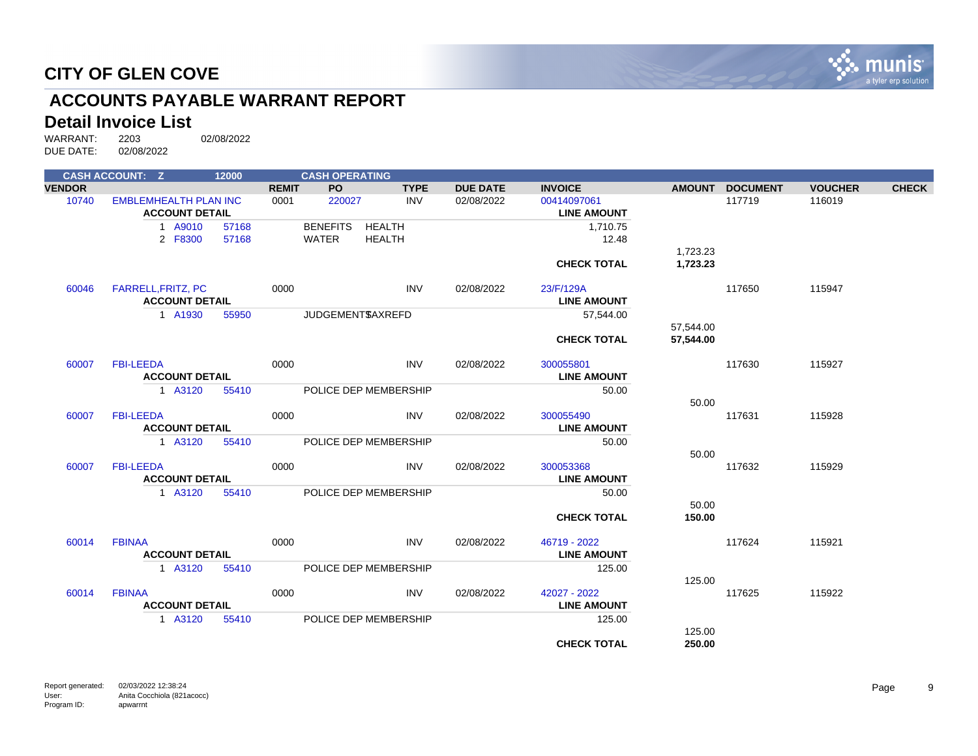

# **ACCOUNTS PAYABLE WARRANT REPORT**

# **Detail Invoice List**<br>WARRANT: 2203

|               | <b>CASH ACCOUNT: Z</b>       | 12000 |              | <b>CASH OPERATING</b> |               |                 |                    |                 |                 |                |              |
|---------------|------------------------------|-------|--------------|-----------------------|---------------|-----------------|--------------------|-----------------|-----------------|----------------|--------------|
| <b>VENDOR</b> |                              |       | <b>REMIT</b> | <b>PO</b>             | <b>TYPE</b>   | <b>DUE DATE</b> | <b>INVOICE</b>     | <b>AMOUNT</b>   | <b>DOCUMENT</b> | <b>VOUCHER</b> | <b>CHECK</b> |
| 10740         | <b>EMBLEMHEALTH PLAN INC</b> |       | 0001         | 220027                | <b>INV</b>    | 02/08/2022      | 00414097061        |                 | 117719          | 116019         |              |
|               | <b>ACCOUNT DETAIL</b>        |       |              |                       |               |                 | <b>LINE AMOUNT</b> |                 |                 |                |              |
|               | 1 A9010                      | 57168 |              | <b>BENEFITS</b>       | <b>HEALTH</b> |                 | 1,710.75           |                 |                 |                |              |
|               | 2 F8300                      | 57168 |              | <b>WATER</b>          | <b>HEALTH</b> |                 | 12.48              |                 |                 |                |              |
|               |                              |       |              |                       |               |                 |                    | 1,723.23        |                 |                |              |
|               |                              |       |              |                       |               |                 | <b>CHECK TOTAL</b> | 1,723.23        |                 |                |              |
| 60046         | <b>FARRELL, FRITZ, PC</b>    |       | 0000         |                       | <b>INV</b>    | 02/08/2022      | 23/F/129A          |                 | 117650          | 115947         |              |
|               | <b>ACCOUNT DETAIL</b>        |       |              |                       |               |                 | <b>LINE AMOUNT</b> |                 |                 |                |              |
|               | 1 A1930                      | 55950 |              | JUDGEMENT\$AXREFD     |               |                 | 57,544.00          |                 |                 |                |              |
|               |                              |       |              |                       |               |                 |                    | 57,544.00       |                 |                |              |
|               |                              |       |              |                       |               |                 | <b>CHECK TOTAL</b> | 57,544.00       |                 |                |              |
| 60007         | <b>FBI-LEEDA</b>             |       | 0000         |                       | <b>INV</b>    | 02/08/2022      | 300055801          |                 | 117630          | 115927         |              |
|               | <b>ACCOUNT DETAIL</b>        |       |              |                       |               |                 | <b>LINE AMOUNT</b> |                 |                 |                |              |
|               | 1 A3120                      | 55410 |              | POLICE DEP MEMBERSHIP |               |                 | 50.00              |                 |                 |                |              |
| 60007         | <b>FBI-LEEDA</b>             |       | 0000         |                       | <b>INV</b>    | 02/08/2022      | 300055490          | 50.00           | 117631          | 115928         |              |
|               | <b>ACCOUNT DETAIL</b>        |       |              |                       |               |                 | <b>LINE AMOUNT</b> |                 |                 |                |              |
|               |                              |       |              |                       |               |                 |                    |                 |                 |                |              |
|               | 1 A3120                      | 55410 |              | POLICE DEP MEMBERSHIP |               |                 | 50.00              |                 |                 |                |              |
|               | <b>FBI-LEEDA</b>             |       | 0000         |                       | <b>INV</b>    | 02/08/2022      | 300053368          | 50.00           | 117632          | 115929         |              |
| 60007         | <b>ACCOUNT DETAIL</b>        |       |              |                       |               |                 | <b>LINE AMOUNT</b> |                 |                 |                |              |
|               |                              |       |              |                       |               |                 |                    |                 |                 |                |              |
|               | 1 A3120                      | 55410 |              | POLICE DEP MEMBERSHIP |               |                 | 50.00              |                 |                 |                |              |
|               |                              |       |              |                       |               |                 | <b>CHECK TOTAL</b> | 50.00<br>150.00 |                 |                |              |
|               |                              |       |              |                       |               |                 |                    |                 |                 |                |              |
| 60014         | <b>FBINAA</b>                |       | 0000         |                       | <b>INV</b>    | 02/08/2022      | 46719 - 2022       |                 | 117624          | 115921         |              |
|               | <b>ACCOUNT DETAIL</b>        |       |              |                       |               |                 | <b>LINE AMOUNT</b> |                 |                 |                |              |
|               | 1 A3120                      | 55410 |              | POLICE DEP MEMBERSHIP |               |                 | 125.00             |                 |                 |                |              |
|               |                              |       |              |                       |               |                 |                    | 125.00          |                 |                |              |
| 60014         | <b>FBINAA</b>                |       | 0000         |                       | <b>INV</b>    | 02/08/2022      | 42027 - 2022       |                 | 117625          | 115922         |              |
|               | <b>ACCOUNT DETAIL</b>        |       |              |                       |               |                 | <b>LINE AMOUNT</b> |                 |                 |                |              |
|               | 1 A3120                      | 55410 |              | POLICE DEP MEMBERSHIP |               |                 | 125.00             |                 |                 |                |              |
|               |                              |       |              |                       |               |                 |                    | 125.00          |                 |                |              |
|               |                              |       |              |                       |               |                 | <b>CHECK TOTAL</b> | 250.00          |                 |                |              |
|               |                              |       |              |                       |               |                 |                    |                 |                 |                |              |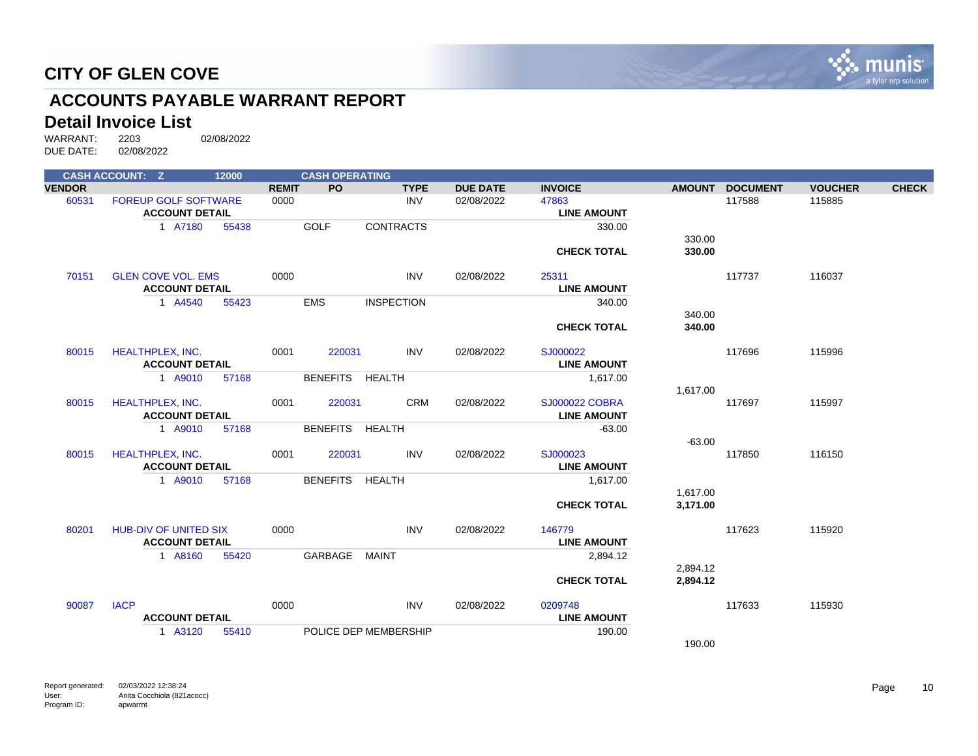

# **ACCOUNTS PAYABLE WARRANT REPORT**

# **Detail Invoice List**<br>WARRANT: 2203

| <b>VENDOR</b><br><b>PO</b><br><b>DUE DATE</b><br><b>INVOICE</b><br><b>REMIT</b><br><b>TYPE</b><br><b>AMOUNT</b><br><b>DOCUMENT</b><br><b>VOUCHER</b><br>60531<br><b>FOREUP GOLF SOFTWARE</b><br>0000<br><b>INV</b><br>02/08/2022<br>47863<br>117588<br>115885<br><b>ACCOUNT DETAIL</b><br><b>LINE AMOUNT</b><br><b>GOLF</b><br>1 A7180<br>55438<br><b>CONTRACTS</b><br>330.00<br>330.00<br>330.00<br><b>CHECK TOTAL</b> | <b>CHECK</b> |
|-------------------------------------------------------------------------------------------------------------------------------------------------------------------------------------------------------------------------------------------------------------------------------------------------------------------------------------------------------------------------------------------------------------------------|--------------|
|                                                                                                                                                                                                                                                                                                                                                                                                                         |              |
|                                                                                                                                                                                                                                                                                                                                                                                                                         |              |
|                                                                                                                                                                                                                                                                                                                                                                                                                         |              |
|                                                                                                                                                                                                                                                                                                                                                                                                                         |              |
|                                                                                                                                                                                                                                                                                                                                                                                                                         |              |
|                                                                                                                                                                                                                                                                                                                                                                                                                         |              |
| 70151<br><b>GLEN COVE VOL. EMS</b><br>0000<br><b>INV</b><br>02/08/2022<br>25311<br>117737<br>116037                                                                                                                                                                                                                                                                                                                     |              |
| <b>ACCOUNT DETAIL</b><br><b>LINE AMOUNT</b>                                                                                                                                                                                                                                                                                                                                                                             |              |
| <b>EMS</b><br><b>INSPECTION</b><br>1 A4540<br>340.00<br>55423                                                                                                                                                                                                                                                                                                                                                           |              |
| 340.00                                                                                                                                                                                                                                                                                                                                                                                                                  |              |
| <b>CHECK TOTAL</b><br>340.00                                                                                                                                                                                                                                                                                                                                                                                            |              |
|                                                                                                                                                                                                                                                                                                                                                                                                                         |              |
| <b>HEALTHPLEX, INC.</b><br>0001<br>220031<br><b>INV</b><br>02/08/2022<br>SJ000022<br>117696<br>115996<br>80015                                                                                                                                                                                                                                                                                                          |              |
| <b>ACCOUNT DETAIL</b><br><b>LINE AMOUNT</b>                                                                                                                                                                                                                                                                                                                                                                             |              |
| BENEFITS HEALTH<br>1 A9010<br>57168<br>1,617.00                                                                                                                                                                                                                                                                                                                                                                         |              |
| 1,617.00<br><b>CRM</b><br>80015<br><b>HEALTHPLEX, INC.</b><br>0001<br>220031<br>02/08/2022<br><b>SJ000022 COBRA</b><br>117697<br>115997                                                                                                                                                                                                                                                                                 |              |
| <b>ACCOUNT DETAIL</b><br><b>LINE AMOUNT</b>                                                                                                                                                                                                                                                                                                                                                                             |              |
| BENEFITS HEALTH<br>1 A9010<br>$-63.00$<br>57168                                                                                                                                                                                                                                                                                                                                                                         |              |
| $-63.00$                                                                                                                                                                                                                                                                                                                                                                                                                |              |
| <b>INV</b><br><b>HEALTHPLEX, INC.</b><br>0001<br>220031<br>02/08/2022<br>SJ000023<br>117850<br>116150<br>80015                                                                                                                                                                                                                                                                                                          |              |
| <b>ACCOUNT DETAIL</b><br><b>LINE AMOUNT</b>                                                                                                                                                                                                                                                                                                                                                                             |              |
| <b>BENEFITS</b><br>1 A9010<br>HEALTH<br>57168<br>1,617.00                                                                                                                                                                                                                                                                                                                                                               |              |
| 1,617.00                                                                                                                                                                                                                                                                                                                                                                                                                |              |
| <b>CHECK TOTAL</b><br>3,171.00                                                                                                                                                                                                                                                                                                                                                                                          |              |
| <b>INV</b><br><b>HUB-DIV OF UNITED SIX</b><br>0000<br>02/08/2022<br>117623<br>115920<br>80201<br>146779                                                                                                                                                                                                                                                                                                                 |              |
| <b>ACCOUNT DETAIL</b><br><b>LINE AMOUNT</b>                                                                                                                                                                                                                                                                                                                                                                             |              |
| GARBAGE<br>1 A8160<br>MAINT<br>55420<br>2,894.12                                                                                                                                                                                                                                                                                                                                                                        |              |
| 2,894.12                                                                                                                                                                                                                                                                                                                                                                                                                |              |
| 2,894.12<br><b>CHECK TOTAL</b>                                                                                                                                                                                                                                                                                                                                                                                          |              |
| <b>IACP</b><br>90087<br>0000<br><b>INV</b><br>0209748<br>117633<br>115930<br>02/08/2022                                                                                                                                                                                                                                                                                                                                 |              |
| <b>ACCOUNT DETAIL</b><br><b>LINE AMOUNT</b>                                                                                                                                                                                                                                                                                                                                                                             |              |
| 1 A3120<br>POLICE DEP MEMBERSHIP<br>55410<br>190.00                                                                                                                                                                                                                                                                                                                                                                     |              |
| 190.00                                                                                                                                                                                                                                                                                                                                                                                                                  |              |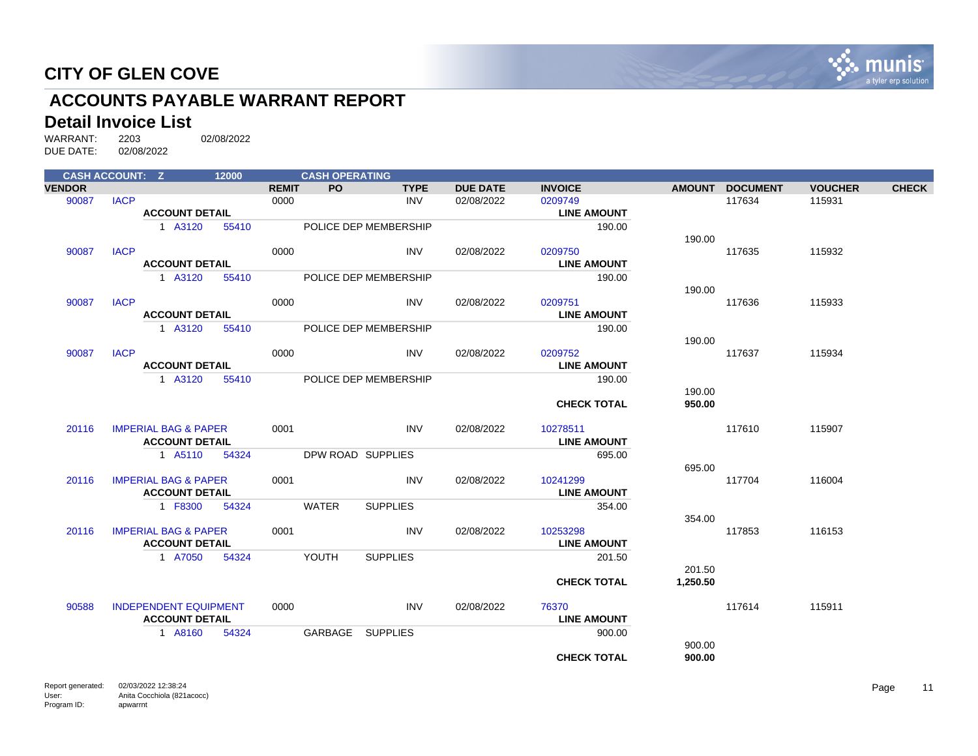

# **ACCOUNTS PAYABLE WARRANT REPORT**

# **Detail Invoice List**<br>WARRANT: 2203

| <b>CASH ACCOUNT: Z</b> |             |                                 | 12000 |              | <b>CASH OPERATING</b> |                       |                 |                    |          |                 |                |              |
|------------------------|-------------|---------------------------------|-------|--------------|-----------------------|-----------------------|-----------------|--------------------|----------|-----------------|----------------|--------------|
| <b>VENDOR</b>          |             |                                 |       | <b>REMIT</b> | PO.                   | <b>TYPE</b>           | <b>DUE DATE</b> | <b>INVOICE</b>     |          | AMOUNT DOCUMENT | <b>VOUCHER</b> | <b>CHECK</b> |
| 90087                  | <b>IACP</b> |                                 |       | 0000         |                       | <b>INV</b>            | 02/08/2022      | 0209749            |          | 117634          | 115931         |              |
|                        |             | <b>ACCOUNT DETAIL</b>           |       |              |                       |                       |                 | <b>LINE AMOUNT</b> |          |                 |                |              |
|                        |             | 1 A3120                         | 55410 |              |                       | POLICE DEP MEMBERSHIP |                 | 190.00             |          |                 |                |              |
|                        |             |                                 |       |              |                       |                       |                 |                    | 190.00   |                 |                |              |
| 90087                  | <b>IACP</b> |                                 |       | 0000         |                       | <b>INV</b>            | 02/08/2022      | 0209750            |          | 117635          | 115932         |              |
|                        |             | <b>ACCOUNT DETAIL</b>           |       |              |                       |                       |                 | <b>LINE AMOUNT</b> |          |                 |                |              |
|                        |             | 1 A3120                         | 55410 |              |                       | POLICE DEP MEMBERSHIP |                 | 190.00             |          |                 |                |              |
|                        |             |                                 |       |              |                       |                       |                 |                    | 190.00   |                 |                |              |
| 90087                  | <b>IACP</b> |                                 |       | 0000         |                       | <b>INV</b>            | 02/08/2022      | 0209751            |          | 117636          | 115933         |              |
|                        |             | <b>ACCOUNT DETAIL</b>           |       |              |                       |                       |                 | <b>LINE AMOUNT</b> |          |                 |                |              |
|                        |             | 1 A3120                         | 55410 |              |                       | POLICE DEP MEMBERSHIP |                 | 190.00             |          |                 |                |              |
|                        |             |                                 |       |              |                       |                       |                 |                    | 190.00   |                 |                |              |
| 90087                  | <b>IACP</b> |                                 |       | 0000         |                       | <b>INV</b>            | 02/08/2022      | 0209752            |          | 117637          | 115934         |              |
|                        |             | <b>ACCOUNT DETAIL</b>           |       |              |                       |                       |                 | <b>LINE AMOUNT</b> |          |                 |                |              |
|                        |             | 1 A3120                         | 55410 |              |                       | POLICE DEP MEMBERSHIP |                 | 190.00             |          |                 |                |              |
|                        |             |                                 |       |              |                       |                       |                 |                    | 190.00   |                 |                |              |
|                        |             |                                 |       |              |                       |                       |                 | <b>CHECK TOTAL</b> | 950.00   |                 |                |              |
| 20116                  |             | <b>IMPERIAL BAG &amp; PAPER</b> |       | 0001         |                       | <b>INV</b>            | 02/08/2022      | 10278511           |          | 117610          | 115907         |              |
|                        |             | <b>ACCOUNT DETAIL</b>           |       |              |                       |                       |                 | <b>LINE AMOUNT</b> |          |                 |                |              |
|                        |             | 1 A5110                         | 54324 |              |                       | DPW ROAD SUPPLIES     |                 | 695.00             |          |                 |                |              |
|                        |             |                                 |       |              |                       |                       |                 |                    | 695.00   |                 |                |              |
| 20116                  |             | <b>IMPERIAL BAG &amp; PAPER</b> |       | 0001         |                       | <b>INV</b>            | 02/08/2022      | 10241299           |          | 117704          | 116004         |              |
|                        |             | <b>ACCOUNT DETAIL</b>           |       |              |                       |                       |                 | <b>LINE AMOUNT</b> |          |                 |                |              |
|                        |             | 1 F8300                         | 54324 |              | <b>WATER</b>          | <b>SUPPLIES</b>       |                 | 354.00             |          |                 |                |              |
|                        |             |                                 |       |              |                       |                       |                 |                    | 354.00   |                 |                |              |
| 20116                  |             | <b>IMPERIAL BAG &amp; PAPER</b> |       | 0001         |                       | <b>INV</b>            | 02/08/2022      | 10253298           |          | 117853          | 116153         |              |
|                        |             | <b>ACCOUNT DETAIL</b>           |       |              |                       |                       |                 | <b>LINE AMOUNT</b> |          |                 |                |              |
|                        |             | 1 A7050                         | 54324 |              | YOUTH                 | <b>SUPPLIES</b>       |                 | 201.50             |          |                 |                |              |
|                        |             |                                 |       |              |                       |                       |                 |                    | 201.50   |                 |                |              |
|                        |             |                                 |       |              |                       |                       |                 | <b>CHECK TOTAL</b> | 1,250.50 |                 |                |              |
| 90588                  |             | <b>INDEPENDENT EQUIPMENT</b>    |       | 0000         |                       | INV                   | 02/08/2022      | 76370              |          | 117614          | 115911         |              |
|                        |             | <b>ACCOUNT DETAIL</b>           |       |              |                       |                       |                 | <b>LINE AMOUNT</b> |          |                 |                |              |
|                        |             | 1 A8160                         | 54324 |              |                       | GARBAGE SUPPLIES      |                 | 900.00             |          |                 |                |              |
|                        |             |                                 |       |              |                       |                       |                 |                    | 900.00   |                 |                |              |
|                        |             |                                 |       |              |                       |                       |                 | <b>CHECK TOTAL</b> | 900.00   |                 |                |              |
|                        |             |                                 |       |              |                       |                       |                 |                    |          |                 |                |              |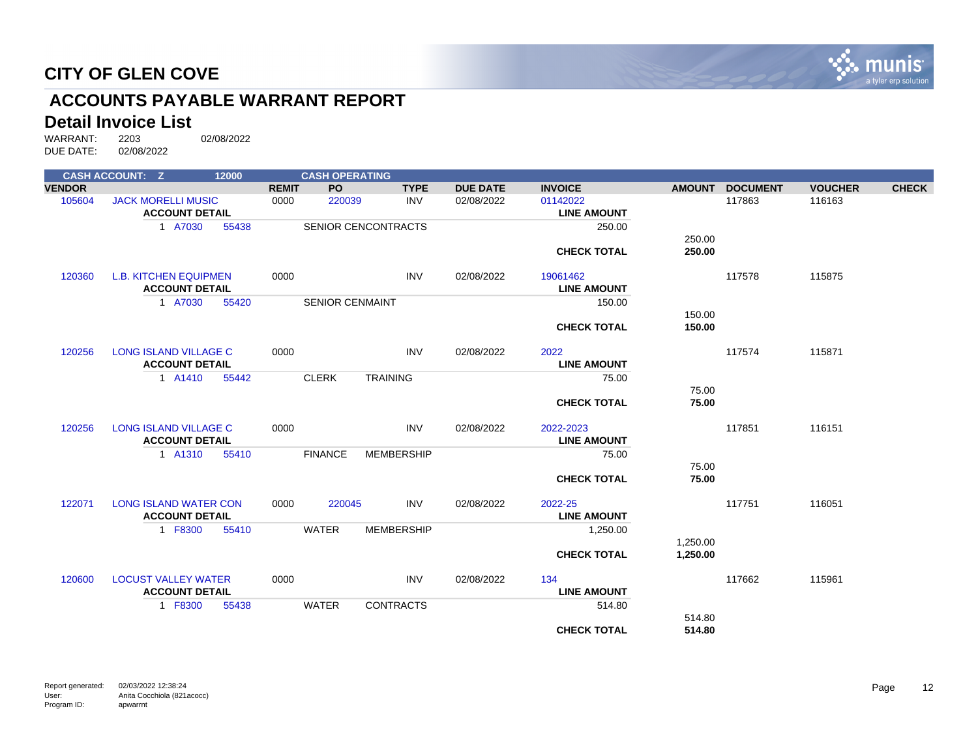

# **ACCOUNTS PAYABLE WARRANT REPORT**

# **Detail Invoice List**<br>WARRANT: 2203

|               | <b>CASH ACCOUNT: Z</b>       | 12000 |              | <b>CASH OPERATING</b>  |                            |                 |                    |               |                 |                |              |
|---------------|------------------------------|-------|--------------|------------------------|----------------------------|-----------------|--------------------|---------------|-----------------|----------------|--------------|
| <b>VENDOR</b> |                              |       | <b>REMIT</b> | <b>PO</b>              | <b>TYPE</b>                | <b>DUE DATE</b> | <b>INVOICE</b>     | <b>AMOUNT</b> | <b>DOCUMENT</b> | <b>VOUCHER</b> | <b>CHECK</b> |
| 105604        | <b>JACK MORELLI MUSIC</b>    |       | 0000         | 220039                 | <b>INV</b>                 | 02/08/2022      | 01142022           |               | 117863          | 116163         |              |
|               | <b>ACCOUNT DETAIL</b>        |       |              |                        |                            |                 | <b>LINE AMOUNT</b> |               |                 |                |              |
|               | 1 A7030                      | 55438 |              |                        | <b>SENIOR CENCONTRACTS</b> |                 | 250.00             |               |                 |                |              |
|               |                              |       |              |                        |                            |                 |                    | 250.00        |                 |                |              |
|               |                              |       |              |                        |                            |                 | <b>CHECK TOTAL</b> | 250.00        |                 |                |              |
| 120360        | <b>L.B. KITCHEN EQUIPMEN</b> |       | 0000         |                        | <b>INV</b>                 | 02/08/2022      | 19061462           |               | 117578          | 115875         |              |
|               | <b>ACCOUNT DETAIL</b>        |       |              |                        |                            |                 | <b>LINE AMOUNT</b> |               |                 |                |              |
|               | 1 A7030                      | 55420 |              | <b>SENIOR CENMAINT</b> |                            |                 | 150.00             |               |                 |                |              |
|               |                              |       |              |                        |                            |                 |                    | 150.00        |                 |                |              |
|               |                              |       |              |                        |                            |                 | <b>CHECK TOTAL</b> | 150.00        |                 |                |              |
| 120256        | <b>LONG ISLAND VILLAGE C</b> |       | 0000         |                        | <b>INV</b>                 | 02/08/2022      | 2022               |               | 117574          | 115871         |              |
|               | <b>ACCOUNT DETAIL</b>        |       |              |                        |                            |                 | <b>LINE AMOUNT</b> |               |                 |                |              |
|               | 1 A1410                      | 55442 |              | <b>CLERK</b>           | <b>TRAINING</b>            |                 | 75.00              |               |                 |                |              |
|               |                              |       |              |                        |                            |                 |                    | 75.00         |                 |                |              |
|               |                              |       |              |                        |                            |                 | <b>CHECK TOTAL</b> | 75.00         |                 |                |              |
| 120256        | <b>LONG ISLAND VILLAGE C</b> |       | 0000         |                        | <b>INV</b>                 | 02/08/2022      | 2022-2023          |               | 117851          | 116151         |              |
|               | <b>ACCOUNT DETAIL</b>        |       |              |                        |                            |                 | <b>LINE AMOUNT</b> |               |                 |                |              |
|               | 1 A1310                      | 55410 |              | <b>FINANCE</b>         | <b>MEMBERSHIP</b>          |                 | 75.00              |               |                 |                |              |
|               |                              |       |              |                        |                            |                 |                    | 75.00         |                 |                |              |
|               |                              |       |              |                        |                            |                 | <b>CHECK TOTAL</b> | 75.00         |                 |                |              |
| 122071        | <b>LONG ISLAND WATER CON</b> |       | 0000         | 220045                 | <b>INV</b>                 | 02/08/2022      | 2022-25            |               | 117751          | 116051         |              |
|               | <b>ACCOUNT DETAIL</b>        |       |              |                        |                            |                 | <b>LINE AMOUNT</b> |               |                 |                |              |
|               | 1 F8300                      | 55410 |              | <b>WATER</b>           | <b>MEMBERSHIP</b>          |                 | 1,250.00           |               |                 |                |              |
|               |                              |       |              |                        |                            |                 |                    | 1,250.00      |                 |                |              |
|               |                              |       |              |                        |                            |                 | <b>CHECK TOTAL</b> | 1.250.00      |                 |                |              |
| 120600        | <b>LOCUST VALLEY WATER</b>   |       | 0000         |                        | <b>INV</b>                 | 02/08/2022      | 134                |               | 117662          | 115961         |              |
|               | <b>ACCOUNT DETAIL</b>        |       |              |                        |                            |                 | <b>LINE AMOUNT</b> |               |                 |                |              |
|               | 1 F8300                      | 55438 |              | <b>WATER</b>           | <b>CONTRACTS</b>           |                 | 514.80             |               |                 |                |              |
|               |                              |       |              |                        |                            |                 |                    | 514.80        |                 |                |              |
|               |                              |       |              |                        |                            |                 | <b>CHECK TOTAL</b> | 514.80        |                 |                |              |
|               |                              |       |              |                        |                            |                 |                    |               |                 |                |              |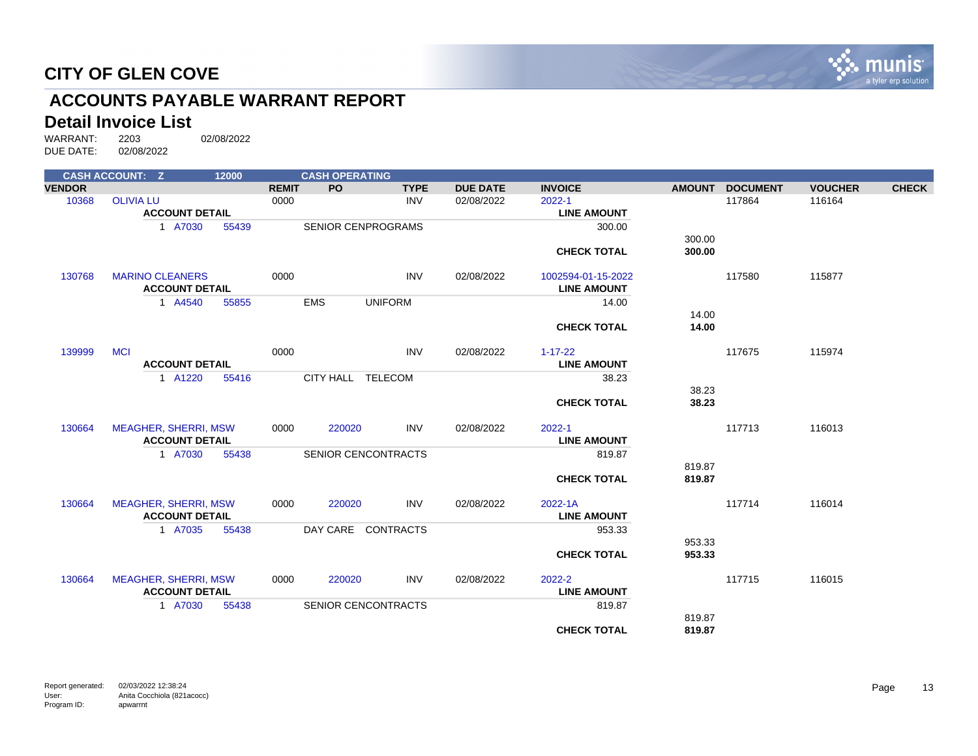

# **ACCOUNTS PAYABLE WARRANT REPORT**

# **Detail Invoice List**<br>WARRANT: 2203

|               | <b>CASH ACCOUNT: Z</b>      | 12000 |              | <b>CASH OPERATING</b>      |                |                 |                    |               |                 |                |              |
|---------------|-----------------------------|-------|--------------|----------------------------|----------------|-----------------|--------------------|---------------|-----------------|----------------|--------------|
| <b>VENDOR</b> |                             |       | <b>REMIT</b> | <b>PO</b>                  | <b>TYPE</b>    | <b>DUE DATE</b> | <b>INVOICE</b>     | <b>AMOUNT</b> | <b>DOCUMENT</b> | <b>VOUCHER</b> | <b>CHECK</b> |
| 10368         | <b>OLIVIA LU</b>            |       | 0000         |                            | <b>INV</b>     | 02/08/2022      | 2022-1             |               | 117864          | 116164         |              |
|               | <b>ACCOUNT DETAIL</b>       |       |              |                            |                |                 | <b>LINE AMOUNT</b> |               |                 |                |              |
|               | 1 A7030                     | 55439 |              | <b>SENIOR CENPROGRAMS</b>  |                |                 | 300.00             |               |                 |                |              |
|               |                             |       |              |                            |                |                 |                    | 300.00        |                 |                |              |
|               |                             |       |              |                            |                |                 | <b>CHECK TOTAL</b> | 300.00        |                 |                |              |
| 130768        | <b>MARINO CLEANERS</b>      |       | 0000         |                            | <b>INV</b>     | 02/08/2022      | 1002594-01-15-2022 |               | 117580          | 115877         |              |
|               | <b>ACCOUNT DETAIL</b>       |       |              |                            |                |                 | <b>LINE AMOUNT</b> |               |                 |                |              |
|               | 1 A4540                     | 55855 | <b>EMS</b>   |                            | <b>UNIFORM</b> |                 | 14.00              |               |                 |                |              |
|               |                             |       |              |                            |                |                 |                    | 14.00         |                 |                |              |
|               |                             |       |              |                            |                |                 | <b>CHECK TOTAL</b> | 14.00         |                 |                |              |
| 139999        | <b>MCI</b>                  |       | 0000         |                            | <b>INV</b>     | 02/08/2022      | $1 - 17 - 22$      |               | 117675          | 115974         |              |
|               | <b>ACCOUNT DETAIL</b>       |       |              |                            |                |                 | <b>LINE AMOUNT</b> |               |                 |                |              |
|               | 1 A1220                     | 55416 |              | CITY HALL TELECOM          |                |                 | 38.23              |               |                 |                |              |
|               |                             |       |              |                            |                |                 |                    | 38.23         |                 |                |              |
|               |                             |       |              |                            |                |                 | <b>CHECK TOTAL</b> | 38.23         |                 |                |              |
| 130664        | <b>MEAGHER, SHERRI, MSW</b> |       | 0000         | 220020                     | <b>INV</b>     | 02/08/2022      | $2022 - 1$         |               | 117713          | 116013         |              |
|               | <b>ACCOUNT DETAIL</b>       |       |              |                            |                |                 | <b>LINE AMOUNT</b> |               |                 |                |              |
|               | 1 A7030                     | 55438 |              | <b>SENIOR CENCONTRACTS</b> |                |                 | 819.87             |               |                 |                |              |
|               |                             |       |              |                            |                |                 |                    | 819.87        |                 |                |              |
|               |                             |       |              |                            |                |                 | <b>CHECK TOTAL</b> | 819.87        |                 |                |              |
| 130664        | <b>MEAGHER, SHERRI, MSW</b> |       | 0000         | 220020                     | <b>INV</b>     | 02/08/2022      | 2022-1A            |               | 117714          | 116014         |              |
|               | <b>ACCOUNT DETAIL</b>       |       |              |                            |                |                 | <b>LINE AMOUNT</b> |               |                 |                |              |
|               | 1 A7035                     | 55438 |              | DAY CARE CONTRACTS         |                |                 | 953.33             |               |                 |                |              |
|               |                             |       |              |                            |                |                 |                    | 953.33        |                 |                |              |
|               |                             |       |              |                            |                |                 | <b>CHECK TOTAL</b> | 953.33        |                 |                |              |
| 130664        | <b>MEAGHER, SHERRI, MSW</b> |       | 0000         | 220020                     | INV            | 02/08/2022      | 2022-2             |               | 117715          | 116015         |              |
|               | <b>ACCOUNT DETAIL</b>       |       |              |                            |                |                 | <b>LINE AMOUNT</b> |               |                 |                |              |
|               | 1 A7030                     | 55438 |              | <b>SENIOR CENCONTRACTS</b> |                |                 | 819.87             |               |                 |                |              |
|               |                             |       |              |                            |                |                 |                    | 819.87        |                 |                |              |
|               |                             |       |              |                            |                |                 | <b>CHECK TOTAL</b> | 819.87        |                 |                |              |
|               |                             |       |              |                            |                |                 |                    |               |                 |                |              |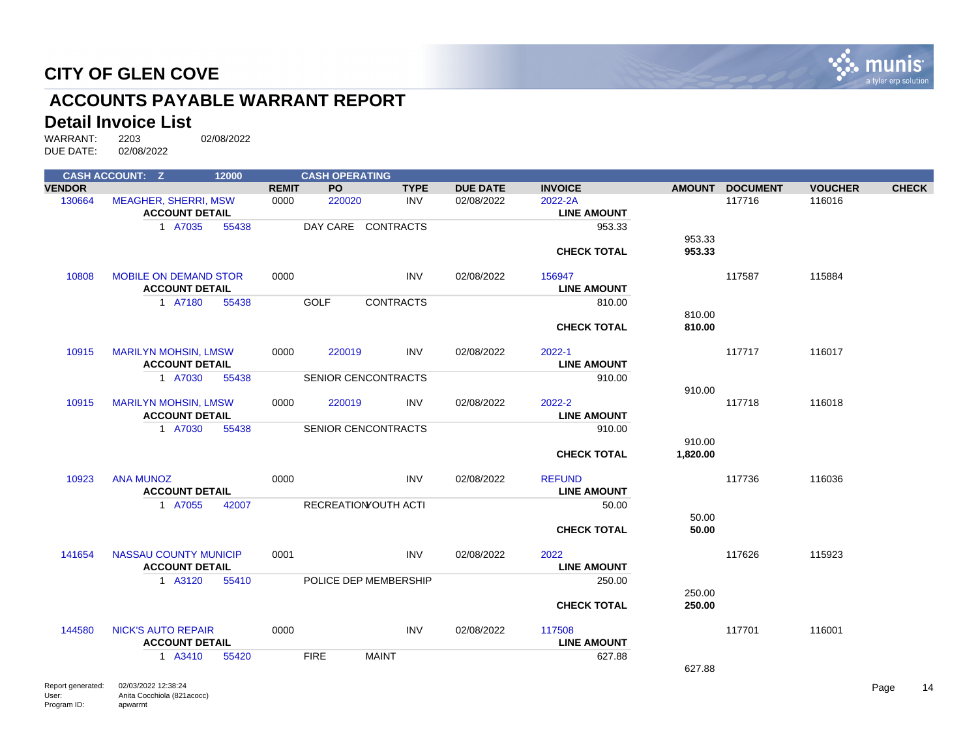

# **ACCOUNTS PAYABLE WARRANT REPORT**

# **Detail Invoice List**<br>WARRANT: 2203

apwarrnt

Anita Cocchiola (821acocc)

User: Program ID:

|                   | <b>CASH ACCOUNT: Z</b>       | 12000 |              | <b>CASH OPERATING</b> |                             |                 |                    |                    |                 |                |              |
|-------------------|------------------------------|-------|--------------|-----------------------|-----------------------------|-----------------|--------------------|--------------------|-----------------|----------------|--------------|
| <b>VENDOR</b>     |                              |       | <b>REMIT</b> | <b>PO</b>             | <b>TYPE</b>                 | <b>DUE DATE</b> | <b>INVOICE</b>     |                    | AMOUNT DOCUMENT | <b>VOUCHER</b> | <b>CHECK</b> |
| 130664            | <b>MEAGHER, SHERRI, MSW</b>  |       | 0000         | 220020                | <b>INV</b>                  | 02/08/2022      | 2022-2A            |                    | 117716          | 116016         |              |
|                   | <b>ACCOUNT DETAIL</b>        |       |              |                       |                             |                 | <b>LINE AMOUNT</b> |                    |                 |                |              |
|                   | 1 A7035                      | 55438 |              |                       | DAY CARE CONTRACTS          |                 | 953.33             |                    |                 |                |              |
|                   |                              |       |              |                       |                             |                 |                    | 953.33             |                 |                |              |
|                   |                              |       |              |                       |                             |                 | <b>CHECK TOTAL</b> | 953.33             |                 |                |              |
| 10808             | <b>MOBILE ON DEMAND STOR</b> |       | 0000         |                       | <b>INV</b>                  | 02/08/2022      | 156947             |                    | 117587          | 115884         |              |
|                   | <b>ACCOUNT DETAIL</b>        |       |              |                       |                             |                 | <b>LINE AMOUNT</b> |                    |                 |                |              |
|                   | 1 A7180                      | 55438 |              | <b>GOLF</b>           | <b>CONTRACTS</b>            |                 | 810.00             |                    |                 |                |              |
|                   |                              |       |              |                       |                             |                 |                    | 810.00             |                 |                |              |
|                   |                              |       |              |                       |                             |                 | <b>CHECK TOTAL</b> | 810.00             |                 |                |              |
|                   |                              |       |              |                       |                             |                 |                    |                    |                 |                |              |
| 10915             | <b>MARILYN MOHSIN, LMSW</b>  |       | 0000         | 220019                | <b>INV</b>                  | 02/08/2022      | 2022-1             |                    | 117717          | 116017         |              |
|                   | <b>ACCOUNT DETAIL</b>        |       |              |                       |                             |                 | <b>LINE AMOUNT</b> |                    |                 |                |              |
|                   | 1 A7030                      | 55438 |              |                       | <b>SENIOR CENCONTRACTS</b>  |                 | 910.00             |                    |                 |                |              |
|                   |                              |       |              |                       |                             |                 |                    | 910.00             |                 |                |              |
| 10915             | <b>MARILYN MOHSIN, LMSW</b>  |       | 0000         | 220019                | <b>INV</b>                  | 02/08/2022      | 2022-2             |                    | 117718          | 116018         |              |
|                   | <b>ACCOUNT DETAIL</b>        |       |              |                       |                             |                 | <b>LINE AMOUNT</b> |                    |                 |                |              |
|                   | 1 A7030                      | 55438 |              |                       | <b>SENIOR CENCONTRACTS</b>  |                 | 910.00             |                    |                 |                |              |
|                   |                              |       |              |                       |                             |                 | <b>CHECK TOTAL</b> | 910.00<br>1,820.00 |                 |                |              |
|                   |                              |       |              |                       |                             |                 |                    |                    |                 |                |              |
| 10923             | <b>ANA MUNOZ</b>             |       | 0000         |                       | <b>INV</b>                  | 02/08/2022      | <b>REFUND</b>      |                    | 117736          | 116036         |              |
|                   | <b>ACCOUNT DETAIL</b>        |       |              |                       |                             |                 | <b>LINE AMOUNT</b> |                    |                 |                |              |
|                   | 1 A7055                      | 42007 |              |                       | <b>RECREATION OUTH ACTI</b> |                 | 50.00              |                    |                 |                |              |
|                   |                              |       |              |                       |                             |                 |                    | 50.00              |                 |                |              |
|                   |                              |       |              |                       |                             |                 | <b>CHECK TOTAL</b> | 50.00              |                 |                |              |
|                   |                              |       |              |                       |                             |                 |                    |                    |                 |                |              |
| 141654            | <b>NASSAU COUNTY MUNICIP</b> |       | 0001         |                       | <b>INV</b>                  | 02/08/2022      | 2022               |                    | 117626          | 115923         |              |
|                   | <b>ACCOUNT DETAIL</b>        |       |              |                       |                             |                 | <b>LINE AMOUNT</b> |                    |                 |                |              |
|                   | 1 A3120                      | 55410 |              |                       | POLICE DEP MEMBERSHIP       |                 | 250.00             |                    |                 |                |              |
|                   |                              |       |              |                       |                             |                 |                    | 250.00             |                 |                |              |
|                   |                              |       |              |                       |                             |                 | <b>CHECK TOTAL</b> | 250.00             |                 |                |              |
| 144580            | <b>NICK'S AUTO REPAIR</b>    |       | 0000         |                       | <b>INV</b>                  | 02/08/2022      | 117508             |                    | 117701          | 116001         |              |
|                   | <b>ACCOUNT DETAIL</b>        |       |              |                       |                             |                 | <b>LINE AMOUNT</b> |                    |                 |                |              |
|                   | 1 A3410                      | 55420 |              | <b>FIRE</b>           | <b>MAINT</b>                |                 | 627.88             |                    |                 |                |              |
|                   |                              |       |              |                       |                             |                 |                    | 627.88             |                 |                |              |
|                   | 02/03/2022 12:38:24          |       |              |                       |                             |                 |                    |                    |                 |                |              |
| Report generated: |                              |       |              |                       |                             |                 |                    |                    |                 |                | Page<br>14   |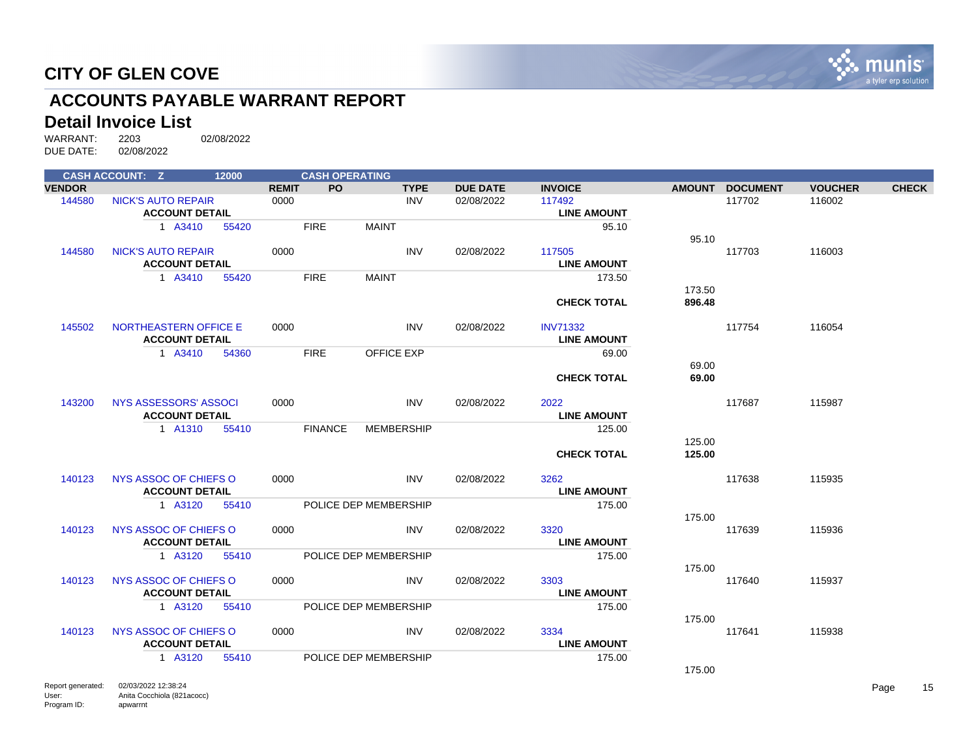

# **ACCOUNTS PAYABLE WARRANT REPORT**

# **Detail Invoice List**<br>WARRANT: 2203

|               | <b>CASH ACCOUNT: Z</b>       | 12000 |              | <b>CASH OPERATING</b> |                       |                 |                    |                  |                 |                |              |
|---------------|------------------------------|-------|--------------|-----------------------|-----------------------|-----------------|--------------------|------------------|-----------------|----------------|--------------|
| <b>VENDOR</b> |                              |       | <b>REMIT</b> | <b>PO</b>             | <b>TYPE</b>           | <b>DUE DATE</b> | <b>INVOICE</b>     |                  | AMOUNT DOCUMENT | <b>VOUCHER</b> | <b>CHECK</b> |
| 144580        | <b>NICK'S AUTO REPAIR</b>    |       | 0000         |                       | INV                   | 02/08/2022      | 117492             |                  | 117702          | 116002         |              |
|               | <b>ACCOUNT DETAIL</b>        |       |              |                       |                       |                 | <b>LINE AMOUNT</b> |                  |                 |                |              |
|               | 1 A3410                      | 55420 |              | <b>FIRE</b>           | <b>MAINT</b>          |                 | 95.10              |                  |                 |                |              |
|               |                              |       |              |                       |                       |                 |                    | 95.10            |                 |                |              |
| 144580        | <b>NICK'S AUTO REPAIR</b>    |       | 0000         |                       | <b>INV</b>            | 02/08/2022      | 117505             |                  | 117703          | 116003         |              |
|               | <b>ACCOUNT DETAIL</b>        |       |              |                       |                       |                 | <b>LINE AMOUNT</b> |                  |                 |                |              |
|               | 1 A3410                      | 55420 |              | <b>FIRE</b>           | <b>MAINT</b>          |                 | 173.50             |                  |                 |                |              |
|               |                              |       |              |                       |                       |                 |                    | 173.50<br>896.48 |                 |                |              |
|               |                              |       |              |                       |                       |                 | <b>CHECK TOTAL</b> |                  |                 |                |              |
| 145502        | <b>NORTHEASTERN OFFICE E</b> |       | 0000         |                       | <b>INV</b>            | 02/08/2022      | <b>INV71332</b>    |                  | 117754          | 116054         |              |
|               | <b>ACCOUNT DETAIL</b>        |       |              |                       |                       |                 | <b>LINE AMOUNT</b> |                  |                 |                |              |
|               | 1 A3410                      | 54360 |              | <b>FIRE</b>           | <b>OFFICE EXP</b>     |                 | 69.00              |                  |                 |                |              |
|               |                              |       |              |                       |                       |                 |                    | 69.00            |                 |                |              |
|               |                              |       |              |                       |                       |                 | <b>CHECK TOTAL</b> | 69.00            |                 |                |              |
|               |                              |       |              |                       |                       |                 |                    |                  |                 |                |              |
| 143200        | NYS ASSESSORS' ASSOCI        |       | 0000         |                       | <b>INV</b>            | 02/08/2022      | 2022               |                  | 117687          | 115987         |              |
|               | <b>ACCOUNT DETAIL</b>        |       |              |                       |                       |                 | <b>LINE AMOUNT</b> |                  |                 |                |              |
|               | 1 A1310                      | 55410 |              | <b>FINANCE</b>        | <b>MEMBERSHIP</b>     |                 | 125.00             |                  |                 |                |              |
|               |                              |       |              |                       |                       |                 |                    | 125.00           |                 |                |              |
|               |                              |       |              |                       |                       |                 | <b>CHECK TOTAL</b> | 125.00           |                 |                |              |
| 140123        | NYS ASSOC OF CHIEFS O        |       | 0000         |                       | <b>INV</b>            | 02/08/2022      | 3262               |                  | 117638          | 115935         |              |
|               | <b>ACCOUNT DETAIL</b>        |       |              |                       |                       |                 | <b>LINE AMOUNT</b> |                  |                 |                |              |
|               | 1 A3120                      | 55410 |              |                       | POLICE DEP MEMBERSHIP |                 | 175.00             |                  |                 |                |              |
|               |                              |       |              |                       |                       |                 |                    | 175.00           |                 |                |              |
| 140123        | NYS ASSOC OF CHIEFS O        |       | 0000         |                       | INV                   | 02/08/2022      | 3320               |                  | 117639          | 115936         |              |
|               | <b>ACCOUNT DETAIL</b>        |       |              |                       |                       |                 | <b>LINE AMOUNT</b> |                  |                 |                |              |
|               | 1 A3120                      | 55410 |              |                       | POLICE DEP MEMBERSHIP |                 | 175.00             |                  |                 |                |              |
|               |                              |       |              |                       |                       |                 |                    | 175.00           |                 |                |              |
| 140123        | NYS ASSOC OF CHIEFS O        |       | 0000         |                       | <b>INV</b>            | 02/08/2022      | 3303               |                  | 117640          | 115937         |              |
|               | <b>ACCOUNT DETAIL</b>        |       |              |                       |                       |                 | <b>LINE AMOUNT</b> |                  |                 |                |              |
|               | 1 A3120                      | 55410 |              |                       | POLICE DEP MEMBERSHIP |                 | 175.00             |                  |                 |                |              |
|               |                              |       |              |                       |                       |                 |                    | 175.00           |                 |                |              |
| 140123        | NYS ASSOC OF CHIEFS O        |       | 0000         |                       | INV                   | 02/08/2022      | 3334               |                  | 117641          | 115938         |              |
|               | <b>ACCOUNT DETAIL</b>        |       |              |                       |                       |                 | <b>LINE AMOUNT</b> |                  |                 |                |              |
|               | 1 A3120                      | 55410 |              |                       | POLICE DEP MEMBERSHIP |                 | 175.00             |                  |                 |                |              |
|               |                              |       |              |                       |                       |                 |                    | 175.00           |                 |                |              |
|               |                              |       |              |                       |                       |                 |                    |                  |                 |                |              |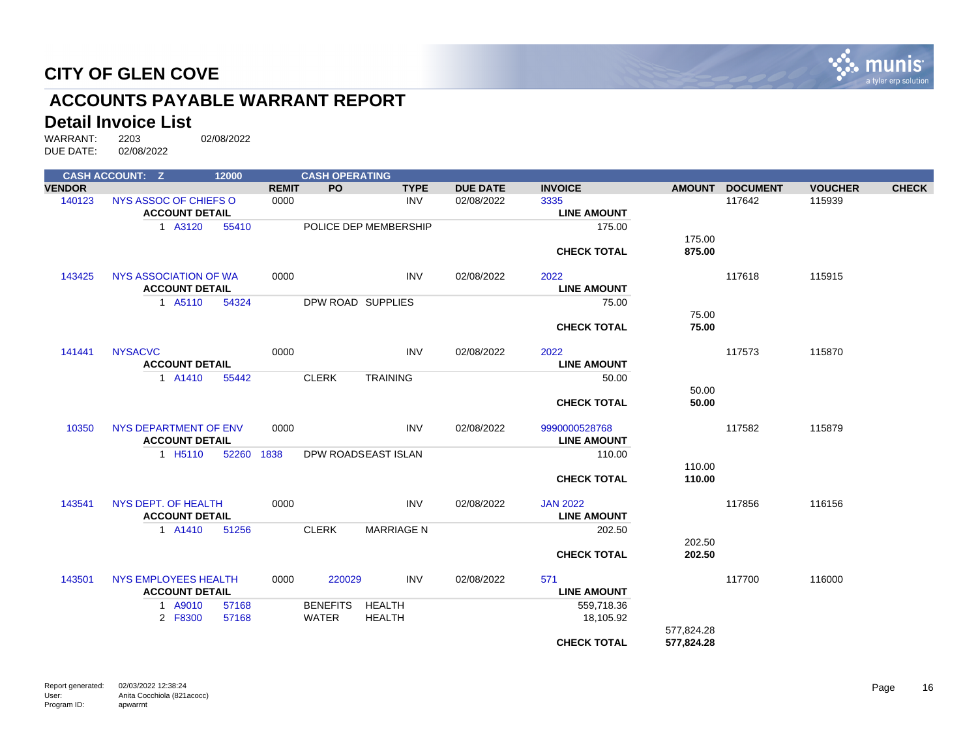

# **ACCOUNTS PAYABLE WARRANT REPORT**

# **Detail Invoice List**<br>WARRANT: 2203

|               | <b>CASH ACCOUNT: Z</b> | 12000      |              | <b>CASH OPERATING</b> |                       |                 |                    |               |                 |                |              |
|---------------|------------------------|------------|--------------|-----------------------|-----------------------|-----------------|--------------------|---------------|-----------------|----------------|--------------|
| <b>VENDOR</b> |                        |            | <b>REMIT</b> | <b>PO</b>             | <b>TYPE</b>           | <b>DUE DATE</b> | <b>INVOICE</b>     | <b>AMOUNT</b> | <b>DOCUMENT</b> | <b>VOUCHER</b> | <b>CHECK</b> |
| 140123        | NYS ASSOC OF CHIEFS O  |            | 0000         |                       | <b>INV</b>            | 02/08/2022      | 3335               |               | 117642          | 115939         |              |
|               | <b>ACCOUNT DETAIL</b>  |            |              |                       |                       |                 | <b>LINE AMOUNT</b> |               |                 |                |              |
|               | 1 A3120                | 55410      |              |                       | POLICE DEP MEMBERSHIP |                 | 175.00             |               |                 |                |              |
|               |                        |            |              |                       |                       |                 |                    | 175.00        |                 |                |              |
|               |                        |            |              |                       |                       |                 | <b>CHECK TOTAL</b> | 875.00        |                 |                |              |
| 143425        | NYS ASSOCIATION OF WA  |            | 0000         |                       | <b>INV</b>            | 02/08/2022      | 2022               |               | 117618          | 115915         |              |
|               | <b>ACCOUNT DETAIL</b>  |            |              |                       |                       |                 | <b>LINE AMOUNT</b> |               |                 |                |              |
|               | 1 A5110                | 54324      |              |                       | DPW ROAD SUPPLIES     |                 | 75.00              |               |                 |                |              |
|               |                        |            |              |                       |                       |                 |                    | 75.00         |                 |                |              |
|               |                        |            |              |                       |                       |                 | <b>CHECK TOTAL</b> | 75.00         |                 |                |              |
| 141441        | <b>NYSACVC</b>         |            | 0000         |                       | <b>INV</b>            | 02/08/2022      | 2022               |               | 117573          | 115870         |              |
|               | <b>ACCOUNT DETAIL</b>  |            |              |                       |                       |                 | <b>LINE AMOUNT</b> |               |                 |                |              |
|               | 1 A1410                | 55442      |              | <b>CLERK</b>          | <b>TRAINING</b>       |                 | 50.00              |               |                 |                |              |
|               |                        |            |              |                       |                       |                 |                    | 50.00         |                 |                |              |
|               |                        |            |              |                       |                       |                 | <b>CHECK TOTAL</b> | 50.00         |                 |                |              |
| 10350         | NYS DEPARTMENT OF ENV  |            | 0000         |                       | <b>INV</b>            | 02/08/2022      | 9990000528768      |               | 117582          | 115879         |              |
|               | <b>ACCOUNT DETAIL</b>  |            |              |                       |                       |                 | <b>LINE AMOUNT</b> |               |                 |                |              |
|               | 1 H <sub>5</sub> 110   | 52260 1838 |              |                       | DPW ROADSEAST ISLAN   |                 | 110.00             |               |                 |                |              |
|               |                        |            |              |                       |                       |                 |                    | 110.00        |                 |                |              |
|               |                        |            |              |                       |                       |                 | <b>CHECK TOTAL</b> | 110.00        |                 |                |              |
| 143541        | NYS DEPT. OF HEALTH    |            | 0000         |                       | <b>INV</b>            | 02/08/2022      | <b>JAN 2022</b>    |               | 117856          | 116156         |              |
|               | <b>ACCOUNT DETAIL</b>  |            |              |                       |                       |                 | <b>LINE AMOUNT</b> |               |                 |                |              |
|               | 1 A1410                | 51256      |              | <b>CLERK</b>          | <b>MARRIAGE N</b>     |                 | 202.50             |               |                 |                |              |
|               |                        |            |              |                       |                       |                 |                    | 202.50        |                 |                |              |
|               |                        |            |              |                       |                       |                 | <b>CHECK TOTAL</b> | 202.50        |                 |                |              |
| 143501        | NYS EMPLOYEES HEALTH   |            | 0000         | 220029                | <b>INV</b>            | 02/08/2022      | 571                |               | 117700          | 116000         |              |
|               | <b>ACCOUNT DETAIL</b>  |            |              |                       |                       |                 | <b>LINE AMOUNT</b> |               |                 |                |              |
|               | 1 A9010                | 57168      |              | <b>BENEFITS</b>       | <b>HEALTH</b>         |                 | 559,718.36         |               |                 |                |              |
|               | 2 F8300                | 57168      |              | WATER                 | <b>HEALTH</b>         |                 | 18,105.92          |               |                 |                |              |
|               |                        |            |              |                       |                       |                 |                    | 577,824.28    |                 |                |              |
|               |                        |            |              |                       |                       |                 | <b>CHECK TOTAL</b> | 577,824.28    |                 |                |              |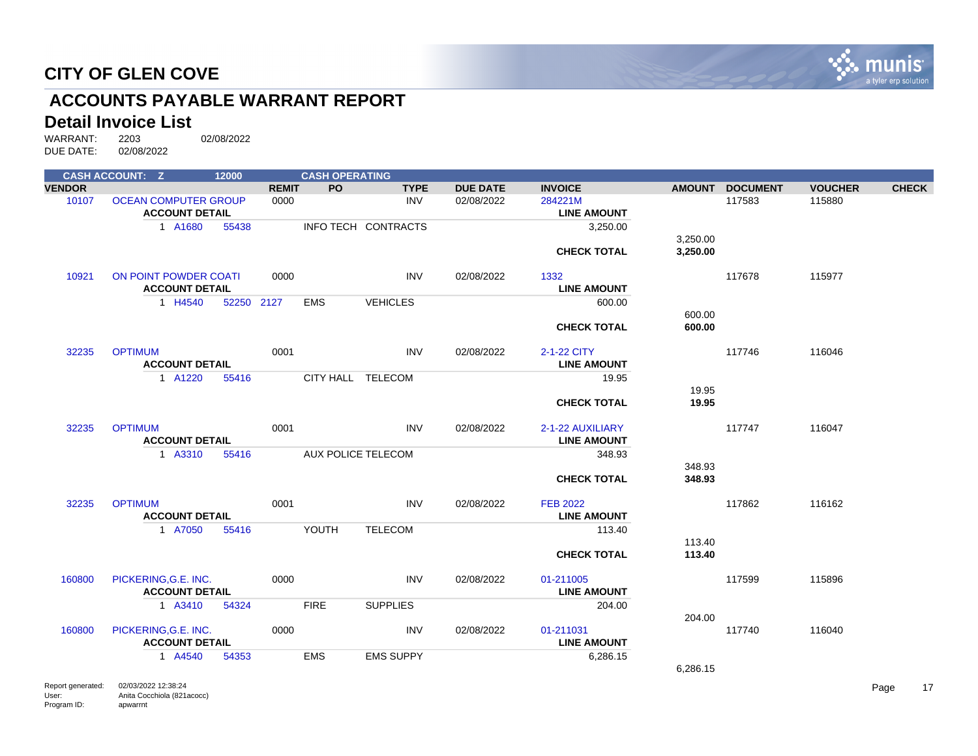

# **ACCOUNTS PAYABLE WARRANT REPORT**

# **Detail Invoice List**<br>WARRANT: 2203

|               | <b>CASH ACCOUNT: Z</b>      | 12000      |              | <b>CASH OPERATING</b> |                     |                 |                    |               |                 |                |              |
|---------------|-----------------------------|------------|--------------|-----------------------|---------------------|-----------------|--------------------|---------------|-----------------|----------------|--------------|
| <b>VENDOR</b> |                             |            | <b>REMIT</b> | <b>PO</b>             | <b>TYPE</b>         | <b>DUE DATE</b> | <b>INVOICE</b>     | <b>AMOUNT</b> | <b>DOCUMENT</b> | <b>VOUCHER</b> | <b>CHECK</b> |
| 10107         | <b>OCEAN COMPUTER GROUP</b> |            | 0000         |                       | <b>INV</b>          | 02/08/2022      | 284221M            |               | 117583          | 115880         |              |
|               | <b>ACCOUNT DETAIL</b>       |            |              |                       |                     |                 | <b>LINE AMOUNT</b> |               |                 |                |              |
|               | 1 A1680                     | 55438      |              |                       | INFO TECH CONTRACTS |                 | 3,250.00           |               |                 |                |              |
|               |                             |            |              |                       |                     |                 |                    | 3,250.00      |                 |                |              |
|               |                             |            |              |                       |                     |                 | <b>CHECK TOTAL</b> | 3,250.00      |                 |                |              |
|               |                             |            |              |                       |                     |                 |                    |               |                 |                |              |
| 10921         | ON POINT POWDER COATI       |            | 0000         |                       | <b>INV</b>          | 02/08/2022      | 1332               |               | 117678          | 115977         |              |
|               | <b>ACCOUNT DETAIL</b>       |            |              |                       |                     |                 | <b>LINE AMOUNT</b> |               |                 |                |              |
|               | 1 H4540                     | 52250 2127 |              | <b>EMS</b>            | <b>VEHICLES</b>     |                 | 600.00             |               |                 |                |              |
|               |                             |            |              |                       |                     |                 |                    | 600.00        |                 |                |              |
|               |                             |            |              |                       |                     |                 | <b>CHECK TOTAL</b> | 600.00        |                 |                |              |
|               |                             |            |              |                       |                     |                 |                    |               |                 |                |              |
| 32235         | <b>OPTIMUM</b>              |            | 0001         |                       | <b>INV</b>          | 02/08/2022      | 2-1-22 CITY        |               | 117746          | 116046         |              |
|               | <b>ACCOUNT DETAIL</b>       |            |              |                       |                     |                 | <b>LINE AMOUNT</b> |               |                 |                |              |
|               | 1 A1220                     | 55416      |              | CITY HALL TELECOM     |                     |                 | 19.95              |               |                 |                |              |
|               |                             |            |              |                       |                     |                 |                    | 19.95         |                 |                |              |
|               |                             |            |              |                       |                     |                 | <b>CHECK TOTAL</b> | 19.95         |                 |                |              |
| 32235         | <b>OPTIMUM</b>              |            | 0001         |                       | <b>INV</b>          | 02/08/2022      | 2-1-22 AUXILIARY   |               | 117747          | 116047         |              |
|               | <b>ACCOUNT DETAIL</b>       |            |              |                       |                     |                 | <b>LINE AMOUNT</b> |               |                 |                |              |
|               | 1 A3310                     |            |              | AUX POLICE TELECOM    |                     |                 |                    |               |                 |                |              |
|               |                             | 55416      |              |                       |                     |                 | 348.93             | 348.93        |                 |                |              |
|               |                             |            |              |                       |                     |                 | <b>CHECK TOTAL</b> | 348.93        |                 |                |              |
|               |                             |            |              |                       |                     |                 |                    |               |                 |                |              |
| 32235         | <b>OPTIMUM</b>              |            | 0001         |                       | <b>INV</b>          | 02/08/2022      | <b>FEB 2022</b>    |               | 117862          | 116162         |              |
|               | <b>ACCOUNT DETAIL</b>       |            |              |                       |                     |                 | <b>LINE AMOUNT</b> |               |                 |                |              |
|               | 1 A7050                     | 55416      |              | YOUTH                 | <b>TELECOM</b>      |                 | 113.40             |               |                 |                |              |
|               |                             |            |              |                       |                     |                 |                    | 113.40        |                 |                |              |
|               |                             |            |              |                       |                     |                 | <b>CHECK TOTAL</b> | 113.40        |                 |                |              |
|               |                             |            |              |                       |                     |                 |                    |               |                 |                |              |
| 160800        | PICKERING, G.E. INC.        |            | 0000         |                       | <b>INV</b>          | 02/08/2022      | 01-211005          |               | 117599          | 115896         |              |
|               | <b>ACCOUNT DETAIL</b>       |            |              |                       |                     |                 | <b>LINE AMOUNT</b> |               |                 |                |              |
|               | 1 A3410                     | 54324      |              | <b>FIRE</b>           | <b>SUPPLIES</b>     |                 | 204.00             |               |                 |                |              |
|               |                             |            |              |                       |                     |                 |                    | 204.00        |                 |                |              |
| 160800        | PICKERING, G.E. INC.        |            | 0000         |                       | <b>INV</b>          | 02/08/2022      | 01-211031          |               | 117740          | 116040         |              |
|               | <b>ACCOUNT DETAIL</b>       |            |              |                       |                     |                 | <b>LINE AMOUNT</b> |               |                 |                |              |
|               | 1 A4540                     | 54353      |              | <b>EMS</b>            | <b>EMS SUPPY</b>    |                 | 6,286.15           |               |                 |                |              |
|               |                             |            |              |                       |                     |                 |                    | 6,286.15      |                 |                |              |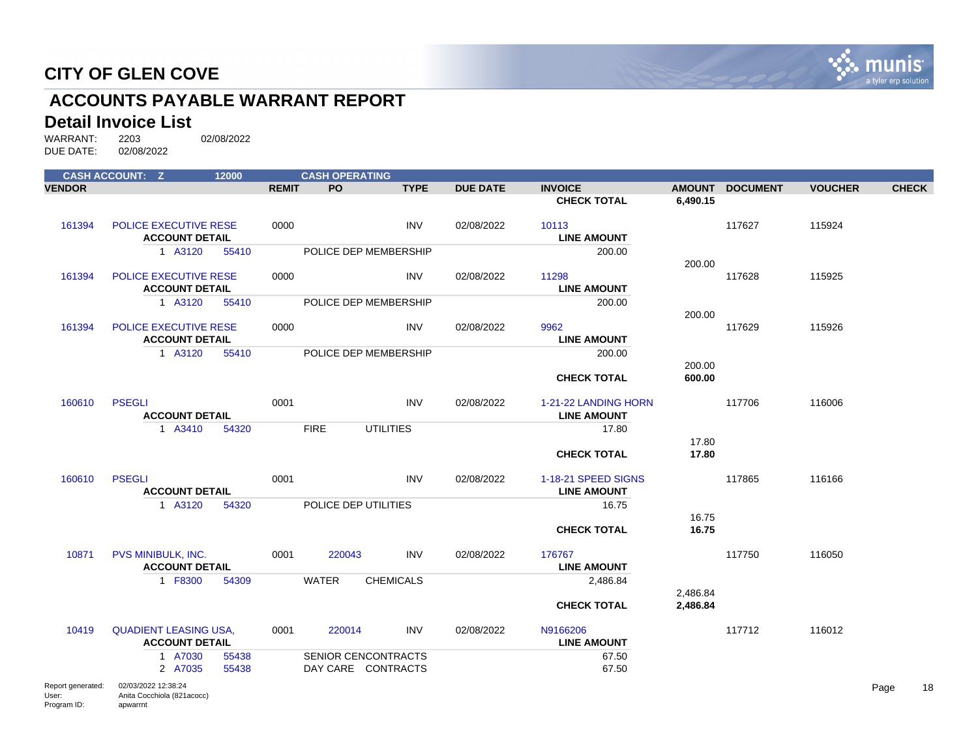

# **ACCOUNTS PAYABLE WARRANT REPORT**

# **Detail Invoice List**<br>WARRANT: 2203

|                   | <b>CASH ACCOUNT: Z</b>       | 12000 |              | <b>CASH OPERATING</b> |                  |                 |                      |          |                 |                |              |
|-------------------|------------------------------|-------|--------------|-----------------------|------------------|-----------------|----------------------|----------|-----------------|----------------|--------------|
| <b>VENDOR</b>     |                              |       | <b>REMIT</b> | <b>PO</b>             | <b>TYPE</b>      | <b>DUE DATE</b> | <b>INVOICE</b>       |          | AMOUNT DOCUMENT | <b>VOUCHER</b> | <b>CHECK</b> |
|                   |                              |       |              |                       |                  |                 | <b>CHECK TOTAL</b>   | 6,490.15 |                 |                |              |
| 161394            | <b>POLICE EXECUTIVE RESE</b> |       | 0000         |                       | <b>INV</b>       | 02/08/2022      | 10113                |          | 117627          | 115924         |              |
|                   | <b>ACCOUNT DETAIL</b>        |       |              |                       |                  |                 | <b>LINE AMOUNT</b>   |          |                 |                |              |
|                   | 1 A3120                      | 55410 |              | POLICE DEP MEMBERSHIP |                  |                 | 200.00               |          |                 |                |              |
|                   |                              |       |              |                       |                  |                 |                      | 200.00   |                 |                |              |
| 161394            | POLICE EXECUTIVE RESE        |       | 0000         |                       | <b>INV</b>       | 02/08/2022      | 11298                |          | 117628          | 115925         |              |
|                   | <b>ACCOUNT DETAIL</b>        |       |              |                       |                  |                 | <b>LINE AMOUNT</b>   |          |                 |                |              |
|                   | 1 A3120                      | 55410 |              | POLICE DEP MEMBERSHIP |                  |                 | 200.00               | 200.00   |                 |                |              |
| 161394            | <b>POLICE EXECUTIVE RESE</b> |       | 0000         |                       | <b>INV</b>       | 02/08/2022      | 9962                 |          | 117629          | 115926         |              |
|                   | <b>ACCOUNT DETAIL</b>        |       |              |                       |                  |                 | <b>LINE AMOUNT</b>   |          |                 |                |              |
|                   | 1 A3120                      | 55410 |              | POLICE DEP MEMBERSHIP |                  |                 | 200.00               |          |                 |                |              |
|                   |                              |       |              |                       |                  |                 |                      | 200.00   |                 |                |              |
|                   |                              |       |              |                       |                  |                 | <b>CHECK TOTAL</b>   | 600.00   |                 |                |              |
| 160610            | <b>PSEGLI</b>                |       | 0001         |                       | <b>INV</b>       | 02/08/2022      | 1-21-22 LANDING HORN |          | 117706          | 116006         |              |
|                   | <b>ACCOUNT DETAIL</b>        |       |              |                       |                  |                 | <b>LINE AMOUNT</b>   |          |                 |                |              |
|                   | 1 A3410                      | 54320 |              | <b>FIRE</b>           | <b>UTILITIES</b> |                 | 17.80                |          |                 |                |              |
|                   |                              |       |              |                       |                  |                 |                      | 17.80    |                 |                |              |
|                   |                              |       |              |                       |                  |                 | <b>CHECK TOTAL</b>   | 17.80    |                 |                |              |
| 160610            | <b>PSEGLI</b>                |       | 0001         |                       | <b>INV</b>       | 02/08/2022      | 1-18-21 SPEED SIGNS  |          | 117865          | 116166         |              |
|                   | <b>ACCOUNT DETAIL</b>        |       |              |                       |                  |                 | <b>LINE AMOUNT</b>   |          |                 |                |              |
|                   | 1 A3120                      | 54320 |              | POLICE DEP UTILITIES  |                  |                 | 16.75                |          |                 |                |              |
|                   |                              |       |              |                       |                  |                 |                      | 16.75    |                 |                |              |
|                   |                              |       |              |                       |                  |                 | <b>CHECK TOTAL</b>   | 16.75    |                 |                |              |
| 10871             | PVS MINIBULK, INC.           |       | 0001         | 220043                | <b>INV</b>       | 02/08/2022      | 176767               |          | 117750          | 116050         |              |
|                   | <b>ACCOUNT DETAIL</b>        |       |              |                       |                  |                 | <b>LINE AMOUNT</b>   |          |                 |                |              |
|                   | 1 F8300                      | 54309 |              | <b>WATER</b>          | <b>CHEMICALS</b> |                 | 2,486.84             |          |                 |                |              |
|                   |                              |       |              |                       |                  |                 |                      | 2,486.84 |                 |                |              |
|                   |                              |       |              |                       |                  |                 | <b>CHECK TOTAL</b>   | 2,486.84 |                 |                |              |
| 10419             | <b>QUADIENT LEASING USA.</b> |       | 0001         | 220014                | <b>INV</b>       | 02/08/2022      | N9166206             |          | 117712          | 116012         |              |
|                   | <b>ACCOUNT DETAIL</b>        |       |              |                       |                  |                 | <b>LINE AMOUNT</b>   |          |                 |                |              |
|                   | 1 A7030                      | 55438 |              | SENIOR CENCONTRACTS   |                  |                 | 67.50                |          |                 |                |              |
|                   | 2 A7035                      | 55438 |              | DAY CARE CONTRACTS    |                  |                 | 67.50                |          |                 |                |              |
| Report generated: | 02/03/2022 12:38:24          |       |              |                       |                  |                 |                      |          |                 |                | Page<br>18   |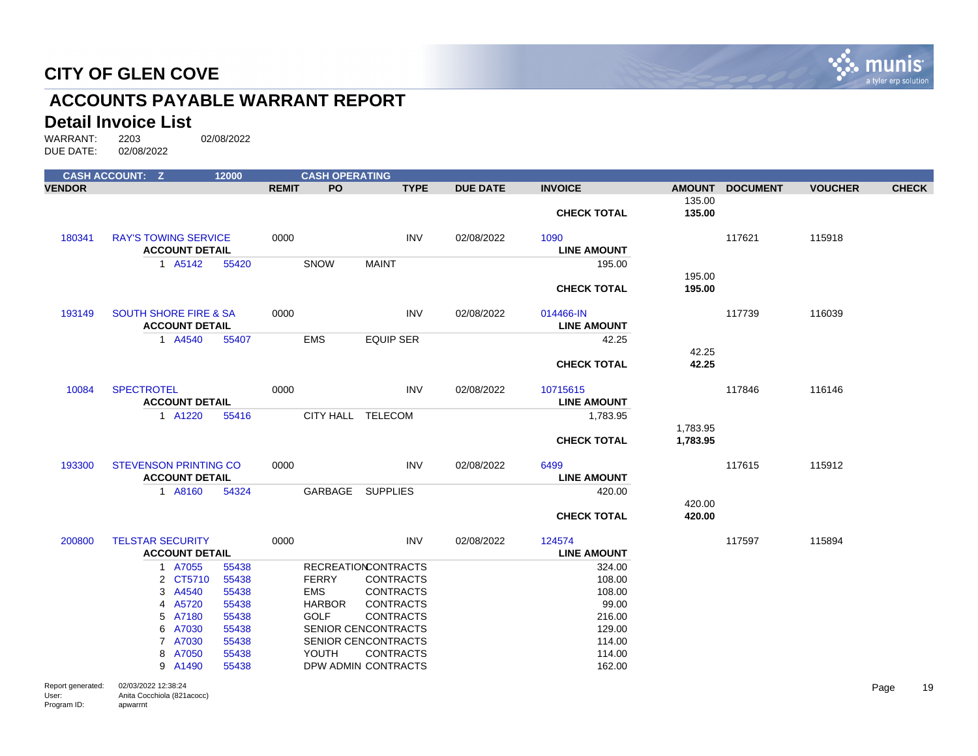

# **ACCOUNTS PAYABLE WARRANT REPORT**

#### **Detail Invoice List**

|                                           | <b>CASH ACCOUNT: Z</b>                                        | 12000 |              | <b>CASH OPERATING</b> |                            |                 |                                 |                      |                 |                |              |
|-------------------------------------------|---------------------------------------------------------------|-------|--------------|-----------------------|----------------------------|-----------------|---------------------------------|----------------------|-----------------|----------------|--------------|
| <b>VENDOR</b>                             |                                                               |       | <b>REMIT</b> | PO                    | <b>TYPE</b>                | <b>DUE DATE</b> | <b>INVOICE</b>                  | <b>AMOUNT</b>        | <b>DOCUMENT</b> | <b>VOUCHER</b> | <b>CHECK</b> |
|                                           |                                                               |       |              |                       |                            |                 | <b>CHECK TOTAL</b>              | 135.00<br>135.00     |                 |                |              |
| 180341                                    | <b>RAY'S TOWING SERVICE</b><br><b>ACCOUNT DETAIL</b>          |       | 0000         |                       | <b>INV</b>                 | 02/08/2022      | 1090<br><b>LINE AMOUNT</b>      |                      | 117621          | 115918         |              |
|                                           | 1 A5142                                                       | 55420 |              | SNOW                  | <b>MAINT</b>               |                 | 195.00                          |                      |                 |                |              |
|                                           |                                                               |       |              |                       |                            |                 |                                 | 195.00               |                 |                |              |
|                                           |                                                               |       |              |                       |                            |                 | <b>CHECK TOTAL</b>              | 195.00               |                 |                |              |
| 193149                                    | <b>SOUTH SHORE FIRE &amp; SA</b><br><b>ACCOUNT DETAIL</b>     |       | 0000         |                       | <b>INV</b>                 | 02/08/2022      | 014466-IN<br><b>LINE AMOUNT</b> |                      | 117739          | 116039         |              |
|                                           | 1 A4540                                                       | 55407 |              | <b>EMS</b>            | <b>EQUIP SER</b>           |                 | 42.25                           |                      |                 |                |              |
|                                           |                                                               |       |              |                       |                            |                 |                                 | 42.25                |                 |                |              |
|                                           |                                                               |       |              |                       |                            |                 | <b>CHECK TOTAL</b>              | 42.25                |                 |                |              |
| 10084                                     | <b>SPECTROTEL</b>                                             |       | 0000         |                       | <b>INV</b>                 | 02/08/2022      | 10715615                        |                      | 117846          | 116146         |              |
|                                           | <b>ACCOUNT DETAIL</b>                                         |       |              |                       |                            |                 | <b>LINE AMOUNT</b>              |                      |                 |                |              |
|                                           | 1 A1220                                                       | 55416 |              | CITY HALL TELECOM     |                            |                 | 1,783.95                        |                      |                 |                |              |
|                                           |                                                               |       |              |                       |                            |                 | <b>CHECK TOTAL</b>              | 1,783.95<br>1,783.95 |                 |                |              |
| 193300                                    | <b>STEVENSON PRINTING CO</b>                                  |       | 0000         |                       | <b>INV</b>                 | 02/08/2022      | 6499                            |                      | 117615          | 115912         |              |
|                                           | <b>ACCOUNT DETAIL</b>                                         |       |              |                       |                            |                 | <b>LINE AMOUNT</b>              |                      |                 |                |              |
|                                           | 1 A8160                                                       | 54324 |              | GARBAGE SUPPLIES      |                            |                 | 420.00                          |                      |                 |                |              |
|                                           |                                                               |       |              |                       |                            |                 | <b>CHECK TOTAL</b>              | 420.00<br>420.00     |                 |                |              |
|                                           |                                                               |       |              |                       |                            |                 |                                 |                      |                 |                |              |
| 200800                                    | <b>TELSTAR SECURITY</b>                                       |       | 0000         |                       | <b>INV</b>                 | 02/08/2022      | 124574                          |                      | 117597          | 115894         |              |
|                                           | <b>ACCOUNT DETAIL</b>                                         |       |              |                       |                            |                 | <b>LINE AMOUNT</b>              |                      |                 |                |              |
|                                           | 1 A7055                                                       | 55438 |              |                       | <b>RECREATIONCONTRACTS</b> |                 | 324.00                          |                      |                 |                |              |
|                                           | 2 CT5710                                                      | 55438 |              | <b>FERRY</b>          | <b>CONTRACTS</b>           |                 | 108.00                          |                      |                 |                |              |
|                                           | 3 A4540                                                       | 55438 |              | <b>EMS</b>            | <b>CONTRACTS</b>           |                 | 108.00                          |                      |                 |                |              |
|                                           | 4 A5720                                                       | 55438 |              | <b>HARBOR</b>         | <b>CONTRACTS</b>           |                 | 99.00                           |                      |                 |                |              |
|                                           | 5 A7180                                                       | 55438 |              | <b>GOLF</b>           | <b>CONTRACTS</b>           |                 | 216.00                          |                      |                 |                |              |
|                                           | 6 A7030                                                       | 55438 |              |                       | SENIOR CENCONTRACTS        |                 | 129.00                          |                      |                 |                |              |
|                                           | 7 A7030                                                       | 55438 |              |                       | SENIOR CENCONTRACTS        |                 | 114.00                          |                      |                 |                |              |
|                                           | 8 A7050                                                       | 55438 |              | <b>YOUTH</b>          | <b>CONTRACTS</b>           |                 | 114.00                          |                      |                 |                |              |
|                                           | 9 A1490                                                       | 55438 |              |                       | DPW ADMIN CONTRACTS        |                 | 162.00                          |                      |                 |                |              |
| Report generated:<br>User:<br>Program ID: | 02/03/2022 12:38:24<br>Anita Cocchiola (821acocc)<br>apwarrnt |       |              |                       |                            |                 |                                 |                      |                 |                | 19<br>Page   |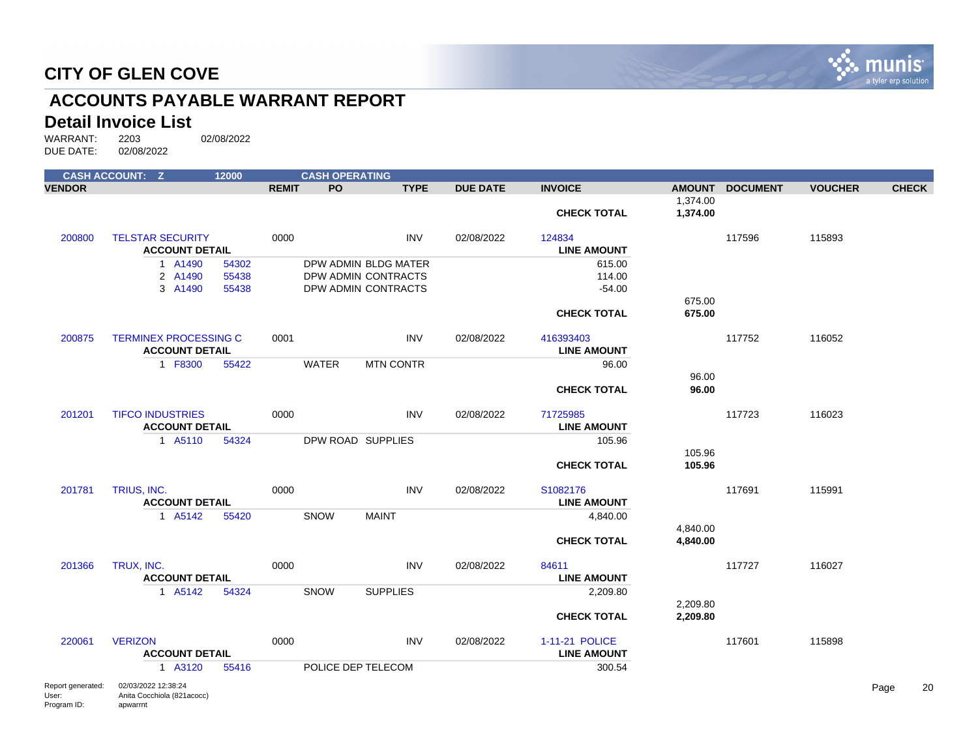

# **ACCOUNTS PAYABLE WARRANT REPORT**

#### **Detail Invoice List**

|                                           | <b>CASH ACCOUNT: Z</b>                                        | 12000                   |              | <b>CASH OPERATING</b> |                                                                    |                 |                                            |                      |                 |                |              |
|-------------------------------------------|---------------------------------------------------------------|-------------------------|--------------|-----------------------|--------------------------------------------------------------------|-----------------|--------------------------------------------|----------------------|-----------------|----------------|--------------|
| <b>VENDOR</b>                             |                                                               |                         | <b>REMIT</b> | PO                    | <b>TYPE</b>                                                        | <b>DUE DATE</b> | <b>INVOICE</b>                             |                      | AMOUNT DOCUMENT | <b>VOUCHER</b> | <b>CHECK</b> |
|                                           |                                                               |                         |              |                       |                                                                    |                 | <b>CHECK TOTAL</b>                         | 1,374.00<br>1,374.00 |                 |                |              |
| 200800                                    | <b>TELSTAR SECURITY</b><br><b>ACCOUNT DETAIL</b>              |                         | 0000         |                       | <b>INV</b>                                                         | 02/08/2022      | 124834<br><b>LINE AMOUNT</b>               |                      | 117596          | 115893         |              |
|                                           | 1 A1490<br>2 A1490<br>3 A1490                                 | 54302<br>55438<br>55438 |              |                       | DPW ADMIN BLDG MATER<br>DPW ADMIN CONTRACTS<br>DPW ADMIN CONTRACTS |                 | 615.00<br>114.00<br>$-54.00$               |                      |                 |                |              |
|                                           |                                                               |                         |              |                       |                                                                    |                 | <b>CHECK TOTAL</b>                         | 675.00<br>675.00     |                 |                |              |
| 200875                                    | <b>TERMINEX PROCESSING C</b><br><b>ACCOUNT DETAIL</b>         |                         | 0001         |                       | <b>INV</b>                                                         | 02/08/2022      | 416393403<br><b>LINE AMOUNT</b>            |                      | 117752          | 116052         |              |
|                                           | 1 F8300                                                       | 55422                   |              | <b>WATER</b>          | <b>MTN CONTR</b>                                                   |                 | 96.00                                      | 96.00                |                 |                |              |
|                                           |                                                               |                         |              |                       |                                                                    |                 | <b>CHECK TOTAL</b>                         | 96.00                |                 |                |              |
| 201201                                    | <b>TIFCO INDUSTRIES</b><br><b>ACCOUNT DETAIL</b>              |                         | 0000         |                       | <b>INV</b>                                                         | 02/08/2022      | 71725985<br><b>LINE AMOUNT</b>             |                      | 117723          | 116023         |              |
|                                           | 1 A5110                                                       | 54324                   |              |                       | DPW ROAD SUPPLIES                                                  |                 | 105.96                                     | 105.96               |                 |                |              |
|                                           |                                                               |                         |              |                       |                                                                    |                 | <b>CHECK TOTAL</b>                         | 105.96               |                 |                |              |
| 201781                                    | TRIUS, INC.<br><b>ACCOUNT DETAIL</b>                          |                         | 0000         |                       | <b>INV</b>                                                         | 02/08/2022      | S <sub>1082176</sub><br><b>LINE AMOUNT</b> |                      | 117691          | 115991         |              |
|                                           | 1 A5142                                                       | 55420                   |              | SNOW                  | <b>MAINT</b>                                                       |                 | 4,840.00                                   | 4,840.00             |                 |                |              |
|                                           |                                                               |                         |              |                       |                                                                    |                 | <b>CHECK TOTAL</b>                         | 4,840.00             |                 |                |              |
| 201366                                    | TRUX, INC.<br><b>ACCOUNT DETAIL</b>                           |                         | 0000         |                       | <b>INV</b>                                                         | 02/08/2022      | 84611<br><b>LINE AMOUNT</b>                |                      | 117727          | 116027         |              |
|                                           | 1 A5142                                                       | 54324                   |              | SNOW                  | <b>SUPPLIES</b>                                                    |                 | 2,209.80                                   |                      |                 |                |              |
|                                           |                                                               |                         |              |                       |                                                                    |                 | <b>CHECK TOTAL</b>                         | 2,209.80<br>2,209.80 |                 |                |              |
| 220061                                    | <b>VERIZON</b><br><b>ACCOUNT DETAIL</b>                       |                         | 0000         |                       | <b>INV</b>                                                         | 02/08/2022      | 1-11-21 POLICE<br><b>LINE AMOUNT</b>       |                      | 117601          | 115898         |              |
|                                           | 1 A3120                                                       | 55416                   |              |                       | POLICE DEP TELECOM                                                 |                 | 300.54                                     |                      |                 |                |              |
| Report generated:<br>User:<br>Program ID: | 02/03/2022 12:38:24<br>Anita Cocchiola (821acocc)<br>apwarrnt |                         |              |                       |                                                                    |                 |                                            |                      |                 |                | 20<br>Page   |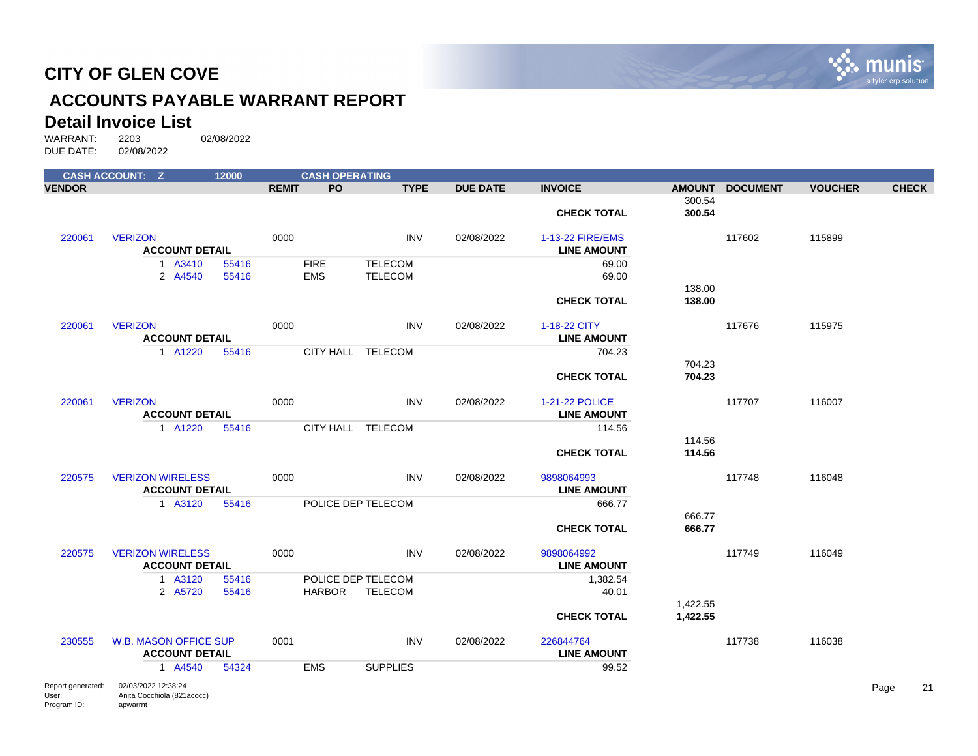

# **ACCOUNTS PAYABLE WARRANT REPORT**

#### **Detail Invoice List**

|                                           | <b>CASH ACCOUNT: Z</b>                                        | 12000          |              | <b>CASH OPERATING</b>               |                                  |                 |                                        |                      |                 |                |      |              |
|-------------------------------------------|---------------------------------------------------------------|----------------|--------------|-------------------------------------|----------------------------------|-----------------|----------------------------------------|----------------------|-----------------|----------------|------|--------------|
| <b>VENDOR</b>                             |                                                               |                | <b>REMIT</b> | PO.                                 | <b>TYPE</b>                      | <b>DUE DATE</b> | <b>INVOICE</b>                         |                      | AMOUNT DOCUMENT | <b>VOUCHER</b> |      | <b>CHECK</b> |
|                                           |                                                               |                |              |                                     |                                  |                 | <b>CHECK TOTAL</b>                     | 300.54<br>300.54     |                 |                |      |              |
| 220061                                    | <b>VERIZON</b><br><b>ACCOUNT DETAIL</b>                       |                | 0000         |                                     | INV                              | 02/08/2022      | 1-13-22 FIRE/EMS<br><b>LINE AMOUNT</b> |                      | 117602          | 115899         |      |              |
|                                           | 1 A3410<br>2 A4540                                            | 55416<br>55416 |              | <b>FIRE</b><br><b>EMS</b>           | <b>TELECOM</b><br><b>TELECOM</b> |                 | 69.00<br>69.00                         |                      |                 |                |      |              |
|                                           |                                                               |                |              |                                     |                                  |                 | <b>CHECK TOTAL</b>                     | 138.00<br>138.00     |                 |                |      |              |
| 220061                                    | <b>VERIZON</b><br><b>ACCOUNT DETAIL</b>                       |                | 0000         |                                     | <b>INV</b>                       | 02/08/2022      | 1-18-22 CITY<br><b>LINE AMOUNT</b>     |                      | 117676          | 115975         |      |              |
|                                           | 1 A1220                                                       | 55416          |              | CITY HALL TELECOM                   |                                  |                 | 704.23                                 | 704.23               |                 |                |      |              |
|                                           |                                                               |                |              |                                     |                                  |                 | <b>CHECK TOTAL</b>                     | 704.23               |                 |                |      |              |
| 220061                                    | <b>VERIZON</b><br><b>ACCOUNT DETAIL</b>                       |                | 0000         |                                     | <b>INV</b>                       | 02/08/2022      | 1-21-22 POLICE<br><b>LINE AMOUNT</b>   |                      | 117707          | 116007         |      |              |
|                                           | 1 A1220                                                       | 55416          |              | CITY HALL TELECOM                   |                                  |                 | 114.56                                 | 114.56               |                 |                |      |              |
|                                           |                                                               |                |              |                                     |                                  |                 | <b>CHECK TOTAL</b>                     | 114.56               |                 |                |      |              |
| 220575                                    | <b>VERIZON WIRELESS</b><br><b>ACCOUNT DETAIL</b>              |                | 0000         |                                     | <b>INV</b>                       | 02/08/2022      | 9898064993<br><b>LINE AMOUNT</b>       |                      | 117748          | 116048         |      |              |
|                                           | 1 A3120                                                       | 55416          |              | POLICE DEP TELECOM                  |                                  |                 | 666.77                                 |                      |                 |                |      |              |
|                                           |                                                               |                |              |                                     |                                  |                 | <b>CHECK TOTAL</b>                     | 666.77<br>666.77     |                 |                |      |              |
| 220575                                    | <b>VERIZON WIRELESS</b><br><b>ACCOUNT DETAIL</b>              |                | 0000         |                                     | INV                              | 02/08/2022      | 9898064992<br><b>LINE AMOUNT</b>       |                      | 117749          | 116049         |      |              |
|                                           | 1 A3120<br>2 A5720                                            | 55416<br>55416 |              | POLICE DEP TELECOM<br><b>HARBOR</b> | <b>TELECOM</b>                   |                 | 1,382.54<br>40.01                      |                      |                 |                |      |              |
|                                           |                                                               |                |              |                                     |                                  |                 | <b>CHECK TOTAL</b>                     | 1,422.55<br>1,422.55 |                 |                |      |              |
| 230555                                    | <b>W.B. MASON OFFICE SUP</b><br><b>ACCOUNT DETAIL</b>         |                | 0001         |                                     | <b>INV</b>                       | 02/08/2022      | 226844764<br><b>LINE AMOUNT</b>        |                      | 117738          | 116038         |      |              |
|                                           | 1 A4540                                                       | 54324          |              | <b>EMS</b>                          | <b>SUPPLIES</b>                  |                 | 99.52                                  |                      |                 |                |      |              |
| Report generated:<br>User:<br>Program ID: | 02/03/2022 12:38:24<br>Anita Cocchiola (821acocc)<br>apwarrnt |                |              |                                     |                                  |                 |                                        |                      |                 |                | Page | 21           |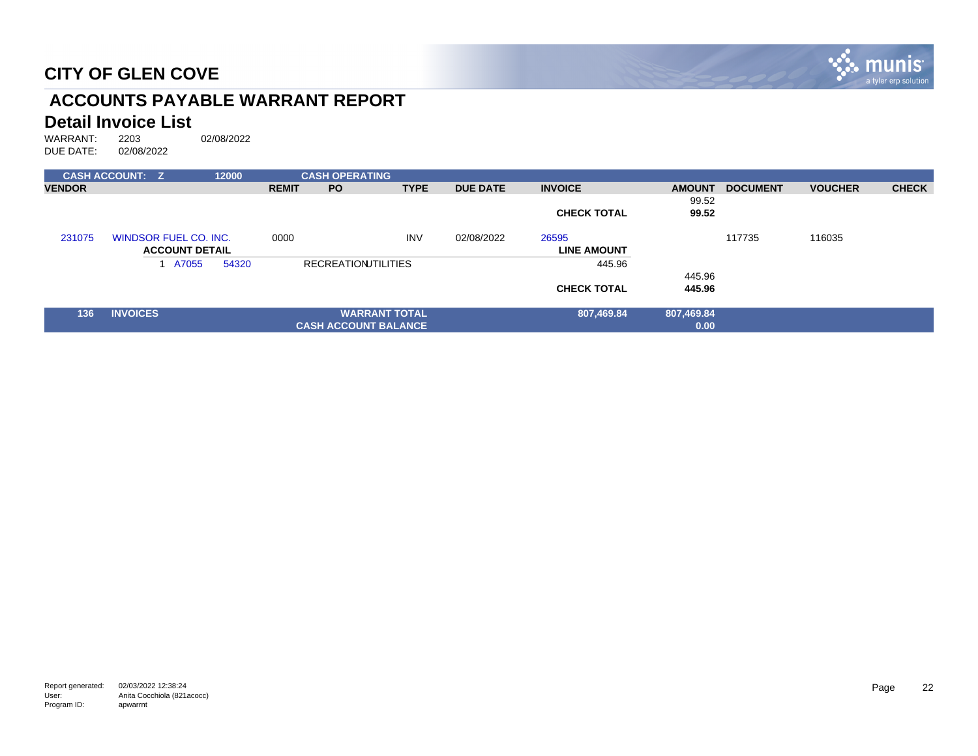

# **ACCOUNTS PAYABLE WARRANT REPORT**

# **Detail Invoice List**<br>WARRANT: 2203

|               | <b>CASH ACCOUNT: Z</b> | 12000 |              | <b>CASH OPERATING</b>       |                      |                 |                    |               |                 |                |              |
|---------------|------------------------|-------|--------------|-----------------------------|----------------------|-----------------|--------------------|---------------|-----------------|----------------|--------------|
| <b>VENDOR</b> |                        |       | <b>REMIT</b> | <b>PO</b>                   | <b>TYPE</b>          | <b>DUE DATE</b> | <b>INVOICE</b>     | <b>AMOUNT</b> | <b>DOCUMENT</b> | <b>VOUCHER</b> | <b>CHECK</b> |
|               |                        |       |              |                             |                      |                 |                    | 99.52         |                 |                |              |
|               |                        |       |              |                             |                      |                 | <b>CHECK TOTAL</b> | 99.52         |                 |                |              |
| 231075        | WINDSOR FUEL CO. INC.  |       | 0000         |                             | <b>INV</b>           | 02/08/2022      | 26595              |               | 117735          | 116035         |              |
|               | <b>ACCOUNT DETAIL</b>  |       |              |                             |                      |                 | <b>LINE AMOUNT</b> |               |                 |                |              |
|               | 1 A7055                | 54320 |              | <b>RECREATIONITILITIES</b>  |                      |                 | 445.96             |               |                 |                |              |
|               |                        |       |              |                             |                      |                 |                    | 445.96        |                 |                |              |
|               |                        |       |              |                             |                      |                 | <b>CHECK TOTAL</b> | 445.96        |                 |                |              |
| 136           | <b>INVOICES</b>        |       |              |                             | <b>WARRANT TOTAL</b> |                 | 807,469.84         | 807,469.84    |                 |                |              |
|               |                        |       |              | <b>CASH ACCOUNT BALANCE</b> |                      |                 |                    | 0.00          |                 |                |              |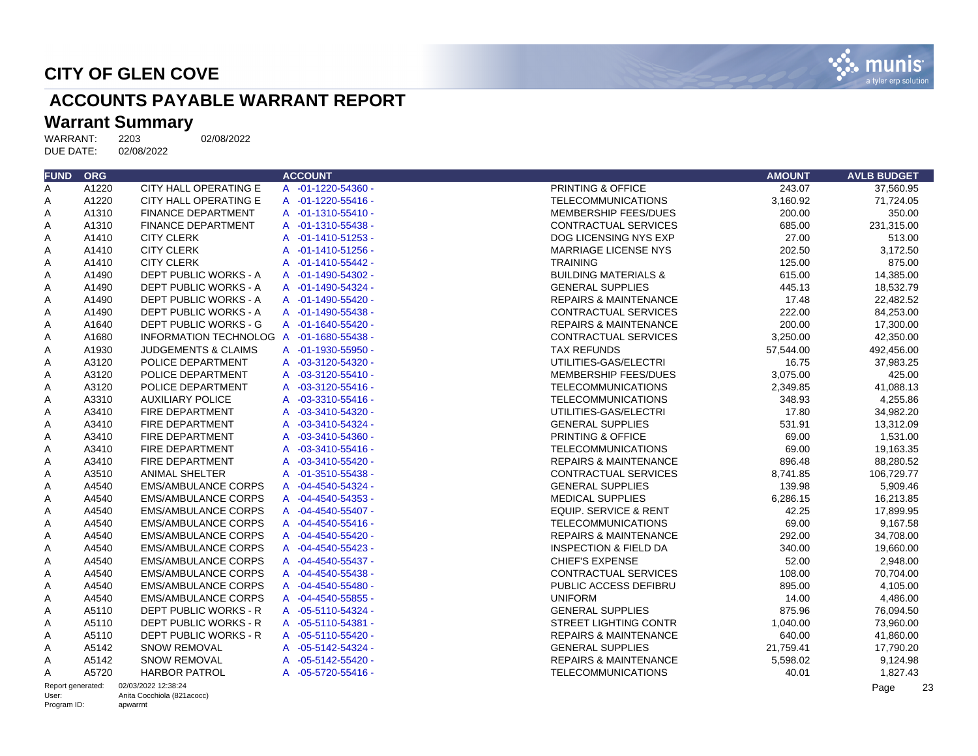

# **ACCOUNTS PAYABLE WARRANT REPORT**

# Warrant Summary<br>WARRANT: 2203

WARRANT: 2203 02/08/2022<br>DUE DATE: 02/08/2022 DUE DATE:

| <b>FUND ORG</b>   |       |                                          | <b>ACCOUNT</b>              | <b>AMOUNT</b>                                | <b>AVLB BUDGET</b> |
|-------------------|-------|------------------------------------------|-----------------------------|----------------------------------------------|--------------------|
| A                 | A1220 | CITY HALL OPERATING E                    | A -01-1220-54360 -          | PRINTING & OFFICE<br>243.07                  | 37,560.95          |
| Α                 | A1220 | CITY HALL OPERATING E                    | A -01-1220-55416 -          | <b>TELECOMMUNICATIONS</b><br>3,160.92        | 71,724.05          |
| A                 | A1310 | <b>FINANCE DEPARTMENT</b>                | A -01-1310-55410 -          | MEMBERSHIP FEES/DUES<br>200.00               | 350.00             |
| Α                 | A1310 | <b>FINANCE DEPARTMENT</b>                | A -01-1310-55438 -          | 685.00<br><b>CONTRACTUAL SERVICES</b>        | 231,315.00         |
| Α                 | A1410 | <b>CITY CLERK</b>                        | A -01-1410-51253 -          | DOG LICENSING NYS EXP<br>27.00               | 513.00             |
| Α                 | A1410 | <b>CITY CLERK</b>                        | A -01-1410-51256 -          | 202.50<br>MARRIAGE LICENSE NYS               | 3,172.50           |
| Α                 | A1410 | <b>CITY CLERK</b>                        | A -01-1410-55442 -          | 125.00<br><b>TRAINING</b>                    | 875.00             |
| A                 | A1490 | DEPT PUBLIC WORKS - A                    | A -01-1490-54302 -          | <b>BUILDING MATERIALS &amp;</b><br>615.00    | 14,385.00          |
| Α                 | A1490 | DEPT PUBLIC WORKS - A                    | A -01-1490-54324 -          | <b>GENERAL SUPPLIES</b><br>445.13            | 18,532.79          |
| Α                 | A1490 | DEPT PUBLIC WORKS - A                    | A -01-1490-55420 -          | 17.48<br><b>REPAIRS &amp; MAINTENANCE</b>    | 22,482.52          |
| Α                 | A1490 | DEPT PUBLIC WORKS - A                    | A -01-1490-55438 -          | 222.00<br><b>CONTRACTUAL SERVICES</b>        | 84,253.00          |
| A                 | A1640 | DEPT PUBLIC WORKS - G                    | A -01-1640-55420 -          | 200.00<br><b>REPAIRS &amp; MAINTENANCE</b>   | 17.300.00          |
| Α                 | A1680 | INFORMATION TECHNOLOG A -01-1680-55438 - |                             | CONTRACTUAL SERVICES<br>3,250.00             | 42,350.00          |
| Α                 | A1930 | <b>JUDGEMENTS &amp; CLAIMS</b>           | A -01-1930-55950 -          | <b>TAX REFUNDS</b><br>57,544.00              | 492,456.00         |
| Α                 | A3120 | POLICE DEPARTMENT                        | A -03-3120-54320 -          | UTILITIES-GAS/ELECTRI<br>16.75               | 37,983.25          |
| Α                 | A3120 | POLICE DEPARTMENT                        | A -03-3120-55410 -          | MEMBERSHIP FEES/DUES<br>3,075.00             | 425.00             |
| Α                 | A3120 | POLICE DEPARTMENT                        | A -03-3120-55416 -          | <b>TELECOMMUNICATIONS</b><br>2,349.85        | 41,088.13          |
| Α                 | A3310 | <b>AUXILIARY POLICE</b>                  | A -03-3310-55416 -          | <b>TELECOMMUNICATIONS</b><br>348.93          | 4,255.86           |
| Α                 | A3410 | FIRE DEPARTMENT                          | A -03-3410-54320 -          | UTILITIES-GAS/ELECTRI<br>17.80               | 34,982.20          |
| Α                 | A3410 | FIRE DEPARTMENT                          | A -03-3410-54324 -          | 531.91<br><b>GENERAL SUPPLIES</b>            | 13,312.09          |
| Α                 | A3410 | FIRE DEPARTMENT                          | A -03-3410-54360 -          | 69.00<br>PRINTING & OFFICE                   | 1,531.00           |
| A                 | A3410 | FIRE DEPARTMENT                          | $-03 - 3410 - 55416 -$<br>A | 69.00<br><b>TELECOMMUNICATIONS</b>           | 19,163.35          |
| Α                 | A3410 | FIRE DEPARTMENT                          | A -03-3410-55420 -          | <b>REPAIRS &amp; MAINTENANCE</b><br>896.48   | 88,280.52          |
| Α                 | A3510 | <b>ANIMAL SHELTER</b>                    | A -01-3510-55438 -          | <b>CONTRACTUAL SERVICES</b><br>8,741.85      | 106,729.77         |
| Α                 | A4540 | <b>EMS/AMBULANCE CORPS</b>               | A -04-4540-54324 -          | 139.98<br><b>GENERAL SUPPLIES</b>            | 5.909.46           |
| A                 | A4540 | <b>EMS/AMBULANCE CORPS</b>               | A -04-4540-54353 -          | <b>MEDICAL SUPPLIES</b><br>6,286.15          | 16,213.85          |
| Α                 | A4540 | <b>EMS/AMBULANCE CORPS</b>               | A -04-4540-55407 -          | <b>EQUIP. SERVICE &amp; RENT</b><br>42.25    | 17,899.95          |
| Α                 | A4540 | <b>EMS/AMBULANCE CORPS</b>               | A -04-4540-55416 -          | 69.00<br><b>TELECOMMUNICATIONS</b>           | 9,167.58           |
| Α                 | A4540 | <b>EMS/AMBULANCE CORPS</b>               | A -04-4540-55420 -          | 292.00<br><b>REPAIRS &amp; MAINTENANCE</b>   | 34,708.00          |
| Α                 | A4540 | <b>EMS/AMBULANCE CORPS</b>               | A -04-4540-55423 -          | <b>INSPECTION &amp; FIELD DA</b><br>340.00   | 19,660.00          |
| Α                 | A4540 | <b>EMS/AMBULANCE CORPS</b>               | A -04-4540-55437 -          | <b>CHIEF'S EXPENSE</b><br>52.00              | 2,948.00           |
| Α                 | A4540 | <b>EMS/AMBULANCE CORPS</b>               | A -04-4540-55438 -          | 108.00<br><b>CONTRACTUAL SERVICES</b>        | 70,704.00          |
| Α                 | A4540 | <b>EMS/AMBULANCE CORPS</b>               | A -04-4540-55480 -          | PUBLIC ACCESS DEFIBRU<br>895.00              | 4,105.00           |
| Α                 | A4540 | <b>EMS/AMBULANCE CORPS</b>               | A -04-4540-55855 -          | <b>UNIFORM</b><br>14.00                      | 4,486.00           |
| Α                 | A5110 | <b>DEPT PUBLIC WORKS - R</b>             | A -05-5110-54324 -          | <b>GENERAL SUPPLIES</b><br>875.96            | 76,094.50          |
| A                 | A5110 | DEPT PUBLIC WORKS - R                    | A -05-5110-54381 -          | <b>STREET LIGHTING CONTR</b><br>1.040.00     | 73,960.00          |
| Α                 | A5110 | DEPT PUBLIC WORKS - R                    | A -05-5110-55420 -          | <b>REPAIRS &amp; MAINTENANCE</b><br>640.00   | 41,860.00          |
| Α                 | A5142 | <b>SNOW REMOVAL</b>                      | A -05-5142-54324 -          | <b>GENERAL SUPPLIES</b><br>21,759.41         | 17,790.20          |
| Α                 | A5142 | <b>SNOW REMOVAL</b>                      | A -05-5142-55420 -          | <b>REPAIRS &amp; MAINTENANCE</b><br>5,598.02 | 9,124.98           |
| A                 | A5720 | <b>HARBOR PATROL</b>                     | A -05-5720-55416 -          | <b>TELECOMMUNICATIONS</b><br>40.01           | 1,827.43           |
| Report generated: |       | 02/03/2022 12:38:24                      |                             |                                              | Page               |

User: Program ID: Anita Cocchiola (821acocc) apwarrnt

Page 23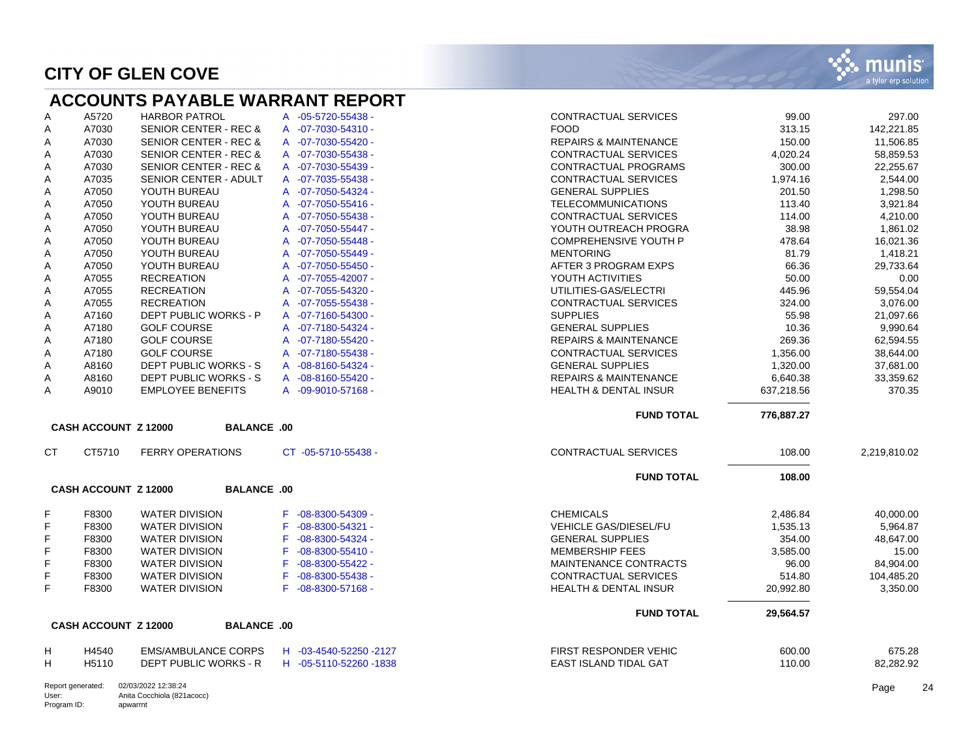#### **ACCOUNTS PAYABLE WARRANT REPORT**

| A | A5720 | <b>HARBOR PATROL</b>             | A -05-5720-55438 -          |
|---|-------|----------------------------------|-----------------------------|
| A | A7030 | <b>SENIOR CENTER - REC &amp;</b> | $-07 - 7030 - 54310 -$<br>A |
| A | A7030 | <b>SENIOR CENTER - REC &amp;</b> | $-07 - 7030 - 55420 -$<br>A |
| A | A7030 | <b>SENIOR CENTER - REC &amp;</b> | $-07 - 7030 - 55438 -$<br>A |
| A | A7030 | <b>SENIOR CENTER - REC &amp;</b> | A<br>$-07 - 7030 - 55439 -$ |
| A | A7035 | SENIOR CENTER - ADULT            | $-07 - 7035 - 55438 -$<br>A |
| A | A7050 | YOUTH BUREAU                     | A<br>-07-7050-54324 -       |
| A | A7050 | YOUTH BUREAU                     | $-07 - 7050 - 55416 -$<br>A |
| A | A7050 | YOUTH BUREAU                     | $-07 - 7050 - 55438 -$<br>A |
| A | A7050 | YOUTH BUREAU                     | $-07 - 7050 - 55447 -$<br>A |
| A | A7050 | YOUTH BUREAU                     | $-07 - 7050 - 55448 -$<br>A |
| A | A7050 | YOUTH BUREAU                     | $-07 - 7050 - 55449 -$<br>A |
| A | A7050 | YOUTH BUREAU                     | $-07 - 7050 - 55450 -$<br>A |
| A | A7055 | <b>RECREATION</b>                | $-07 - 7055 - 42007 -$<br>A |
| A | A7055 | <b>RECREATION</b>                | $-07 - 7055 - 54320 -$<br>A |
| A | A7055 | <b>RECREATION</b>                | $-07 - 7055 - 55438 -$<br>A |
| A | A7160 | DEPT PUBLIC WORKS - P            | $-07 - 7160 - 54300 -$<br>A |
| A | A7180 | <b>GOLF COURSE</b>               | -07-7180-54324 -<br>A       |
| A | A7180 | <b>GOLF COURSE</b>               | $-07 - 7180 - 55420 -$<br>A |
| A | A7180 | <b>GOLF COURSE</b>               | $-07 - 7180 - 55438 -$<br>A |
| A | A8160 | DEPT PUBLIC WORKS - S            | $-08 - 8160 - 54324 -$<br>A |
| A | A8160 | <b>DEPT PUBLIC WORKS - S</b>     | $-08 - 8160 - 55420 -$<br>A |
| A | A9010 | <b>EMPLOYEE BENEFITS</b>         | $-09 - 9010 - 57168 -$<br>A |

| A         | A5720                       | <b>HARBOR PATROL</b>             | A -05-5720-55438 -           | CONTRACTUAL SERVICES             | 99.00      | 297.00       |
|-----------|-----------------------------|----------------------------------|------------------------------|----------------------------------|------------|--------------|
| Α         | A7030                       | <b>SENIOR CENTER - REC &amp;</b> | A -07-7030-54310 -           | <b>FOOD</b>                      | 313.15     | 142,221.85   |
| Α         | A7030                       | <b>SENIOR CENTER - REC &amp;</b> | A -07-7030-55420 -           | <b>REPAIRS &amp; MAINTENANCE</b> | 150.00     | 11,506.85    |
| Α         | A7030                       | <b>SENIOR CENTER - REC &amp;</b> | A -07-7030-55438 -           | <b>CONTRACTUAL SERVICES</b>      | 4,020.24   | 58,859.53    |
| Α         | A7030                       | <b>SENIOR CENTER - REC &amp;</b> | A -07-7030-55439 -           | <b>CONTRACTUAL PROGRAMS</b>      | 300.00     | 22,255.67    |
| Α         | A7035                       | <b>SENIOR CENTER - ADULT</b>     | A -07-7035-55438 -           | <b>CONTRACTUAL SERVICES</b>      | 1,974.16   | 2,544.00     |
| Α         | A7050                       | YOUTH BUREAU                     | A -07-7050-54324 -           | <b>GENERAL SUPPLIES</b>          | 201.50     | 1,298.50     |
| Α         | A7050                       | YOUTH BUREAU                     | A -07-7050-55416 -           | <b>TELECOMMUNICATIONS</b>        | 113.40     | 3,921.84     |
| Α         | A7050                       | YOUTH BUREAU                     | A -07-7050-55438 -           | <b>CONTRACTUAL SERVICES</b>      | 114.00     | 4,210.00     |
| Α         | A7050                       | YOUTH BUREAU                     | $-07 - 7050 - 55447 -$<br>A  | YOUTH OUTREACH PROGRA            | 38.98      | 1,861.02     |
| Α         | A7050                       | YOUTH BUREAU                     | A -07-7050-55448 -           | <b>COMPREHENSIVE YOUTH P</b>     | 478.64     | 16.021.36    |
| A         | A7050                       | YOUTH BUREAU                     | A -07-7050-55449 -           | <b>MENTORING</b>                 | 81.79      | 1,418.21     |
| Α         | A7050                       | YOUTH BUREAU                     | $-07 - 7050 - 55450 -$<br>A  | AFTER 3 PROGRAM EXPS             | 66.36      | 29,733.64    |
| Α         | A7055                       | <b>RECREATION</b>                | A -07-7055-42007 -           | YOUTH ACTIVITIES                 | 50.00      | 0.00         |
| Α         | A7055                       | <b>RECREATION</b>                | A -07-7055-54320 -           | UTILITIES-GAS/ELECTRI            | 445.96     | 59,554.04    |
| Α         | A7055                       | <b>RECREATION</b>                | A -07-7055-55438 -           | <b>CONTRACTUAL SERVICES</b>      | 324.00     | 3,076.00     |
| Α         | A7160                       | <b>DEPT PUBLIC WORKS - P</b>     | A -07-7160-54300 -           | <b>SUPPLIES</b>                  | 55.98      | 21,097.66    |
| Α         | A7180                       | <b>GOLF COURSE</b>               | A -07-7180-54324 -           | <b>GENERAL SUPPLIES</b>          | 10.36      | 9,990.64     |
| Α         | A7180                       | <b>GOLF COURSE</b>               | A -07-7180-55420 -           | <b>REPAIRS &amp; MAINTENANCE</b> | 269.36     | 62,594.55    |
| Α         | A7180                       | <b>GOLF COURSE</b>               | A -07-7180-55438 -           | <b>CONTRACTUAL SERVICES</b>      | 1,356.00   | 38,644.00    |
| Α         | A8160                       | <b>DEPT PUBLIC WORKS - S</b>     | A -08-8160-54324 -           | <b>GENERAL SUPPLIES</b>          | 1,320.00   | 37,681.00    |
| Α         | A8160                       | <b>DEPT PUBLIC WORKS - S</b>     | A -08-8160-55420 -           | <b>REPAIRS &amp; MAINTENANCE</b> | 6,640.38   | 33.359.62    |
| A         | A9010                       | <b>EMPLOYEE BENEFITS</b>         | A -09-9010-57168 -           | <b>HEALTH &amp; DENTAL INSUR</b> | 637,218.56 | 370.35       |
|           |                             |                                  |                              | <b>FUND TOTAL</b>                | 776,887.27 |              |
|           | CASH ACCOUNT Z 12000        | <b>BALANCE .00</b>               |                              |                                  |            |              |
| <b>CT</b> | CT5710                      | <b>FERRY OPERATIONS</b>          | CT -05-5710-55438 -          | <b>CONTRACTUAL SERVICES</b>      | 108.00     | 2,219,810.02 |
|           |                             |                                  |                              | <b>FUND TOTAL</b>                | 108.00     |              |
|           | <b>CASH ACCOUNT Z 12000</b> | <b>BALANCE .00</b>               |                              |                                  |            |              |
| F         | F8300                       | <b>WATER DIVISION</b>            | F -08-8300-54309 -           | <b>CHEMICALS</b>                 | 2,486.84   | 40,000.00    |
| F         | F8300                       | <b>WATER DIVISION</b>            | $-08 - 8300 - 54321 -$<br>F. | VEHICLE GAS/DIESEL/FU            | 1,535.13   | 5,964.87     |
| F         | F8300                       | <b>WATER DIVISION</b>            | $-08 - 8300 - 54324 -$<br>F. | <b>GENERAL SUPPLIES</b>          | 354.00     | 48,647.00    |
| F         | F8300                       | <b>WATER DIVISION</b>            | $-08 - 8300 - 55410 -$<br>F. | <b>MEMBERSHIP FEES</b>           | 3,585.00   | 15.00        |
| F         | F8300                       | <b>WATER DIVISION</b>            | $-08 - 8300 - 55422 -$<br>F. | <b>MAINTENANCE CONTRACTS</b>     | 96.00      | 84,904.00    |
| F         | F8300                       | <b>WATER DIVISION</b>            | $-08 - 8300 - 55438 -$<br>F. | <b>CONTRACTUAL SERVICES</b>      | 514.80     | 104,485.20   |
| F.        | F8300                       | <b>WATER DIVISION</b>            | F -08-8300-57168 -           | <b>HEALTH &amp; DENTAL INSUR</b> | 20,992.80  | 3,350.00     |
|           |                             |                                  |                              | <b>FUND TOTAL</b>                | 29,564.57  |              |
|           | <b>CASH ACCOUNT Z 12000</b> | <b>BALANCE .00</b>               |                              |                                  |            |              |
| н         | H4540                       | <b>EMS/AMBULANCE CORPS</b>       | H -03-4540-52250 -2127       | FIRST RESPONDER VEHIC            | 600.00     | 675.28       |
| H         | H5110                       | DEPT PUBLIC WORKS - R            | H -05-5110-52260 -1838       | EAST ISLAND TIDAL GAT            | 110.00     | 82.282.92    |

Report generated: 02/03/2022 12:38:24 User: Program ID: Anita Cocchiola (821acocc) apwarrnt

Page 24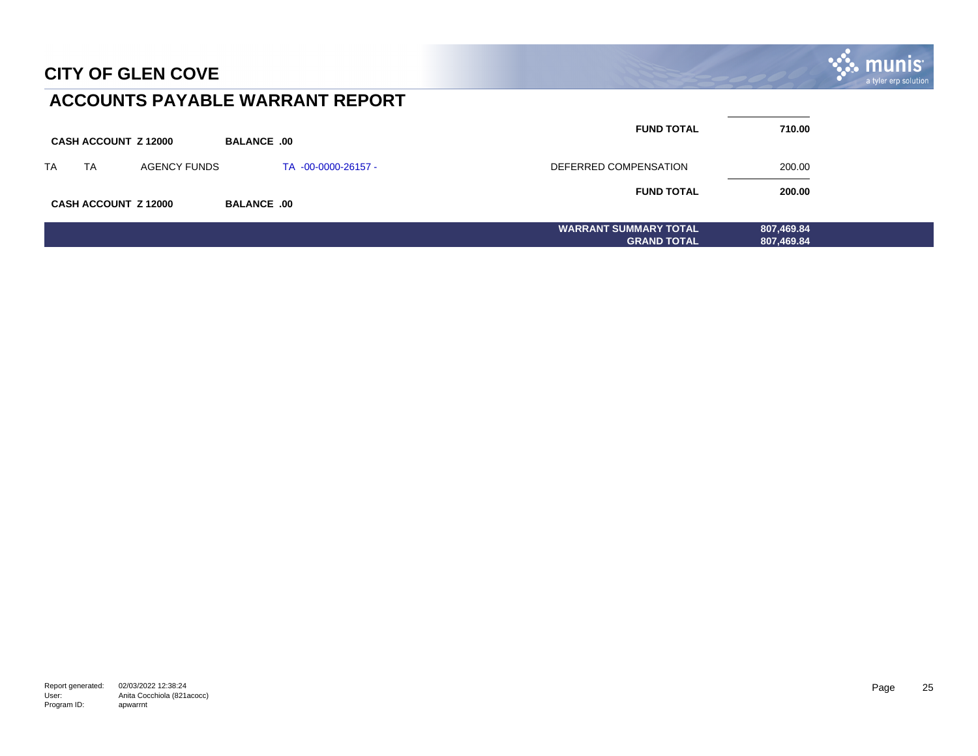

### **ACCOUNTS PAYABLE WARRANT REPORT**

|           |                             |                     |                    |                     | <b>FUND TOTAL</b>            | 710.00     |  |
|-----------|-----------------------------|---------------------|--------------------|---------------------|------------------------------|------------|--|
|           | <b>CASH ACCOUNT Z 12000</b> |                     | <b>BALANCE .00</b> |                     |                              |            |  |
| <b>TA</b> | <b>TA</b>                   | <b>AGENCY FUNDS</b> |                    | TA -00-0000-26157 - | DEFERRED COMPENSATION        | 200.00     |  |
|           |                             |                     |                    |                     | <b>FUND TOTAL</b>            | 200.00     |  |
|           | <b>CASH ACCOUNT Z 12000</b> |                     | <b>BALANCE .00</b> |                     |                              |            |  |
|           |                             |                     |                    |                     | <b>WARRANT SUMMARY TOTAL</b> | 807,469.84 |  |
|           |                             |                     |                    |                     | <b>GRAND TOTAL</b>           | 807,469.84 |  |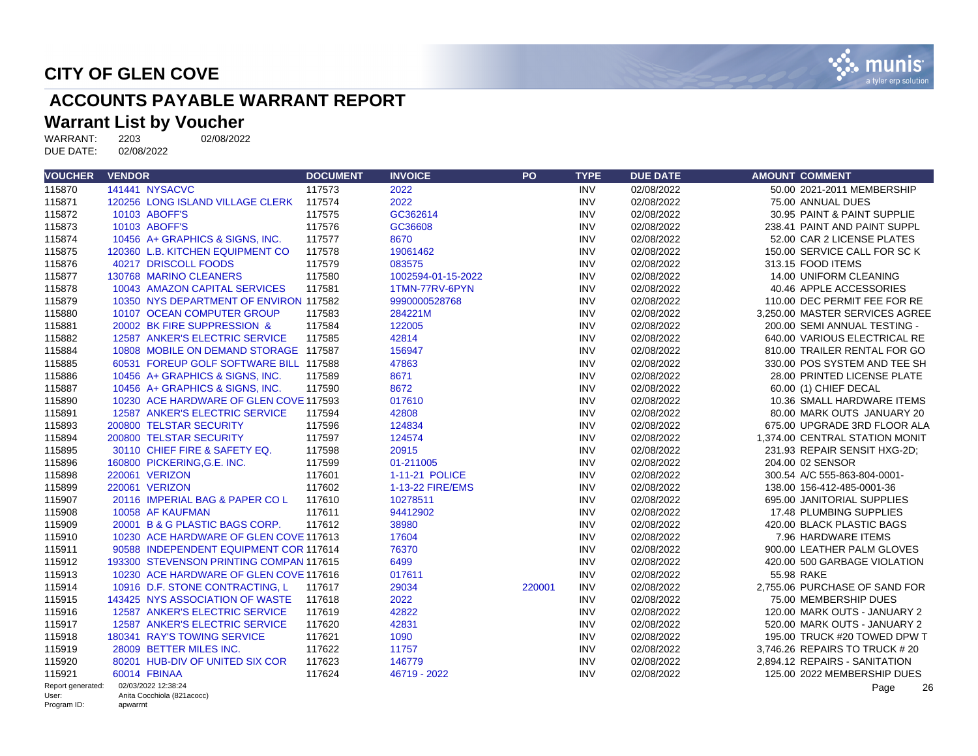

# **ACCOUNTS PAYABLE WARRANT REPORT**

# **Warrant List by Voucher**<br>WARRANT: 2203 02/08/2022

WARRANT: 2203<br>DUE DATE: 02/08/2022 DUE DATE:

| <b>VOUCHER</b>       | <b>VENDOR</b>                           | <b>DOCUMENT</b> | <b>INVOICE</b>     | PO     | <b>TYPE</b> | <b>DUE DATE</b> | <b>AMOUNT COMMENT</b>          |
|----------------------|-----------------------------------------|-----------------|--------------------|--------|-------------|-----------------|--------------------------------|
| 115870               | 141441 NYSACVC                          | 117573          | 2022               |        | <b>INV</b>  | 02/08/2022      | 50.00 2021-2011 MEMBERSHIP     |
| 115871               | 120256 LONG ISLAND VILLAGE CLERK        | 117574          | 2022               |        | <b>INV</b>  | 02/08/2022      | 75.00 ANNUAL DUES              |
| 115872               | 10103 ABOFF'S                           | 117575          | GC362614           |        | <b>INV</b>  | 02/08/2022      | 30.95 PAINT & PAINT SUPPLIE    |
| 115873               | 10103 ABOFF'S                           | 117576          | GC36608            |        | <b>INV</b>  | 02/08/2022      | 238.41 PAINT AND PAINT SUPPL   |
| 115874               | 10456 A+ GRAPHICS & SIGNS, INC.         | 117577          | 8670               |        | <b>INV</b>  | 02/08/2022      | 52.00 CAR 2 LICENSE PLATES     |
| 115875               | 120360 L.B. KITCHEN EQUIPMENT CO        | 117578          | 19061462           |        | <b>INV</b>  | 02/08/2022      | 150.00 SERVICE CALL FOR SC K   |
| 115876               | 40217 DRISCOLL FOODS                    | 117579          | 083575             |        | <b>INV</b>  | 02/08/2022      | 313.15 FOOD ITEMS              |
| 115877               | 130768 MARINO CLEANERS                  | 117580          | 1002594-01-15-2022 |        | <b>INV</b>  | 02/08/2022      | 14.00 UNIFORM CLEANING         |
| 115878               | 10043 AMAZON CAPITAL SERVICES           | 117581          | 1TMN-77RV-6PYN     |        | <b>INV</b>  | 02/08/2022      | 40.46 APPLE ACCESSORIES        |
| 115879               | 10350 NYS DEPARTMENT OF ENVIRON 117582  |                 | 9990000528768      |        | <b>INV</b>  | 02/08/2022      | 110.00 DEC PERMIT FEE FOR RE   |
| 115880               | 10107 OCEAN COMPUTER GROUP              | 117583          | 284221M            |        | <b>INV</b>  | 02/08/2022      | 3,250.00 MASTER SERVICES AGREE |
| 115881               | 20002 BK FIRE SUPPRESSION &             | 117584          | 122005             |        | <b>INV</b>  | 02/08/2022      | 200.00 SEMI ANNUAL TESTING -   |
| 115882               | 12587 ANKER'S ELECTRIC SERVICE          | 117585          | 42814              |        | <b>INV</b>  | 02/08/2022      | 640.00 VARIOUS ELECTRICAL RE   |
| 115884               | 10808 MOBILE ON DEMAND STORAGE 117587   |                 | 156947             |        | <b>INV</b>  | 02/08/2022      | 810.00 TRAILER RENTAL FOR GO   |
| 115885               | 60531 FOREUP GOLF SOFTWARE BILL 117588  |                 | 47863              |        | <b>INV</b>  | 02/08/2022      | 330.00 POS SYSTEM AND TEE SH   |
| 115886               | 10456 A+ GRAPHICS & SIGNS, INC.         | 117589          | 8671               |        | <b>INV</b>  | 02/08/2022      | 28.00 PRINTED LICENSE PLATE    |
| 115887               | 10456 A+ GRAPHICS & SIGNS, INC.         | 117590          | 8672               |        | <b>INV</b>  | 02/08/2022      | 60.00 (1) CHIEF DECAL          |
| 115890               | 10230 ACE HARDWARE OF GLEN COVE 117593  |                 | 017610             |        | <b>INV</b>  | 02/08/2022      | 10.36 SMALL HARDWARE ITEMS     |
| 115891               | 12587 ANKER'S ELECTRIC SERVICE          | 117594          | 42808              |        | <b>INV</b>  | 02/08/2022      | 80.00 MARK OUTS JANUARY 20     |
| 115893               | 200800 TELSTAR SECURITY                 | 117596          | 124834             |        | <b>INV</b>  | 02/08/2022      | 675.00 UPGRADE 3RD FLOOR ALA   |
| 115894               | 200800 TELSTAR SECURITY                 | 117597          | 124574             |        | <b>INV</b>  | 02/08/2022      | 1.374.00 CENTRAL STATION MONIT |
| 115895               | 30110 CHIEF FIRE & SAFETY EQ.           | 117598          | 20915              |        | <b>INV</b>  | 02/08/2022      | 231.93 REPAIR SENSIT HXG-2D:   |
| 115896               | 160800 PICKERING, G.E. INC.             | 117599          | 01-211005          |        | <b>INV</b>  | 02/08/2022      | 204.00 02 SENSOR               |
| 115898               | 220061 VERIZON                          | 117601          | 1-11-21 POLICE     |        | <b>INV</b>  | 02/08/2022      | 300.54 A/C 555-863-804-0001-   |
| 115899               | 220061 VERIZON                          | 117602          | 1-13-22 FIRE/EMS   |        | <b>INV</b>  | 02/08/2022      | 138.00 156-412-485-0001-36     |
| 115907               | 20116 IMPERIAL BAG & PAPER CO L         | 117610          | 10278511           |        | <b>INV</b>  | 02/08/2022      | 695.00 JANITORIAL SUPPLIES     |
| 115908               | 10058 AF KAUFMAN                        | 117611          | 94412902           |        | <b>INV</b>  | 02/08/2022      | 17.48 PLUMBING SUPPLIES        |
| 115909               | 20001 B & G PLASTIC BAGS CORP.          | 117612          | 38980              |        | <b>INV</b>  | 02/08/2022      | 420.00 BLACK PLASTIC BAGS      |
| 115910               | 10230 ACE HARDWARE OF GLEN COVE 117613  |                 | 17604              |        | <b>INV</b>  | 02/08/2022      | 7.96 HARDWARE ITEMS            |
| 115911               | 90588 INDEPENDENT EQUIPMENT COR 117614  |                 | 76370              |        | <b>INV</b>  | 02/08/2022      | 900.00 LEATHER PALM GLOVES     |
| 115912               | 193300 STEVENSON PRINTING COMPAN 117615 |                 | 6499               |        | <b>INV</b>  | 02/08/2022      | 420.00 500 GARBAGE VIOLATION   |
| 115913               | 10230 ACE HARDWARE OF GLEN COVE 117616  |                 | 017611             |        | <b>INV</b>  | 02/08/2022      | 55.98 RAKE                     |
| 115914               | 10916 D.F. STONE CONTRACTING. L         | 117617          | 29034              | 220001 | <b>INV</b>  | 02/08/2022      | 2.755.06 PURCHASE OF SAND FOR  |
| 115915               | 143425 NYS ASSOCIATION OF WASTE         | 117618          | 2022               |        | <b>INV</b>  | 02/08/2022      | 75.00 MEMBERSHIP DUES          |
| 115916               | 12587 ANKER'S ELECTRIC SERVICE          | 117619          | 42822              |        | <b>INV</b>  | 02/08/2022      | 120.00 MARK OUTS - JANUARY 2   |
| 115917               | 12587 ANKER'S ELECTRIC SERVICE          | 117620          | 42831              |        | <b>INV</b>  | 02/08/2022      | 520.00 MARK OUTS - JANUARY 2   |
| 115918               | 180341 RAY'S TOWING SERVICE             | 117621          | 1090               |        | <b>INV</b>  | 02/08/2022      | 195.00 TRUCK #20 TOWED DPW T   |
| 115919               | 28009 BETTER MILES INC.                 | 117622          | 11757              |        | <b>INV</b>  | 02/08/2022      | 3,746.26 REPAIRS TO TRUCK # 20 |
| 115920               | 80201 HUB-DIV OF UNITED SIX COR         | 117623          | 146779             |        | <b>INV</b>  | 02/08/2022      | 2.894.12 REPAIRS - SANITATION  |
| 115921               | 60014 FBINAA                            | 117624          | 46719 - 2022       |        | <b>INV</b>  | 02/08/2022      | 125.00 2022 MEMBERSHIP DUES    |
| Report generated:    | 02/03/2022 12:38:24                     |                 |                    |        |             |                 | Page<br>26                     |
| User:<br>Program ID: | Anita Cocchiola (821acocc)<br>apwarrnt  |                 |                    |        |             |                 |                                |

Program ID: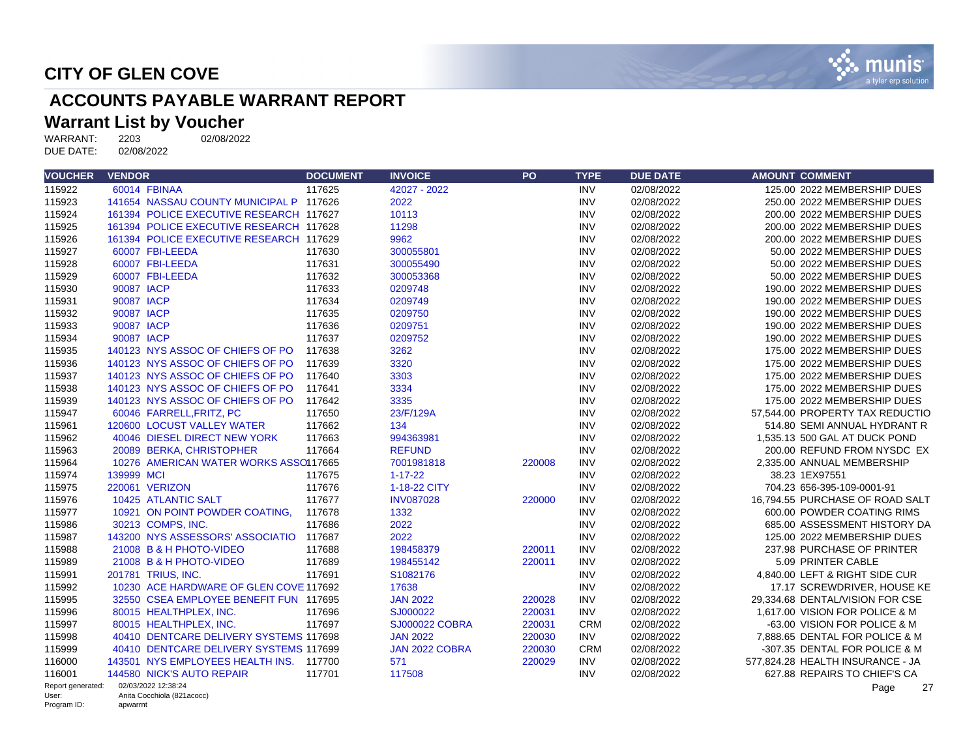

# **ACCOUNTS PAYABLE WARRANT REPORT**

#### **Warrant List by Voucher**

WARRANT: 2203 02/08/2022 DUE DATE: 02/08/2022

| <b>VOUCHER</b>       | <b>VENDOR</b>                           | <b>DOCUMENT</b> | <b>INVOICE</b>        | <b>PO</b> | <b>TYPE</b> | <b>DUE DATE</b> | <b>AMOUNT COMMENT</b>            |
|----------------------|-----------------------------------------|-----------------|-----------------------|-----------|-------------|-----------------|----------------------------------|
| 115922               | 60014 FBINAA                            | 117625          | 42027 - 2022          |           | <b>INV</b>  | 02/08/2022      | 125.00 2022 MEMBERSHIP DUES      |
| 115923               | 141654 NASSAU COUNTY MUNICIPAL P 117626 |                 | 2022                  |           | <b>INV</b>  | 02/08/2022      | 250.00 2022 MEMBERSHIP DUES      |
| 115924               | 161394 POLICE EXECUTIVE RESEARCH 117627 |                 | 10113                 |           | <b>INV</b>  | 02/08/2022      | 200.00 2022 MEMBERSHIP DUES      |
| 115925               | 161394 POLICE EXECUTIVE RESEARCH 117628 |                 | 11298                 |           | <b>INV</b>  | 02/08/2022      | 200.00 2022 MEMBERSHIP DUES      |
| 115926               | 161394 POLICE EXECUTIVE RESEARCH 117629 |                 | 9962                  |           | <b>INV</b>  | 02/08/2022      | 200.00 2022 MEMBERSHIP DUES      |
| 115927               | 60007 FBI-LEEDA                         | 117630          | 300055801             |           | <b>INV</b>  | 02/08/2022      | 50.00 2022 MEMBERSHIP DUES       |
| 115928               | 60007 FBI-LEEDA                         | 117631          | 300055490             |           | <b>INV</b>  | 02/08/2022      | 50.00 2022 MEMBERSHIP DUES       |
| 115929               | 60007 FBI-LEEDA                         | 117632          | 300053368             |           | <b>INV</b>  | 02/08/2022      | 50.00 2022 MEMBERSHIP DUES       |
| 115930               | 90087 IACP                              | 117633          | 0209748               |           | <b>INV</b>  | 02/08/2022      | 190.00 2022 MEMBERSHIP DUES      |
| 115931               | 90087 IACP                              | 117634          | 0209749               |           | <b>INV</b>  | 02/08/2022      | 190.00 2022 MEMBERSHIP DUES      |
| 115932               | 90087 IACP                              | 117635          | 0209750               |           | <b>INV</b>  | 02/08/2022      | 190.00 2022 MEMBERSHIP DUES      |
| 115933               | 90087 IACP                              | 117636          | 0209751               |           | <b>INV</b>  | 02/08/2022      | 190.00 2022 MEMBERSHIP DUES      |
| 115934               | 90087 IACP                              | 117637          | 0209752               |           | <b>INV</b>  | 02/08/2022      | 190.00 2022 MEMBERSHIP DUES      |
| 115935               | 140123 NYS ASSOC OF CHIEFS OF PO        | 117638          | 3262                  |           | <b>INV</b>  | 02/08/2022      | 175.00 2022 MEMBERSHIP DUES      |
| 115936               | 140123 NYS ASSOC OF CHIEFS OF PO        | 117639          | 3320                  |           | <b>INV</b>  | 02/08/2022      | 175.00 2022 MEMBERSHIP DUES      |
| 115937               | 140123 NYS ASSOC OF CHIEFS OF PO        | 117640          | 3303                  |           | <b>INV</b>  | 02/08/2022      | 175.00 2022 MEMBERSHIP DUES      |
| 115938               | 140123 NYS ASSOC OF CHIEFS OF PO        | 117641          | 3334                  |           | <b>INV</b>  | 02/08/2022      | 175.00 2022 MEMBERSHIP DUES      |
| 115939               | 140123 NYS ASSOC OF CHIEFS OF PO        | 117642          | 3335                  |           | <b>INV</b>  | 02/08/2022      | 175.00 2022 MEMBERSHIP DUES      |
| 115947               | 60046 FARRELL, FRITZ, PC                | 117650          | 23/F/129A             |           | <b>INV</b>  | 02/08/2022      | 57.544.00 PROPERTY TAX REDUCTIO  |
| 115961               | 120600 LOCUST VALLEY WATER              | 117662          | 134                   |           | <b>INV</b>  | 02/08/2022      | 514.80 SEMI ANNUAL HYDRANT R     |
| 115962               | 40046 DIESEL DIRECT NEW YORK            | 117663          | 994363981             |           | <b>INV</b>  | 02/08/2022      | 1,535.13 500 GAL AT DUCK POND    |
| 115963               | 20089 BERKA, CHRISTOPHER                | 117664          | <b>REFUND</b>         |           | <b>INV</b>  | 02/08/2022      | 200.00 REFUND FROM NYSDC EX      |
| 115964               | 10276 AMERICAN WATER WORKS ASSO117665   |                 | 7001981818            | 220008    | <b>INV</b>  | 02/08/2022      | 2,335.00 ANNUAL MEMBERSHIP       |
| 115974               | 139999 MCI                              | 117675          | $1 - 17 - 22$         |           | <b>INV</b>  | 02/08/2022      | 38.23 1EX97551                   |
| 115975               | 220061 VERIZON                          | 117676          | 1-18-22 CITY          |           | <b>INV</b>  | 02/08/2022      | 704.23 656-395-109-0001-91       |
| 115976               | 10425 ATLANTIC SALT                     | 117677          | <b>INV087028</b>      | 220000    | <b>INV</b>  | 02/08/2022      | 16,794.55 PURCHASE OF ROAD SALT  |
| 115977               | 10921 ON POINT POWDER COATING,          | 117678          | 1332                  |           | <b>INV</b>  | 02/08/2022      | 600.00 POWDER COATING RIMS       |
| 115986               | 30213 COMPS. INC.                       | 117686          | 2022                  |           | <b>INV</b>  | 02/08/2022      | 685.00 ASSESSMENT HISTORY DA     |
| 115987               | 143200 NYS ASSESSORS' ASSOCIATIO 117687 |                 | 2022                  |           | <b>INV</b>  | 02/08/2022      | 125.00 2022 MEMBERSHIP DUES      |
| 115988               | 21008 B & H PHOTO-VIDEO                 | 117688          | 198458379             | 220011    | <b>INV</b>  | 02/08/2022      | 237.98 PURCHASE OF PRINTER       |
| 115989               | 21008 B & H PHOTO-VIDEO                 | 117689          | 198455142             | 220011    | <b>INV</b>  | 02/08/2022      | 5.09 PRINTER CABLE               |
| 115991               | 201781 TRIUS, INC.                      | 117691          | S1082176              |           | <b>INV</b>  | 02/08/2022      | 4,840.00 LEFT & RIGHT SIDE CUR   |
| 115992               | 10230 ACE HARDWARE OF GLEN COVE 117692  |                 | 17638                 |           | <b>INV</b>  | 02/08/2022      | 17.17 SCREWDRIVER, HOUSE KE      |
| 115995               | 32550 CSEA EMPLOYEE BENEFIT FUN 117695  |                 | <b>JAN 2022</b>       | 220028    | <b>INV</b>  | 02/08/2022      | 29.334.68 DENTAL/VISION FOR CSE  |
| 115996               | 80015 HEALTHPLEX, INC.                  | 117696          | SJ000022              | 220031    | <b>INV</b>  | 02/08/2022      | 1,617.00 VISION FOR POLICE & M   |
| 115997               | 80015 HEALTHPLEX, INC.                  | 117697          | <b>SJ000022 COBRA</b> | 220031    | <b>CRM</b>  | 02/08/2022      | -63.00 VISION FOR POLICE & M     |
| 115998               | 40410 DENTCARE DELIVERY SYSTEMS 117698  |                 | <b>JAN 2022</b>       | 220030    | <b>INV</b>  | 02/08/2022      | 7.888.65 DENTAL FOR POLICE & M   |
| 115999               | 40410 DENTCARE DELIVERY SYSTEMS 117699  |                 | JAN 2022 COBRA        | 220030    | <b>CRM</b>  | 02/08/2022      | -307.35 DENTAL FOR POLICE & M    |
| 116000               | 143501 NYS EMPLOYEES HEALTH INS. 117700 |                 | 571                   | 220029    | <b>INV</b>  | 02/08/2022      | 577,824.28 HEALTH INSURANCE - JA |
| 116001               | 144580 NICK'S AUTO REPAIR               | 117701          | 117508                |           | <b>INV</b>  | 02/08/2022      | 627.88 REPAIRS TO CHIEF'S CA     |
| Report generated:    | 02/03/2022 12:38:24                     |                 |                       |           |             |                 | 27<br>Page                       |
| User:<br>Program ID: | Anita Cocchiola (821acocc)<br>apwarrnt  |                 |                       |           |             |                 |                                  |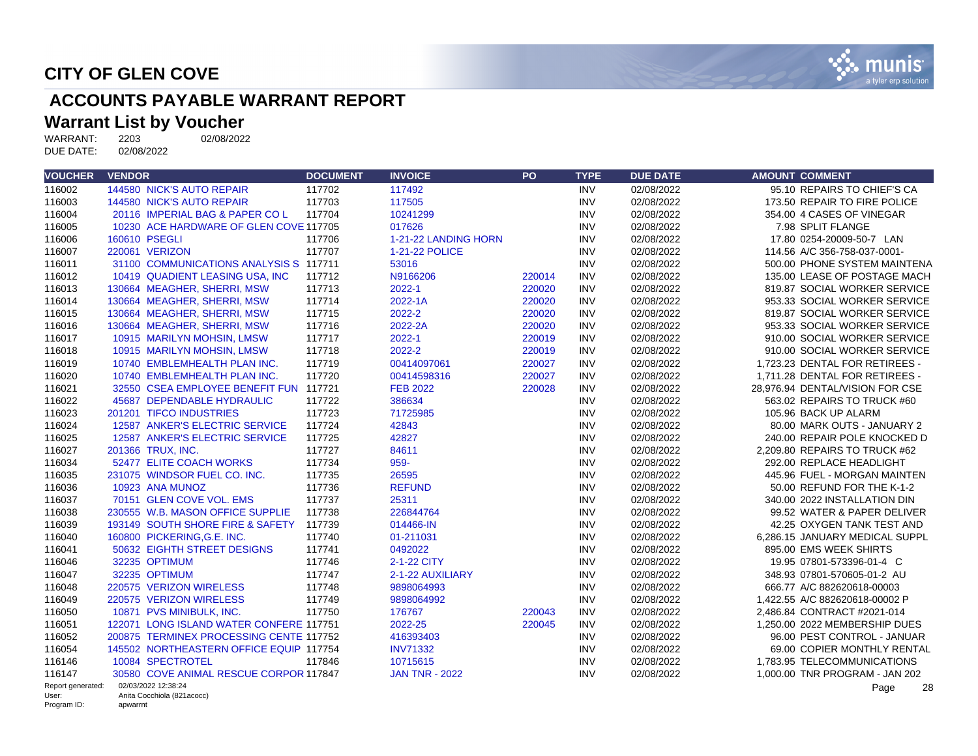

# **ACCOUNTS PAYABLE WARRANT REPORT**

# **Warrant List by Voucher**<br>WARRANT: 2203 02/08/2022

WARRANT: 2203<br>DUE DATE: 02/08/2022 DUE DATE:

| <b>VOUCHER</b>       | <b>VENDOR</b>                           | <b>DOCUMENT</b> | <b>INVOICE</b>        | <b>PO</b> | <b>TYPE</b> | <b>DUE DATE</b> | <b>AMOUNT COMMENT</b>           |
|----------------------|-----------------------------------------|-----------------|-----------------------|-----------|-------------|-----------------|---------------------------------|
| 116002               | 144580 NICK'S AUTO REPAIR               | 117702          | 117492                |           | <b>INV</b>  | 02/08/2022      | 95.10 REPAIRS TO CHIEF'S CA     |
| 116003               | 144580 NICK'S AUTO REPAIR               | 117703          | 117505                |           | <b>INV</b>  | 02/08/2022      | 173.50 REPAIR TO FIRE POLICE    |
| 116004               | 20116 IMPERIAL BAG & PAPER COL          | 117704          | 10241299              |           | <b>INV</b>  | 02/08/2022      | 354.00 4 CASES OF VINEGAR       |
| 116005               | 10230 ACE HARDWARE OF GLEN COVE 117705  |                 | 017626                |           | <b>INV</b>  | 02/08/2022      | 7.98 SPLIT FLANGE               |
| 116006               | 160610 PSEGLI                           | 117706          | 1-21-22 LANDING HORN  |           | <b>INV</b>  | 02/08/2022      | 17.80 0254-20009-50-7 LAN       |
| 116007               | 220061 VERIZON                          | 117707          | 1-21-22 POLICE        |           | <b>INV</b>  | 02/08/2022      | 114.56 A/C 356-758-037-0001-    |
| 116011               | 31100 COMMUNICATIONS ANALYSIS S 117711  |                 | 53016                 |           | <b>INV</b>  | 02/08/2022      | 500.00 PHONE SYSTEM MAINTENA    |
| 116012               | 10419 QUADIENT LEASING USA, INC         | 117712          | N9166206              | 220014    | <b>INV</b>  | 02/08/2022      | 135.00 LEASE OF POSTAGE MACH    |
| 116013               | 130664 MEAGHER, SHERRI, MSW             | 117713          | 2022-1                | 220020    | <b>INV</b>  | 02/08/2022      | 819.87 SOCIAL WORKER SERVICE    |
| 116014               | 130664 MEAGHER, SHERRI, MSW             | 117714          | 2022-1A               | 220020    | <b>INV</b>  | 02/08/2022      | 953.33 SOCIAL WORKER SERVICE    |
| 116015               | 130664 MEAGHER, SHERRI, MSW             | 117715          | 2022-2                | 220020    | <b>INV</b>  | 02/08/2022      | 819.87 SOCIAL WORKER SERVICE    |
| 116016               | 130664 MEAGHER, SHERRI, MSW             | 117716          | 2022-2A               | 220020    | <b>INV</b>  | 02/08/2022      | 953.33 SOCIAL WORKER SERVICE    |
| 116017               | 10915 MARILYN MOHSIN, LMSW              | 117717          | 2022-1                | 220019    | <b>INV</b>  | 02/08/2022      | 910.00 SOCIAL WORKER SERVICE    |
| 116018               | 10915 MARILYN MOHSIN, LMSW              | 117718          | 2022-2                | 220019    | <b>INV</b>  | 02/08/2022      | 910.00 SOCIAL WORKER SERVICE    |
| 116019               | 10740 EMBLEMHEALTH PLAN INC.            | 117719          | 00414097061           | 220027    | <b>INV</b>  | 02/08/2022      | 1,723.23 DENTAL FOR RETIREES -  |
| 116020               | 10740 EMBLEMHEALTH PLAN INC.            | 117720          | 00414598316           | 220027    | <b>INV</b>  | 02/08/2022      | 1.711.28 DENTAL FOR RETIREES -  |
| 116021               | 32550 CSEA EMPLOYEE BENEFIT FUN 117721  |                 | <b>FEB 2022</b>       | 220028    | <b>INV</b>  | 02/08/2022      | 28,976.94 DENTAL/VISION FOR CSE |
| 116022               | 45687 DEPENDABLE HYDRAULIC              | 117722          | 386634                |           | <b>INV</b>  | 02/08/2022      | 563.02 REPAIRS TO TRUCK #60     |
| 116023               | 201201 TIFCO INDUSTRIES                 | 117723          | 71725985              |           | <b>INV</b>  | 02/08/2022      | 105.96 BACK UP ALARM            |
| 116024               | 12587 ANKER'S ELECTRIC SERVICE          | 117724          | 42843                 |           | <b>INV</b>  | 02/08/2022      | 80.00 MARK OUTS - JANUARY 2     |
| 116025               | 12587 ANKER'S ELECTRIC SERVICE          | 117725          | 42827                 |           | <b>INV</b>  | 02/08/2022      | 240.00 REPAIR POLE KNOCKED D    |
| 116027               | 201366 TRUX, INC.                       | 117727          | 84611                 |           | <b>INV</b>  | 02/08/2022      | 2.209.80 REPAIRS TO TRUCK #62   |
| 116034               | 52477 ELITE COACH WORKS                 | 117734          | 959-                  |           | <b>INV</b>  | 02/08/2022      | 292.00 REPLACE HEADLIGHT        |
| 116035               | 231075 WINDSOR FUEL CO. INC.            | 117735          | 26595                 |           | <b>INV</b>  | 02/08/2022      | 445.96 FUEL - MORGAN MAINTEN    |
| 116036               | 10923 ANA MUNOZ                         | 117736          | <b>REFUND</b>         |           | <b>INV</b>  | 02/08/2022      | 50.00 REFUND FOR THE K-1-2      |
| 116037               | 70151 GLEN COVE VOL. EMS                | 117737          | 25311                 |           | <b>INV</b>  | 02/08/2022      | 340.00 2022 INSTALLATION DIN    |
| 116038               | 230555 W.B. MASON OFFICE SUPPLIE        | 117738          | 226844764             |           | <b>INV</b>  | 02/08/2022      | 99.52 WATER & PAPER DELIVER     |
| 116039               | 193149 SOUTH SHORE FIRE & SAFETY        | 117739          | 014466-IN             |           | <b>INV</b>  | 02/08/2022      | 42.25 OXYGEN TANK TEST AND      |
| 116040               | 160800 PICKERING.G.E. INC.              | 117740          | 01-211031             |           | <b>INV</b>  | 02/08/2022      | 6.286.15 JANUARY MEDICAL SUPPL  |
| 116041               | 50632 EIGHTH STREET DESIGNS             | 117741          | 0492022               |           | <b>INV</b>  | 02/08/2022      | 895.00 EMS WEEK SHIRTS          |
| 116046               | 32235 OPTIMUM                           | 117746          | 2-1-22 CITY           |           | <b>INV</b>  | 02/08/2022      | 19.95 07801-573396-01-4 C       |
| 116047               | 32235 OPTIMUM                           | 117747          | 2-1-22 AUXILIARY      |           | <b>INV</b>  | 02/08/2022      | 348.93 07801-570605-01-2 AU     |
| 116048               | 220575 VERIZON WIRELESS                 | 117748          | 9898064993            |           | <b>INV</b>  | 02/08/2022      | 666.77 A/C 882620618-00003      |
| 116049               | 220575 VERIZON WIRELESS                 | 117749          | 9898064992            |           | <b>INV</b>  | 02/08/2022      | 1.422.55 A/C 882620618-00002 P  |
| 116050               | 10871 PVS MINIBULK, INC.                | 117750          | 176767                | 220043    | <b>INV</b>  | 02/08/2022      | 2,486.84 CONTRACT #2021-014     |
| 116051               | 122071 LONG ISLAND WATER CONFERE 117751 |                 | 2022-25               | 220045    | <b>INV</b>  | 02/08/2022      | 1,250.00 2022 MEMBERSHIP DUES   |
| 116052               | 200875 TERMINEX PROCESSING CENTE 117752 |                 | 416393403             |           | <b>INV</b>  | 02/08/2022      | 96.00 PEST CONTROL - JANUAR     |
| 116054               | 145502 NORTHEASTERN OFFICE EQUIP 117754 |                 | <b>INV71332</b>       |           | <b>INV</b>  | 02/08/2022      | 69.00 COPIER MONTHLY RENTAL     |
| 116146               | 10084 SPECTROTEL                        | 117846          | 10715615              |           | <b>INV</b>  | 02/08/2022      | 1.783.95 TELECOMMUNICATIONS     |
| 116147               | 30580 COVE ANIMAL RESCUE CORPOR 117847  |                 | <b>JAN TNR - 2022</b> |           | <b>INV</b>  | 02/08/2022      | 1,000.00 TNR PROGRAM - JAN 202  |
| Report generated:    | 02/03/2022 12:38:24                     |                 |                       |           |             |                 | 28<br>Page                      |
| User:<br>Program ID: | Anita Cocchiola (821acocc)<br>apwarrnt  |                 |                       |           |             |                 |                                 |